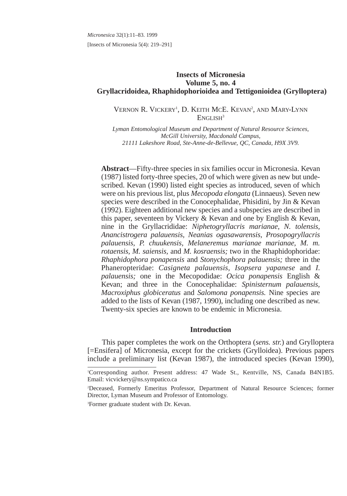*Micronesica* 32(1):11–83. 1999 [Insects of Micronesia 5(4): 219–291]

# **Insects of Micronesia Volume 5, no. 4 Gryllacridoidea, Rhaphidophorioidea and Tettigonioidea (Grylloptera)**

# VERNON R. VICKERY<sup>1</sup>, D. KEITH MCE. KEVAN<sup>2</sup>, AND MARY-LYNN ENGLISH<sup>3</sup>

*Lyman Entomological Museum and Department of Natural Resource Sciences, McGill University, Macdonald Campus, 21111 Lakeshore Road, Ste-Anne-de-Bellevue, QC, Canada, H9X 3V9.*

**Abstract**—Fifty-three species in six families occur in Micronesia. Kevan (1987) listed forty-three species, 20 of which were given as new but undescribed. Kevan (1990) listed eight species as introduced, seven of which were on his previous list, plus *Mecopoda elongata* (Linnaeus). Seven new species were described in the Conocephalidae, Phisidini, by Jin & Kevan (1992). Eighteen additional new species and a subspecies are described in this paper, seventeen by Vickery & Kevan and one by English & Kevan, nine in the Gryllacrididae: *Niphetogryllacris marianae, N. tolensis, Anancistrogera palauensis, Neanias ogasawarensis, Prosopogryllacris palauensis, P. chuukensis, Melaneremus marianae marianae, M. m. rotaensis, M. saiensis,* and *M. kosraensis;* two in the Rhaphidophoridae: *Rhaphidophora ponapensis* and *Stonychophora palauensis;* three in the Phaneropteridae: *Casigneta palauensis, Isopsera yapanese* and *I. palauensis;* one in the Mecopodidae: *Ocica ponapensis* English & Kevan; and three in the Conocephalidae: *Spinisternum palauensis, Macroxiphus globiceratus* and *Salomona ponapensis.* Nine species are added to the lists of Kevan (1987, 1990), including one described as new. Twenty-six species are known to be endemic in Micronesia.

## **Introduction**

This paper completes the work on the Orthoptera (*sens. str.*) and Grylloptera [=Ensifera] of Micronesia, except for the crickets (Grylloidea). Previous papers include a preliminary list (Kevan 1987), the introduced species (Kevan 1990),

3 Former graduate student with Dr. Kevan.

<sup>1</sup> Corresponding author. Present address: 47 Wade St., Kentville, NS, Canada B4N1B5. Email: vicvickery@ns.sympatico.ca

<sup>2</sup> Deceased, Formerly Emeritus Professor, Department of Natural Resource Sciences; former Director, Lyman Museum and Professor of Entomology.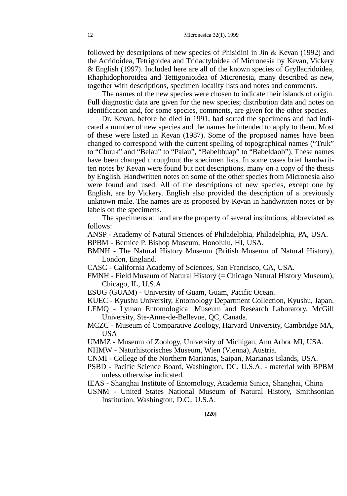followed by descriptions of new species of Phisidini in Jin & Kevan (1992) and the Acridoidea, Tetrigoidea and Tridactyloidea of Micronesia by Kevan, Vickery & English (1997). Included here are all of the known species of Gryllacridoidea, Rhaphidophoroidea and Tettigonioidea of Micronesia, many described as new, together with descriptions, specimen locality lists and notes and comments.

The names of the new species were chosen to indicate their islands of origin. Full diagnostic data are given for the new species; distribution data and notes on identification and, for some species, comments, are given for the other species.

Dr. Kevan, before he died in 1991, had sorted the specimens and had indicated a number of new species and the names he intended to apply to them. Most of these were listed in Kevan (1987). Some of the proposed names have been changed to correspond with the current spelling of topographical names ("Truk" to "Chuuk" and "Belau" to "Palau", "Babelthuap" to "Babeldaob"). These names have been changed throughout the specimen lists. In some cases brief handwritten notes by Kevan were found but not descriptions, many on a copy of the thesis by English. Handwritten notes on some of the other species from Micronesia also were found and used. All of the descriptions of new species, except one by English, are by Vickery. English also provided the description of a previously unknown male. The names are as proposed by Kevan in handwritten notes or by labels on the specimens.

The specimens at hand are the property of several institutions, abbreviated as follows:

ANSP - Academy of Natural Sciences of Philadelphia, Philadelphia, PA, USA.

BPBM - Bernice P. Bishop Museum, Honolulu, HI, USA.

- BMNH The Natural History Museum (British Museum of Natural History), London, England.
- CASC California Academy of Sciences, San Francisco, CA, USA.
- FMNH Field Museum of Natural History (= Chicago Natural History Museum), Chicago, IL, U.S.A.
- ESUG (GUAM) University of Guam, Guam, Pacific Ocean.
- KUEC Kyushu University, Entomology Department Collection, Kyushu, Japan.
- LEMQ Lyman Entomological Museum and Research Laboratory, McGill University, Ste-Anne-de-Bellevue, QC, Canada.
- MCZC Museum of Comparative Zoology, Harvard University, Cambridge MA, USA

UMMZ - Museum of Zoology, University of Michigan, Ann Arbor MI, USA.

NHMW - Naturhistorisches Museum, Wien (Vienna), Austria.

CNMI - College of the Northern Marianas, Saipan, Marianas Islands, USA.

- PSBD Pacific Science Board, Washington, DC, U.S.A. material with BPBM unless otherwise indicated.
- IEAS Shanghai Institute of Entomology, Academia Sinica, Shanghai, China
- USNM United States National Museum of Natural History, Smithsonian Institution, Washington, D.C., U.S.A.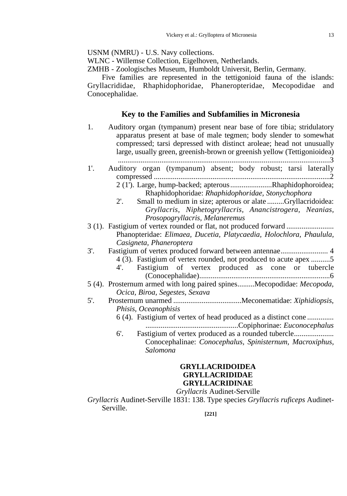USNM (NMRU) - U.S. Navy collections.

WLNC - Willemse Collection, Eigelhoven, Netherlands.

ZMHB - Zoologisches Museum, Humboldt Universit, Berlin, Germany.

Five families are represented in the tettigonioid fauna of the islands: Gryllacrididae, Rhaphidophoridae, Phaneropteridae, Mecopodidae and Conocephalidae.

# **Key to the Families and Subfamilies in Micronesia**

1. Auditory organ (tympanum) present near base of fore tibia; stridulatory apparatus present at base of male tegmen; body slender to somewhat compressed; tarsi depressed with distinct aroleae; head not unusually large, usually green, greenish-brown or greenish yellow (Tettigonioidea) ................................................................................................................3 1'. Auditory organ (tympanum) absent; body robust; tarsi laterally compressed .............................................................................................2 2 (1'). Large, hump-backed; apterous......................Rhaphidophoroidea; Rhaphidophoridae: *Rhaphidophoridae, Stonychophora* 2'. Small to medium in size; apterous or alate .........Gryllacridoidea: *Gryllacris, Niphetogryllacris, Anancistrogera, Neanias, Prosopogryllacris, Melaneremus* 3 (1). Fastigium of vertex rounded or flat, not produced forward ......................... Phanopteridae: *Elimaea, Ducetia, Platycaedia, Holochlora, Phaulula, Casigneta, Phaneroptera* 3'. Fastigium of vertex produced forward between antennae......................... 4 4 (3). Fastigium of vertex rounded, not produced to acute apex ..........5 4'. Fastigium of vertex produced as cone or tubercle (Conocephalidae).....................................................................6 5 (4). Prosternum armed with long paired spines.........Mecopodidae: *Mecopoda, Ocica, Biroa, Segestes, Sexava* 5'. Prosternum unarmed ....................................Meconematidae: *Xiphidiopsis, Phisis, Oceanophisis* 6 (4). Fastigium of vertex of head produced as a distinct cone .............. .................................................Copiphorinae: *Euconocephalus* 6'. Fastigium of vertex produced as a rounded tubercle..................... Conocephalinae: *Conocephalus, Spinisternum, Macroxiphus, Salomona*

# **GRYLLACRIDOIDEA GRYLLACRIDIDAE GRYLLACRIDINAE**

# *Gryllacris* Audinet-Serville

*Gryllacris* Audinet-Serville 1831: 138. Type species *Gryllacris ruficeps* Audinet-Serville.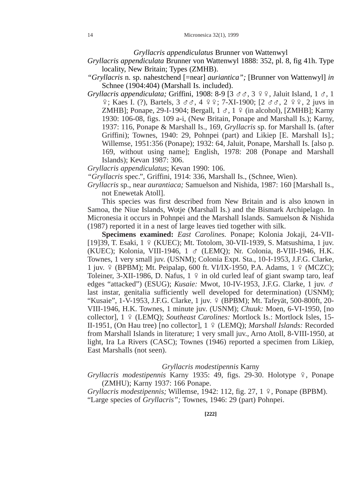*Gryllacris appendiculatus* Brunner von Wattenwyl

- *Gryllacris appendiculata* Brunner von Wattenwyl 1888: 352, pl. 8, fig 41h. Type locality, New Britain; Types (ZMHB).
- *"Gryllacris* n. sp. nahestchend [=near] *auriantica";* [Brunner von Wattenwyl] *in* Schnee (1904:404) (Marshall Is. included).
- *Gryllacris appendiculata;* Griffini, 1908: 8-9 [3 σσ, 3 º º, Jaluit Island, 1 σ, 1  $\frac{1}{2}$ ; Kaes I. (?), Bartels, 3  $\sigma \sigma$ , 4  $\frac{1}{2}$ , 7-XI-1900; [2  $\sigma \sigma$ , 2  $\frac{1}{2}$ , 2 juvs in ZMHB]; Ponape, 29-I-1904; Bergall,  $1 \text{ } \sigma$ ,  $1 \text{ } \frac{\sigma}{2}$  (in alcohol), [ZMHB]; Karny 1930: 106-08, figs. 109 a-i, (New Britain, Ponape and Marshall Is.); Karny, 1937: 116, Ponape & Marshall Is., 169, *Gryllacris* sp. for Marshall Is. (after Griffini); Townes, 1940: 29, Pohnpei (part) and Likiep [E. Marshall Is].; Willemse, 1951:356 (Ponape); 1932: 64, Jaluit, Ponape, Marshall Is. [also p. 169, without using name]; English, 1978: 208 (Ponape and Marshall Islands); Kevan 1987: 306.

*Gryllacris appendiculatus*; Kevan 1990: 106.

*"Gryllacris* spec.", Griffini, 1914: 336, Marshall Is., (Schnee, Wien).

*Gryllacris* sp., near *aurantiaca;* Samuelson and Nishida, 1987: 160 [Marshall Is., not Enewetak Atoll].

This species was first described from New Britain and is also known in Samoa, the Niue Islands, Wotje (Marshall Is.) and the Bismark Archipelago. In Micronesia it occurs in Pohnpei and the Marshall Islands. Samuelson & Nishida (1987) reported it in a nest of large leaves tied together with silk.

**Specimens examined:** *East Carolines.* Ponape; Kolonia Jokaji, 24-VII- [19] 39, T. Esaki,  $1 \frac{9}{5}$  (KUEC); Mt. Totolom, 30-VII-1939, S. Matsushima, 1 juv. (KUEC); Kolonia, VIII-1946, 1 G (LEMQ); Nr. Colonia, 8-VIII-1946, H.K. Townes, 1 very small juv. (USNM); Colonia Expt. Sta., 10-I-1953, J.F.G. Clarke, 1 juv. 9 (BPBM); Mt. Peipalap, 600 ft. VI/IX-1950, P.A. Adams, 1 9 (MCZC); Toleiner, 3-XII-1986, D. Nafus,  $1 \nvert 2$  in old curled leaf of giant swamp taro, leaf edges "attacked") (ESUG); *Kusaie:* Mwot, 10-IV-1953, J.F.G. Clarke, 1 juv. G last instar, genitalia sufficiently well developed for determination) (USNM); "Kusaie", 1-V-1953, J.F.G. Clarke, 1 juv. 9 (BPBM); Mt. Tafeyät, 500-800ft, 20-VIII-1946, H.K. Townes, 1 minute juv. (USNM); *Chuuk:* Moen, 6-VI-1950, [no collector], 1 º (LEMQ); Southeast Carolines: Mortlock Is.: Mortlock Isles, 15-II-1951, (On Hau tree) [no collector],  $1 \sqrt{2}$  (LEMQ); *Marshall Islands:* Recorded from Marshall Islands in literature; 1 very small juv., Arno Atoll, 8-VIII-1950, at light, Ira La Rivers (CASC); Townes (1946) reported a specimen from Likiep, East Marshalls (not seen).

#### *Gryllacris modestipennis* Karny

*Gryllacris modestipennis* Karny 1935: 49, figs. 29-30. Holotype  $\frac{1}{7}$ , Ponape (ZMHU); Karny 1937: 166 Ponape.

*Gryllacris modestipennis;* Willemse, 1942: 112, fig. 27, 1  $\varphi$ , Ponape (BPBM). "Large species of *Gryllacris";* Townes, 1946: 29 (part) Pohnpei.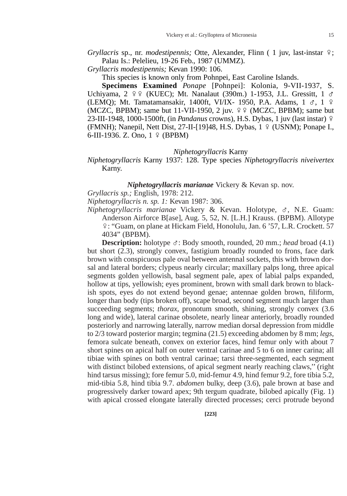*Gryllacris* sp., nr. *modestipennis*; Otte, Alexander, Flinn ( 1 juv, last-instar  $\hat{F}$ ; Palau Is.: Pelelieu, 19-26 Feb., 1987 (UMMZ).

*Gryllacris modestipennis;* Kevan 1990: 106.

This species is known only from Pohnpei, East Caroline Islands.

**Specimens Examined** *Ponape* [Pohnpei]: Kolonia, 9-VII-1937, S. Uchiyama, 2  $99$  (KUEC); Mt. Nanalaut (390m.) 1-1953, J.L. Gressitt, 1  $\sigma$ (LEMQ); Mt. Tamatamansakir, 1400ft, VI/IX- 1950, P.A. Adams,  $1 \text{ } \sigma$ ,  $1 \text{ } \varphi$ (MCZC, BPBM); same but 11-VII-1950, 2 juv.  $99$  (MCZC, BPBM); same but 23-III-1948, 1000-1500ft, (in *Pandanus* crowns), H.S. Dybas, 1 juv (last instar) E (FMNH); Nanepil, Nett Dist, 27-II-[19]48, H.S. Dybas,  $1 \sqrt{9}$  (USNM); Ponape I., 6-III-1936. Z. Ono,  $1 \sqrt{9}$  (BPBM)

### *Niphetogryllacris* Karny

*Niphetogryllacris* Karny 1937: 128. Type species *Niphetogryllacris niveivertex* Karny.

## *Niphetogryllacris marianae* Vickery & Kevan sp. nov.

*Gryllacris sp.;* English, 1978: 212.

*Niphetogryllacris n. sp. 1:* Kevan 1987: 306.

*Niphetogryllacris marianae* Vickery & Kevan. Holotype, G, N.E. Guam: Anderson Airforce B[ase], Aug. 5, 52, N. [L.H.] Krauss. (BPBM). Allotype E: "Guam, on plane at Hickam Field, Honolulu, Jan. 6 '57, L.R. Crockett. 57 4034" (BPBM).

**Description:** holotype  $\sigma$ : Body smooth, rounded, 20 mm.; *head* broad (4.1) but short (2.3), strongly convex, fastigium broadly rounded to frons, face dark brown with conspicuous pale oval between antennal sockets, this with brown dorsal and lateral borders; clypeus nearly circular; maxillary palps long, three apical segments golden yellowish, basal segment pale, apex of labial palps expanded, hollow at tips, yellowish; eyes prominent, brown with small dark brown to blackish spots, eyes do not extend beyond genae; antennae golden brown, filiform, longer than body (tips broken off), scape broad, second segment much larger than succeeding segments; *thorax*, pronotum smooth, shining, strongly convex (3.6) long and wide), lateral carinae obsolete, nearly linear anteriorly, broadly rounded posteriorly and narrowing laterally, narrow median dorsal depression from middle to 2/3 toward posterior margin; tegmina (21.5) exceeding abdomen by 8 mm; *legs,* femora sulcate beneath, convex on exterior faces, hind femur only with about 7 short spines on apical half on outer ventral carinae and 5 to 6 on inner carina; all tibiae with spines on both ventral carinae; tarsi three-segmented, each segment with distinct bilobed extensions, of apical segment nearly reaching claws," (right hind tarsus missing); fore femur 5.0, mid-femur 4.9, hind femur 9.2, fore tibia 5.2, mid-tibia 5.8, hind tibia 9.7. *abdomen* bulky, deep (3.6), pale brown at base and progressively darker toward apex; 9th tergum quadrate, bilobed apically (Fig. 1) with apical crossed elongate laterally directed processes; cerci protrude beyond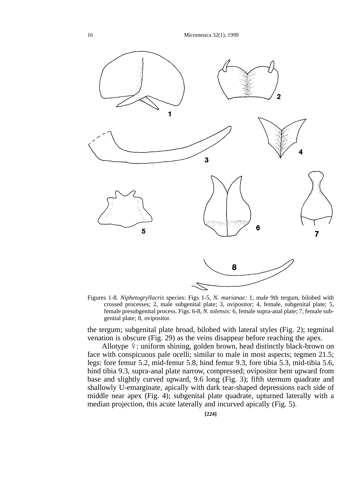

Figures 1-8. *Niphetogryllacris* species: Figs 1-5, *N. marianae:* 1, male 9th tergum, bilobed with crossed processes; 2, male subgenital plate; 3, ovipositor; 4, female, subgenital plate; 5, female presubgenital process. Figs. 6-8, *N. tolensis:* 6, female supra-anal plate; 7, female subgenital plate; 8, ovipositor.

the tergum; subgenital plate broad, bilobed with lateral styles (Fig. 2); tegminal venation is obscure (Fig. 29) as the veins disappear before reaching the apex.

Allotype  $\frac{1}{2}$ : uniform shining, golden brown, head distinctly black-brown on face with conspicuous pale ocelli; similar to male in most aspects; tegmen 21.5; legs: fore femur 5.2, mid-femur 5.8, hind femur 9.3, fore tibia 5.3, mid-tibia 5.6, hind tibia 9.3, supra-anal plate narrow, compressed; ovipositor bent upward from base and slightly curved upward, 9.6 long (Fig. 3); fifth sternum quadrate and shallowly U-emarginate, apically with dark tear-shaped depressions each side of middle near apex (Fig. 4); subgenital plate quadrate, upturned laterally with a median projection, this acute laterally and incurved apically (Fig. 5).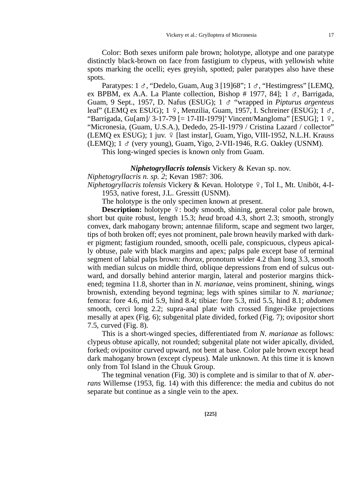Paratypes:  $1 \text{ } \sigma$ , "Dedelo, Guam, Aug 3 [19]68";  $1 \text{ } \sigma$ , "Hestimgress" [LEMQ, ex BPBM, ex A.A. La Plante collection, Bishop # 1977, 841; 1  $\sigma$ , Barrigada, Guam, 9 Sept., 1957, D. Nafus (ESUG); 1 G "wrapped in *Pipturus argenteus* leaf" (LEMQ ex ESUG);  $1 \div$ , Menzilia, Guam, 1957, I. Schreiner (ESUG);  $1 \div$ , "Barrigada, Gu $\lceil \text{am} \rceil / 3 - 17 - 79 \rceil = 17 - III - 1979$ " Vincent/Mangloma" [ESUG]; 1  $\varphi$ , "Micronesia, (Guam, U.S.A.), Dededo, 25-II-1979 / Cristina Lazard / collector" (LEMO ex ESUG); 1 juv.  $9$  [last instar], Guam, Yigo, VIII-1952, N.L.H. Krauss (LEMO);  $1 \text{ } \circ$  (very young), Guam, Yigo, 2-VII-1946, R.G. Oakley (USNM).

This long-winged species is known only from Guam.

*Niphetogryllacris tolensis* Vickery & Kevan sp. nov.

*Niphetogryllacris n. sp. 2*; Kevan 1987: 306.

*Niphetogryllacris tolensis Vickery & Kevan. Holotype º, Tol I., Mt. Uniböt, 4-I-*1953, native forest, J.L. Gressitt (USNM).

The holotype is the only specimen known at present.

**Description:** holotype  $\frac{1}{2}$ : body smooth, shining, general color pale brown, short but quite robust, length 15.3; *head* broad 4.3, short 2.3; smooth, strongly convex, dark mahogany brown; antennae filiform, scape and segment two larger, tips of both broken off; eyes not prominent, pale brown heavily marked with darker pigment; fastigium rounded, smooth, ocelli pale, conspicuous, clypeus apically obtuse, pale with black margins and apex; palps pale except base of terminal segment of labial palps brown: *thorax,* pronotum wider 4.2 than long 3.3, smooth with median sulcus on middle third, oblique depressions from end of sulcus outward, and dorsally behind anterior margin, lateral and posterior margins thickened; tegmina 11.8, shorter than in *N. marianae,* veins prominent, shining, wings brownish, extending beyond tegmina; legs with spines similar to *N. marianae;* femora: fore 4.6, mid 5.9, hind 8.4; tibiae: fore 5.3, mid 5.5, hind 8.1; *abdomen* smooth, cerci long 2.2; supra-anal plate with crossed finger-like projections mesally at apex (Fig. 6); subgenital plate divided, forked (Fig. 7); ovipositor short 7.5, curved (Fig. 8).

This is a short-winged species, differentiated from *N. marianae* as follows: clypeus obtuse apically, not rounded; subgenital plate not wider apically, divided, forked; ovipositor curved upward, not bent at base. Color pale brown except head dark mahogany brown (except clypeus). Male unknown. At this time it is known only from Tol Island in the Chuuk Group.

The tegminal venation (Fig. 30) is complete and is similar to that of *N. aberrans* Willemse (1953, fig. 14) with this difference: the media and cubitus do not separate but continue as a single vein to the apex.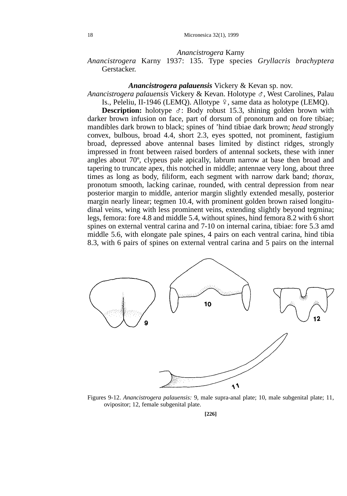### *Anancistrogera* Karny

# *Anancistrogera* Karny 1937: 135. Type species *Gryllacris brachyptera* Gerstacker.

#### *Anancistrogera palauensis* Vickery & Kevan sp. nov.

*Anancistrogera palauensis* Vickery & Kevan. Holotype G, West Carolines, Palau Is., Peleliu, II-1946 (LEMQ). Allotype  $\frac{9}{7}$ , same data as holotype (LEMQ).

**Description:** holotype  $\sigma$ : Body robust 15.3, shining golden brown with darker brown infusion on face, part of dorsum of pronotum and on fore tibiae; mandibles dark brown to black; spines of 'hind tibiae dark brown; *head* strongly convex, bulbous, broad 4.4, short 2.3, eyes spotted, not prominent, fastigium broad, depressed above antennal bases limited by distinct ridges, strongly impressed in front between raised borders of antennal sockets, these with inner angles about 70º, clypeus pale apically, labrum narrow at base then broad and tapering to truncate apex, this notched in middle; antennae very long, about three times as long as body, filiform, each segment with narrow dark band; *thorax,* pronotum smooth, lacking carinae, rounded, with central depression from near posterior margin to middle, anterior margin slightly extended mesally, posterior margin nearly linear; tegmen 10.4, with prominent golden brown raised longitudinal veins, wing with less prominent veins, extending slightly beyond tegmina; legs, femora: fore 4.8 and middle 5.4, without spines, hind femora 8.2 with 6 short spines on external ventral carina and 7-10 on internal carina, tibiae: fore 5.3 amd middle 5.6, with elongate pale spines, 4 pairs on each ventral carina, hind tibia 8.3, with 6 pairs of spines on external ventral carina and 5 pairs on the internal



Figures 9-12. *Anancistrogera palauensis:* 9, male supra-anal plate; 10, male subgenital plate; 11, ovipositor; 12, female subgenital plate.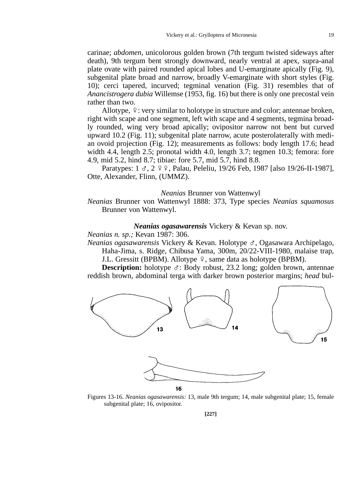carinae; *abdomen,* unicolorous golden brown (7th tergum twisted sideways after death), 9th tergum bent strongly downward, nearly ventral at apex, supra-anal plate ovate with paired rounded apical lobes and U-emarginate apically (Fig. 9), subgenital plate broad and narrow, broadly V-emarginate with short styles (Fig. 10); cerci tapered, incurved; tegminal venation (Fig. 31) resembles that of *Anancistrogera dubia* Willemse (1953, fig. 16) but there is only one precostal vein rather than two.

Allotype,  $\frac{1}{2}$ : very similar to holotype in structure and color; antennae broken, right with scape and one segment, left with scape and 4 segments, tegmina broadly rounded, wing very broad apically; ovipositor narrow not bent but curved upward 10.2 (Fig. 11); subgenital plate narrow, acute posterolaterally with median ovoid projection (Fig. 12); measurements as follows: body length 17.6; head width 4.4, length 2.5; pronotal width 4.0, length 3.7; tegmen 10.3; femora: fore 4.9, mid 5.2, hind 8.7; tibiae: fore 5.7, mid 5.7, hind 8.8.

Paratypes: 1  $\sigma$ , 2  $\varphi$   $\varphi$ , Palau, Peleliu, 19/26 Feb, 1987 [also 19/26-II-1987], Otte, Alexander, Flinn, (UMMZ).

#### *Neanias* Brunner von Wattenwyl

*Neanias* Brunner von Wattenwyl 1888: 373, Type species *Neanias squamosus* Brunner von Wattenwyl.

### *Neanias ogasawarensis* Vickery & Kevan sp. nov.

*Neanias n. sp.;* Kevan 1987: 306.

*Neanias ogasawarensis* Vickery & Kevan. Holotype G, Ogasawara Archipelago, Haha-Jima, s. Ridge, Chibusa Yama, 300m, 20/22-VIII-1980, malaise trap, J.L. Gressitt (BPBM). Allotype  $\varphi$ , same data as holotype (BPBM).

**Description:** holotype  $\sigma$ : Body robust, 23.2 long; golden brown, antennae reddish brown, abdominal terga with darker brown posterior margins; *head* bul-



Figures 13-16. *Neanias ogasawarensis:* 13, male 9th tergum; 14, male subgenital plate; 15, female subgenital plate; 16, ovipositor.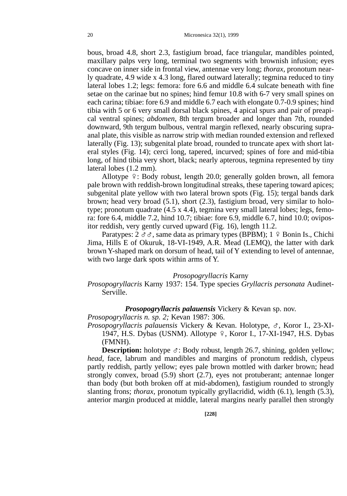bous, broad 4.8, short 2.3, fastigium broad, face triangular, mandibles pointed, maxillary palps very long, terminal two segments with brownish infusion; eyes concave on inner side in frontal view, antennae very long; *thorax,* pronotum nearly quadrate, 4.9 wide x 4.3 long, flared outward laterally; tegmina reduced to tiny lateral lobes 1.2; legs: femora: fore 6.6 and middle 6.4 sulcate beneath with fine setae on the carinae but no spines; hind femur 10.8 with 6-7 very small spines on each carina; tibiae: fore 6.9 and middle 6.7 each with elongate 0.7-0.9 spines; hind tibia with 5 or 6 very small dorsal black spines, 4 apical spurs and pair of preapical ventral spines; *abdomen,* 8th tergum broader and longer than 7th, rounded downward, 9th tergum bulbous, ventral margin reflexed, nearly obscuring supraanal plate, this visible as narrow strip with median rounded extension and reflexed laterally (Fig. 13); subgenital plate broad, rounded to truncate apex with short lateral styles (Fig. 14); cerci long, tapered, incurved; spines of fore and mid-tibia long, of hind tibia very short, black; nearly apterous, tegmina represented by tiny lateral lobes (1.2 mm).

Allotype  $\frac{1}{2}$ : Body robust, length 20.0; generally golden brown, all femora pale brown with reddish-brown longitudinal streaks, these tapering toward apices; subgenital plate yellow with two lateral brown spots (Fig. 15); tergal bands dark brown; head very broad (5.1), short (2.3), fastigium broad, very similar to holotype; pronotum quadrate (4.5 x 4.4), tegmina very small lateral lobes; legs, femora: fore 6.4, middle 7.2, hind 10.7; tibiae: fore 6.9, middle 6.7, hind 10.0; ovipositor reddish, very gently curved upward (Fig. 16), length 11.2.

Paratypes:  $2 \text{ } \sigma \sigma$ , same data as primary types (BPBM);  $1 \text{ } \frac{\sigma}{2}$  Bonin Is., Chichi Jima, Hills E of Okuruk, 18-VI-1949, A.R. Mead (LEMQ), the latter with dark brown Y-shaped mark on dorsum of head, tail of Y extending to level of antennae, with two large dark spots within arms of Y.

## *Prosopogryllacris* Karny

# *Prosopogryllacris* Karny 1937: 154. Type species *Gryllacris personata* Audinet-Serville.

## *Prosopogryllacris palauensis* Vickery & Kevan sp. nov.

*Prosopogryllacris n. sp. 2;* Kevan 1987: 306.

*Prosopogryllacris palauensis* Vickery & Kevan. Holotype, G, Koror I., 23-XI-1947, H.S. Dybas (USNM). Allotype 9, Koror I., 17-XI-1947, H.S. Dybas (FMNH).

**Description:** holotype  $\sigma$ : Body robust, length 26.7, shining, golden yellow; *head,* face, labrum and mandibles and margins of pronotum reddish, clypeus partly reddish, partly yellow; eyes pale brown mottled with darker brown; head strongly convex, broad (5.9) short (2.7), eyes not protuberant; antennae longer than body (but both broken off at mid-abdomen), fastigium rounded to strongly slanting frons; *thorax,* pronotum typically gryllacridid, width (6.1), length (5.3), anterior margin produced at middle, lateral margins nearly parallel then strongly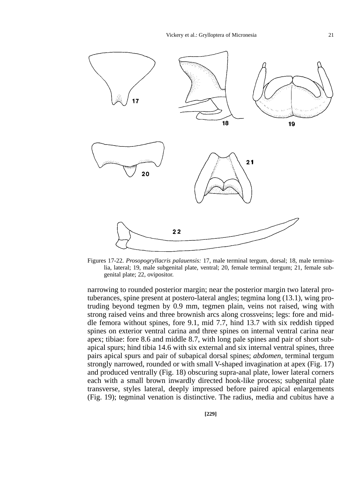

Figures 17-22. *Prosopogryllacris palauensis:* 17, male terminal tergum, dorsal; 18, male terminalia, lateral; 19, male subgenital plate, ventral; 20, female terminal tergum; 21, female subgenital plate; 22, ovipositor.

narrowing to rounded posterior margin; near the posterior margin two lateral protuberances, spine present at postero-lateral angles; tegmina long (13.1), wing protruding beyond tegmen by 0.9 mm, tegmen plain, veins not raised, wing with strong raised veins and three brownish arcs along crossveins; legs: fore and middle femora without spines, fore 9.1, mid 7.7, hind 13.7 with six reddish tipped spines on exterior ventral carina and three spines on internal ventral carina near apex; tibiae: fore 8.6 and middle 8.7, with long pale spines and pair of short subapical spurs; hind tibia 14.6 with six external and six internal ventral spines, three pairs apical spurs and pair of subapical dorsal spines; *abdomen,* terminal tergum strongly narrowed, rounded or with small V-shaped invagination at apex (Fig. 17) and produced ventrally (Fig. 18) obscuring supra-anal plate, lower lateral corners each with a small brown inwardly directed hook-like process; subgenital plate transverse, styles lateral, deeply impressed before paired apical enlargements (Fig. 19); tegminal venation is distinctive. The radius, media and cubitus have a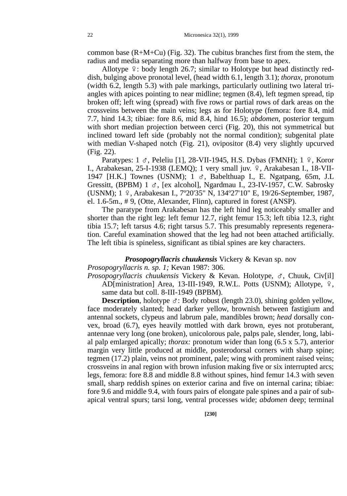common base  $(R+M+Cu)$  (Fig. 32). The cubitus branches first from the stem, the radius and media separating more than halfway from base to apex.

Allotype  $\frac{1}{2}$ : body length 26.7; similar to Holotype but head distinctly reddish, bulging above pronotal level, (head width 6.1, length 3.1); *thorax,* pronotum (width 6.2, length 5.3) with pale markings, particularly outlining two lateral triangles with apices pointing to near midline; tegmen (8.4), left tegmen spread, tip broken off; left wing (spread) with five rows or partial rows of dark areas on the crossveins between the main veins; legs as for Holotype (femora: fore 8.4, mid 7.7, hind 14.3; tibiae: fore 8.6, mid 8.4, hind 16.5); *abdomen,* posterior tergum with short median projection between cerci (Fig. 20), this not symmetrical but inclined toward left side (probably not the normal condition); subgenital plate with median V-shaped notch (Fig. 21), ovipositor (8.4) very slightly upcurved (Fig. 22).

Paratypes:  $1 \text{ } \sigma$ , Peleliu [1], 28-VII-1945, H.S. Dybas (FMNH);  $1 \text{ } \varphi$ , Koror I., Arabakesan, 25-I-1938 (LEMQ); 1 very small juv. º, Arakabesan I., 18-VII-1947 [H.K.] Townes (USNM);  $1 \text{ } \sigma$ , Babelthuap I., E. Ngatpang, 65m, J.L Gressitt, (BPBM) 1  $\sigma$ , [ex alcohol], Ngardmau I., 23-IV-1957, C.W. Sabrosky (USNM); 1 E, Arabakesan I., 7º20'35" N, 134º27'10" E, 19/26-September, 1987, el. 1.6-5m., # 9, (Otte, Alexander, Flinn), captured in forest (ANSP).

The paratype from Arakabesan has the left hind leg noticeably smaller and shorter than the right leg: left femur 12.7, right femur 15.3; left tibia 12.3, right tibia 15.7; left tarsus 4.6; right tarsus 5.7. This presumably represents regeneration. Careful examination showed that the leg had not been attached artificially. The left tibia is spineless, significant as tibial spines are key characters.

*Prosopogryllacris chuukensis* Vickery & Kevan sp. nov *Prosopogryllacris n. sp. 1;* Kevan 1987: 306.

*Prosopogryllacris chuukensis* Vickery & Kevan. Holotype, G, Chuuk, Civ[il] AD[ministration] Area, 13-III-1949, R.W.L. Potts (USNM); Allotype,  $9,$ same data but coll. 8-III-1949 (BPBM).

**Description**, holotype  $\sigma$ : Body robust (length 23.0), shining golden yellow, face moderately slanted; head darker yellow, brownish between fastigium and antennal sockets, clypeus and labrum pale, mandibles brown; *head* dorsally convex, broad (6.7), eyes heavily mottled with dark brown, eyes not protuberant, antennae very long (one broken), unicolorous pale, palps pale, slender, long, labial palp emlarged apically; *thorax:* pronotum wider than long (6.5 x 5.7), anterior margin very little produced at middle, posterodorsal corners with sharp spine; tegmen (17.2) plain, veins not prominent, pale; wing with prominent raised veins; crossveins in anal region with brown infusion making five or six interrupted arcs; legs, femora: fore 8.8 and middle 8.8 without spines, hind femur 14.3 with seven small, sharp reddish spines on exterior carina and five on internal carina; tibiae: fore 9.6 and middle 9.4, with fours pairs of elongate pale spines and a pair of subapical ventral spurs; tarsi long, ventral processes wide; *abdomen* deep; terminal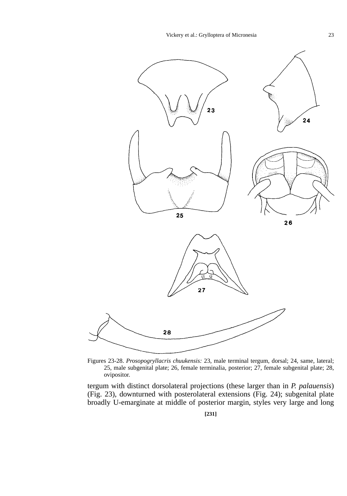

Figures 23-28. *Prosopogryllacris chuukensis:* 23, male terminal tergum, dorsal; 24, same, lateral; 25, male subgenital plate; 26, female terminalia, posterior; 27, female subgenital plate; 28, ovipositor.

tergum with distinct dorsolateral projections (these larger than in *P. palauensis*) (Fig. 23), downturned with posterolateral extensions (Fig. 24); subgenital plate broadly U-emarginate at middle of posterior margin, styles very large and long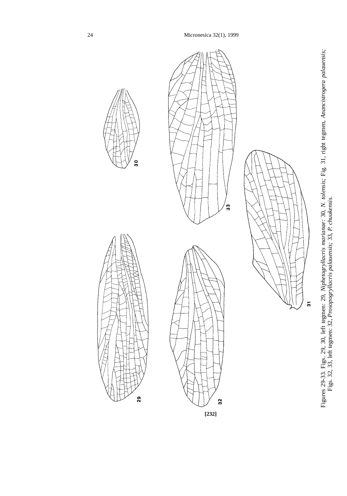

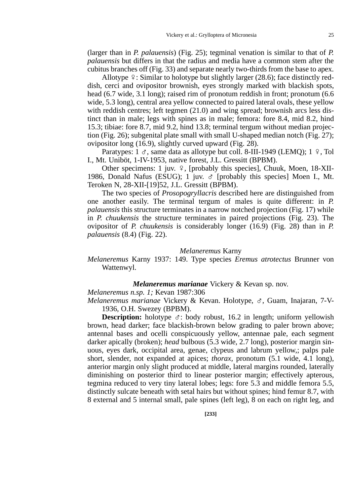(larger than in *P. palauensis*) (Fig. 25); tegminal venation is similar to that of *P. palauensis* but differs in that the radius and media have a common stem after the cubitus branches off (Fig. 33) and separate nearly two-thirds from the base to apex.

Allotype  $\frac{1}{2}$ : Similar to holotype but slightly larger (28.6); face distinctly reddish, cerci and ovipositor brownish, eyes strongly marked with blackish spots, head (6.7 wide, 3.1 long); raised rim of pronotum reddish in front; pronotum (6.6 wide, 5.3 long), central area yellow connected to paired lateral ovals, these yellow with reddish centres; left tegmen (21.0) and wing spread; brownish arcs less distinct than in male; legs with spines as in male; femora: fore 8.4, mid 8.2, hind 15.3; tibiae: fore 8.7, mid 9.2, hind 13.8; terminal tergum without median projection (Fig. 26); subgenital plate small with small U-shaped median notch (Fig. 27); ovipositor long (16.9), slightly curved upward (Fig. 28).

Paratypes:  $1 \text{ } \sigma$ , same data as allotype but coll. 8-III-1949 (LEMO);  $1 \text{ } \circ$ , Tol I., Mt. Uniböt, 1-IV-1953, native forest, J.L. Gressitt (BPBM).

Other specimens: 1 juv.  $9$ , [probably this species], Chuuk, Moen, 18-XII-1986, Donald Nafus (ESUG); 1 juv.  $\sigma$  [probably this species] Moen I., Mt. Teroken N, 28-XII-[19]52, J.L. Gressitt (BPBM).

The two species of *Prosopogryllacris* described here are distinguished from one another easily. The terminal tergum of males is quite different: in *P. palauensis* this structure terminates in a narrow notched projection (Fig. 17) while in *P. chuukensis* the structure terminates in paired projections (Fig. 23). The ovipositor of *P. chuukensis* is considerably longer (16.9) (Fig. 28) than in *P. palauensis* (8.4) (Fig. 22).

## *Melaneremus* Karny

# *Melaneremus* Karny 1937: 149. Type species *Eremus atrotectus* Brunner von Wattenwyl.

## *Melaneremus marianae* Vickery & Kevan sp. nov.

*Melaneremus n.sp. 1;* Kevan 1987:306

*Melaneremus marianae* Vickery & Kevan. Holotype, G, Guam, Inajaran, 7-V-1936, O.H. Swezey (BPBM).

**Description:** holotype  $\sigma$ : body robust, 16.2 in length; uniform yellowish brown, head darker; face blackish-brown below grading to paler brown above; antennal bases and ocelli conspicuously yellow, antennae pale, each segment darker apically (broken); *head* bulbous (5.3 wide, 2.7 long), posterior margin sinuous, eyes dark, occipital area, genae, clypeus and labrum yellow,; palps pale short, slender, not expanded at apices; *thorax,* pronotum (5.1 wide, 4.1 long), anterior margin only slight produced at middle, lateral margins rounded, laterally diminishing on posterior third to linear posterior margin; effectively apterous, tegmina reduced to very tiny lateral lobes; legs: fore 5.3 and middle femora 5.5, distinctly sulcate beneath with setal hairs but without spines; hind femur 8.7, with 8 external and 5 internal small, pale spines (left leg), 8 on each on right leg, and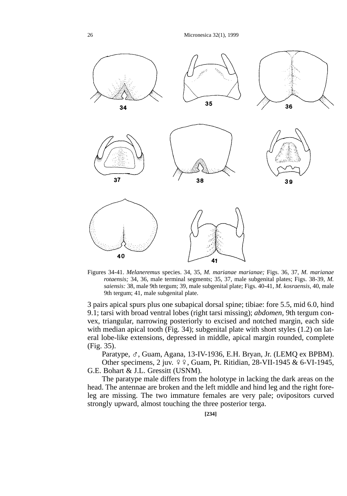

Figures 34-41. *Melaneremus* species. 34, 35, *M. marianae marianae;* Figs. 36, 37, *M. marianae rotaensis;* 34, 36, male terminal segments; 35, 37, male subgenital plates; Figs. 38-39, *M. saiensis:* 38, male 9th tergum; 39, male subgenital plate; Figs. 40-41, *M. kosraensis,* 40, male 9th tergum; 41, male subgenital plate.

3 pairs apical spurs plus one subapical dorsal spine; tibiae: fore 5.5, mid 6.0, hind 9.1; tarsi with broad ventral lobes (right tarsi missing); *abdomen,* 9th tergum convex, triangular, narrowing posteriorly to excised and notched margin, each side with median apical tooth (Fig. 34); subgenital plate with short styles (1.2) on lateral lobe-like extensions, depressed in middle, apical margin rounded, complete (Fig. 35).

Paratype,  $\sigma$ , Guam, Agana, 13-IV-1936, E.H. Bryan, Jr. (LEMQ ex BPBM). Other specimens, 2 juv.  $99$ , Guam, Pt. Ritidian, 28-VII-1945 & 6-VI-1945, G.E. Bohart & J.L. Gressitt (USNM).

The paratype male differs from the holotype in lacking the dark areas on the head. The antennae are broken and the left middle and hind leg and the right foreleg are missing. The two immature females are very pale; ovipositors curved strongly upward, almost touching the three posterior terga.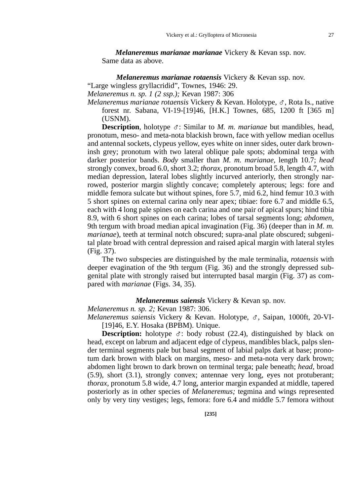*Melaneremus marianae marianae* Vickery & Kevan ssp. nov. Same data as above.

*Melaneremus marianae rotaensis* Vickery & Kevan ssp. nov. "Large wingless gryllacridid", Townes, 1946: 29.

*Melaneremus n. sp. 1 (2 ssp.);* Kevan 1987: 306

*Melaneremus marianae rotaensis Vickery & Kevan. Holotype, ♂, Rota Is., native* forest nr. Sabana, VI-19-[19]46, [H.K.] Townes, 685, 1200 ft [365 m] (USNM).

**Description**, holotype  $\sigma$ : Similar to *M. m. marianae* but mandibles, head, pronotum, meso- and meta-nota blackish brown, face with yellow median ocellus and antennal sockets, clypeus yellow, eyes white on inner sides, outer dark browninsh grey; pronotum with two lateral oblique pale spots; abdominal terga with darker posterior bands. *Body* smaller than *M. m. marianae,* length 10.7; *head* strongly convex, broad 6.0, short 3.2; *thorax,* pronotum broad 5.8, length 4.7, with median depression, lateral lobes slightly incurved anteriorly, then strongly narrowed, posterior margin slightly concave; completely apterous; legs: fore and middle femora sulcate but without spines, fore 5.7, mid 6.2, hind femur 10.3 with 5 short spines on external carina only near apex; tibiae: fore 6.7 and middle 6.5, each with 4 long pale spines on each carina and one pair of apical spurs; hind tibia 8.9, with 6 short spines on each carina; lobes of tarsal segments long; *abdomen,* 9th tergum with broad median apical invagination (Fig. 36) (deeper than in *M. m. marianae*), teeth at terminal notch obscured; supra-anal plate obscured; subgenital plate broad with central depression and raised apical margin with lateral styles (Fig. 37).

The two subspecies are distinguished by the male terminalia, *rotaensis* with deeper evagination of the 9th tergum (Fig. 36) and the strongly depressed subgenital plate with strongly raised but interrupted basal margin (Fig. 37) as compared with *marianae* (Figs. 34, 35).

## *Melaneremus saiensis* Vickery & Kevan sp. nov.

*Melaneremus n. sp. 2;* Kevan 1987: 306.

*Melaneremus saiensis* Vickery & Kevan. Holotype, G, Saipan, 1000ft, 20-VI- [19]46, E.Y. Hosaka (BPBM). Unique.

**Description:** holotype  $\sigma$ : body robust (22.4), distinguished by black on head, except on labrum and adjacent edge of clypeus, mandibles black, palps slender terminal segments pale but basal segment of labial palps dark at base; pronotum dark brown with black on margins, meso- and meta-nota very dark brown; abdomen light brown to dark brown on terminal terga; pale beneath; *head,* broad (5.9), short (3.1), strongly convex; antennae very long, eyes not protuberant; *thorax,* pronotum 5.8 wide, 4.7 long, anterior margin expanded at middle, tapered posteriorly as in other species of *Melaneremus;* tegmina and wings represented only by very tiny vestiges; legs, femora: fore 6.4 and middle 5.7 femora without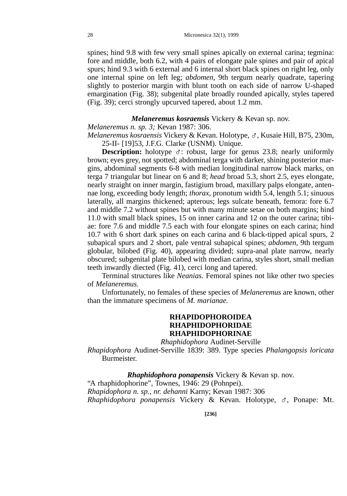spines; hind 9.8 with few very small spines apically on external carina; tegmina: fore and middle, both 6.2, with 4 pairs of elongate pale spines and pair of apical spurs; hind 9.3 with 6 external and 6 internal short black spines on right leg, only one internal spine on left leg; *abdomen,* 9th tergum nearly quadrate, tapering slightly to posterior margin with blunt tooth on each side of narrow U-shaped emargination (Fig. 38); subgenital plate broadly rounded apically, styles tapered (Fig. 39); cerci strongly upcurved tapered, about 1.2 mm.

# *Melaneremus kosraensis* Vickery & Kevan sp. nov.

*Melaneremus n. sp. 3;* Kevan 1987: 306.

*Melaneremus kosraensis* Vickery & Kevan. Holotype, G, Kusaie Hill, B75, 230m, 25-II- [19]53, J.F.G. Clarke (USNM). Unique.

**Description:** holotype  $\sigma$ : robust, large for genus 23.8; nearly uniformly brown; eyes grey, not spotted; abdominal terga with darker, shining posterior margins, abdominal segments 6-8 with median longitudinal narrow black marks, on terga 7 triangular but linear on 6 and 8; *head* broad 5.3, short 2.5, eyes elongate, nearly straight on inner margin, fastigium broad, maxillary palps elongate, antennae long, exceeding body length; *thorax,* pronotum width 5.4, length 5.1; sinuous laterally, all margins thickened; apterous; legs sulcate beneath, femora: fore 6.7 and middle 7.2 without spines but with many minute setae on both margins; hind 11.0 with small black spines, 15 on inner carina and 12 on the outer carina; tibiae: fore 7.6 and middle 7.5 each with four elongate spines on each carina; hind 10.7 with 6 short dark spines on each carina and 6 black-tipped apical spurs, 2 subapical spurs and 2 short, pale ventral subapical spines; *abdomen,* 9th tergum globular, bilobed (Fig. 40), appearing divided; supra-anal plate narrow, nearly obscured; subgenital plate bilobed with median carina, styles short, small median teeth inwardly diected (Fig. 41), cerci long and tapered.

Terminal structures like *Neanias.* Femoral spines not like other two species of *Melaneremus.*

Unfortunately, no females of these species of *Melaneremus* are known, other than the immature specimens of *M. marianae.*

# **RHAPIDOPHOROIDEA RHAPHIDOPHORIDAE RHAPHIDOPHORINAE**

*Rhaphidophora* Audinet-Serville

*Rhapidophora* Audinet-Serville 1839: 389. Type species *Phalangopsis loricata* Burmeister.

*Rhaphidophora ponapensis* Vickery & Kevan sp. nov. "A rhaphidophorine", Townes, 1946: 29 (Pohnpei). *Rhapidophora n. sp., nr. dehanni* Karny; Kevan 1987: 306 *Rhaphidophora ponapensis* Vickery & Kevan. Holotype, G, Ponape: Mt.

**[236]**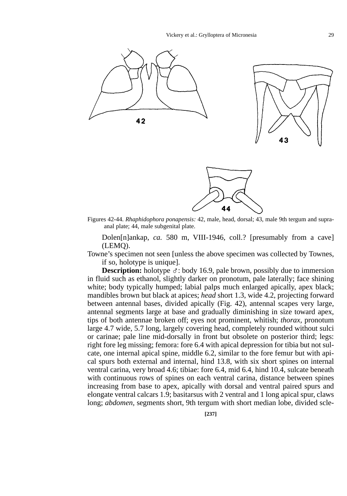

Figures 42-44. *Rhaphidophora ponapensis:* 42, male, head, dorsal; 43, male 9th tergum and supraanal plate; 44, male subgenital plate.

Dolen[n]ankap, *ca.* 580 m, VIII-1946, coll.? [presumably from a cave] (LEMQ).

Towne's specimen not seen [unless the above specimen was collected by Townes, if so, holotype is unique].

**Description:** holotype  $\sigma$ : body 16.9, pale brown, possibly due to immersion in fluid such as ethanol, slightly darker on pronotum, pale laterally; face shining white; body typically humped; labial palps much enlarged apically, apex black; mandibles brown but black at apices; *head* short 1.3, wide 4.2, projecting forward between antennal bases, divided apically (Fig. 42), antennal scapes very large, antennal segments large at base and gradually diminishing in size toward apex, tips of both antennae broken off; eyes not prominent, whitish; *thorax,* pronotum large 4.7 wide, 5.7 long, largely covering head, completely rounded without sulci or carinae; pale line mid-dorsally in front but obsolete on posterior third; legs: right fore leg missing; femora: fore 6.4 with apical depression for tibia but not sulcate, one internal apical spine, middle 6.2, similar to the fore femur but with apical spurs both external and internal, hind 13.8, with six short spines on internal ventral carina, very broad 4.6; tibiae: fore 6.4, mid 6.4, hind 10.4, sulcate beneath with continuous rows of spines on each ventral carina, distance between spines increasing from base to apex, apically with dorsal and ventral paired spurs and elongate ventral calcars 1.9; basitarsus with 2 ventral and 1 long apical spur, claws long; *abdomen,* segments short, 9th tergum with short median lobe, divided scle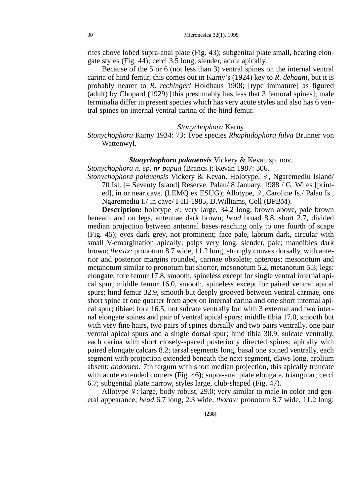rites above lobed supra-anal plate (Fig. 43); subgenital plate small, bearing elongate styles (Fig. 44); cerci 3.5 long, slender, acute apically.

Because of the 5 or 6 (not less than 3) ventral spines on the internal ventral carina of hind femur, this comes out in Karny's (1924) key to *R. dehaani,* but it is probably nearer to *R. rechingeri* Holdhaus 1908; [type immature] as figured (adult) by Chopard (1929) [this presumably has less that 3 femoral spines]; male terminalia differ in present species which has very acute styles and also has 6 ventral spines on internal ventral carina of the hind femur.

### *Stonychophora* Karny

*Stonychophora* Karny 1934: 73; Type species *Rhaphidophora fulva* Brunner von Wattenwyl.

## *Stonychophora palauensis* Vickery & Kevan sp. nov.

*Stonychophora n. sp. nr papua* (Brancs.); Kevan 1987: 306.

*Stonychophora palauensis* Vickery & Kevan. Holotype, G, Ngaremediu Island/ 70 Isl. [= Seventy Island] Reserve, Palau/ 8 January, 1988 / G. Wiles [printed], in or near cave. (LEMO ex ESUG); Allotype,  $\varphi$ , Caroline Is./ Palau Is., Ngaremediu I./ in cave/ I-III-1985, D.Williams, Coll (BPBM).

**Description:** holotype  $\sigma$ : very large, 34.2 long; brown above, pale brown beneath and on legs, antennae dark brown; *head* broad 8.8, short 2.7, divided median projection between antennal bases reaching only to one fourth of scape (Fig. 45); eyes dark grey, not prominent; face pale, labrum dark, circular with small V-emargination apically; palps very long, slender, pale; mandibles dark brown; *thorax:* pronotum 8.7 wide, 11.2 long, strongly convex dorsally, with anterior and posterior margins rounded, carinae obsolete; apterous; mesonotum and metanotum similar to pronotum but shorter, mesonotum 5.2, metanotum 5.3; legs: elongate, fore femur 17.8, smooth, spineless except for single ventral internal apical spur; middle femur 16.0, smooth, spineless except for paired ventral apical spurs; hind femur 32.9, smooth but deeply grooved between ventral carinae, one short spine at one quarter from apex on internal carina and one short internal apical spur; tibiae: fore 16.5, not sulcate ventrally but with 3 external and two internal elongate spines and pair of ventral apical spurs; middle tibia 17.0, smooth but with very fine hairs, two pairs of spines dorsally and two pairs ventrally, one pair ventral apical spurs and a single dorsal spur; hind tibia 30.9, sulcate ventrally, each carina with short closely-spaced posteriorly directed spines; apically with paired elongate calcars 8.2; tarsal segments long, basal one spined ventrally, each segment with projection extended beneath the next segment, claws long, arolium absent; *abdomen:* 7th tergum with short median projection, this apically truncate with acute extended corners (Fig. 46); supra-anal plate elongate, triangular; cerci 6.7; subgenital plate narrow, styles large, club-shaped (Fig. 47).

Allotype  $\frac{1}{2}$ : large, body robust, 29.0; very similar to male in color and general appearance; *head* 6.7 long, 2.3 wide; *thorax:* pronotum 8.7 wide, 11.2 long;

**[238]**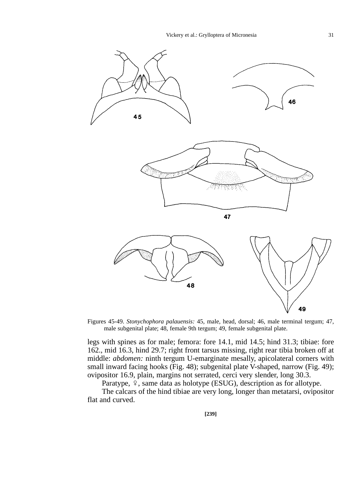

Figures 45-49. *Stonychophora palauensis:* 45, male, head, dorsal; 46, male terminal tergum; 47, male subgenital plate; 48, female 9th tergum; 49, female subgenital plate.

legs with spines as for male; femora: fore 14.1, mid 14.5; hind 31.3; tibiae: fore 162., mid 16.3, hind 29.7; right front tarsus missing, right rear tibia broken off at middle: *abdomen:* ninth tergum U-emarginate mesally, apicolateral corners with small inward facing hooks (Fig. 48); subgenital plate V-shaped, narrow (Fig. 49); ovipositor 16.9, plain, margins not serrated, cerci very slender, long 30.3.

Paratype,  $\frac{6}{7}$ , same data as holotype (ESUG), description as for allotype.

The calcars of the hind tibiae are very long, longer than metatarsi, ovipositor flat and curved.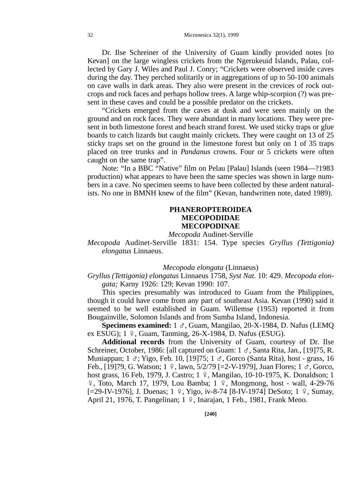Dr. Ilse Schreiner of the University of Guam kindly provided notes [to Kevan] on the large wingless crickets from the Ngerukeuid Islands, Palau, collected by Gary J. Wiles and Paul J. Conry; "Crickets were observed inside caves during the day. They perched solitarily or in aggregations of up to 50-100 animals on cave walls in dark areas. They also were present in the crevices of rock outcrops and rock faces and perhaps hollow trees. A large whip-scorpion (?) was present in these caves and could be a possible predator on the crickets.

"Crickets emerged from the caves at dusk and were seen mainly on the ground and on rock faces. They were abundant in many locations. They were present in both limestone forest and beach strand forest. We used sticky traps or glue boards to catch lizards but caught mainly crickets. They were caught on 13 of 25 sticky traps set on the ground in the limestone forest but only on 1 of 35 traps placed on tree trunks and in *Pandanus* crowns. Four or 5 crickets were often caught on the same trap".

Note: "In a BBC "Native" film on Pelau [Palau] Islands (seen 1984—?1983 production) what appears to have been the same species was shown in large numbers in a cave. No specimen seems to have been collected by these ardent naturalists. No one in BMNH knew of the film" (Kevan, handwritten note, dated 1989).

# **PHANEROPTEROIDEA MECOPODIDAE MECOPODINAE**

*Mecopoda* Audinet-Serville

*Mecopoda* Audinet-Serville 1831: 154. Type species *Gryllus (Tettigonia) elongatus* Linnaeus.

#### *Mecopoda elongata* (Linnaeus)

# *Gryllus (Tettigonia) elongatus* Linnaeus 1758, *Syst Nat.* 10: 429. *Mecopoda elongata;* Karny 1926: 129; Kevan 1990: 107.

This species presumably was introduced to Guam from the Philippines, though it could have come from any part of southeast Asia. Kevan (1990) said it seemed to be well established in Guam. Willemse (1953) reported it from Bougainville, Solomon Islands and from Sumba Island, Indonesia.

**Specimens examined:** 1  $\sigma$ , Guam, Mangilao, 20-X-1984, D. Nafus (LEMQ) ex ESUG);  $1 \div$ , Guam, Tanming, 26-X-1984, D. Nafus (ESUG).

**Additional records** from the University of Guam, courtesy of Dr. Ilse Schreiner, October, 1986: [all captured on Guam: 1  $\sigma$ , Santa Rita, Jan., [19]75, R. Muniappan; 1  $\sigma$ ; Yigo, Feb. 10, [19]75; 1  $\sigma$ , Gorco (Santa Rita), host - grass, 16 Feb., [19]79, G. Watson; 1  $\varphi$ , lawn, 5/2/79 [=2-V-1979], Juan Flores; 1  $\sigma$ , Gorco, host grass, 16 Feb, 1979, J. Castro; 1 º, Mangilao, 10-10-1975, K. Donaldson; 1  $\frac{1}{2}$ , Toto, March 17, 1979, Lou Bamba; 1  $\frac{1}{2}$ , Mongmong, host - wall, 4-29-76 [=29-IV-1976], J. Duenas; 1 º, Yigo, iv-8-74 [8-IV-1974] DeSoto; 1 º, Sumay, April 21, 1976, T. Pangelinan; 1 º, Inarajan, 1 Feb., 1981, Frank Meno.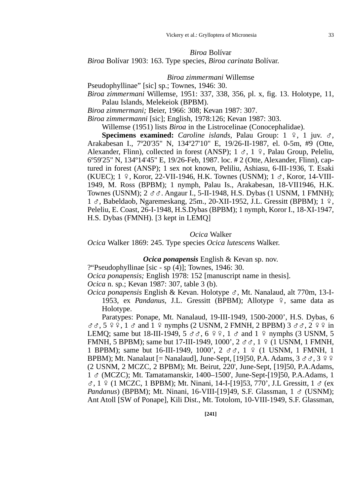### *Biroa* Bolívar

*Biroa* Bolívar 1903: 163. Type species, *Biroa carinata* Bolívar.

#### *Biroa zimmermani* Willemse

Pseudophyllinae" [sic] sp.; Townes, 1946: 30.

*Biroa zimmermani* Willemse, 1951: 337, 338, 356, pl. x, fig. 13. Holotype, 11, Palau Islands, Melekeiok (BPBM).

*Biroa zimmermani;* Beier, 1966: 308; Kevan 1987: 307.

*Biroa zimmermanni* [sic]; English, 1978:126; Kevan 1987: 303.

Willemse (1951) lists *Biroa* in the Listrocelinae (Conocephalidae).

**Specimens examined:** *Caroline islands*, Palau Group:  $1 \div 2$ , 1 juv.  $\sigma$ , Arakabesan I., 7º20'35" N, 134º27'10" E, 19/26-II-1987, el. 0-5m, #9 (Otte, Alexander, Flinn), collected in forest (ANSP);  $1 \text{ } \sigma$ ,  $1 \text{ } \varphi$ , Palau Group, Peleliu, 6º59'25" N, 134º14'45" E, 19/26-Feb, 1987. loc. # 2 (Otte, Alexander, Flinn), captured in forest (ANSP); 1 sex not known, Peliliu, Ashiasu, 6-III-1936, T. Esaki (KUEC);  $1 \div$ , Koror, 22-VII-1946, H.K. Townes (USNM);  $1 \div$ , Koror, 14-VIII-1949, M. Ross (BPBM); 1 nymph, Palau Is., Arakabesan, 18-VII1946, H.K. Townes (USNM);  $2 \text{ } \sigma \sigma$ . Angaur I., 5-II-1948, H.S. Dybas (1 USNM, 1 FMNH); 1  $\sigma$ , Babeldaob, Ngaremeskang, 25m., 20-XII-1952, J.L. Gressitt (BPBM); 1 º, Peleliu, E. Coast, 26-I-1948, H.S.Dybas (BPBM); 1 nymph, Koror I., 18-XI-1947, H.S. Dybas (FMNH). [3 kept in LEMQ]

### *Ocica* Walker

*Ocica* Walker 1869: 245. Type species *Ocica lutescens* Walker.

*Ocica ponapensis* English & Kevan sp. nov.

?"Pseudophyllinae [sic - sp (4)]; Townes, 1946: 30.

*Ocica ponapensis;* English 1978: 152 [manuscript name in thesis].

*Ocica* n. sp.; Kevan 1987: 307, table 3 (b).

*Ocica ponapensis* English & Kevan. Holotype G, Mt. Nanalaud, alt 770m, 13-I-1953, ex *Pandanus*, J.L. Gressitt (BPBM); Allotype  $\frac{9}{7}$ , same data as Holotype.

Paratypes: Ponape, Mt. Nanalaud, 19-III-1949, 1500-2000', H.S. Dybas, 6  $\sigma$  $\sigma$ ,  $\sigma$   $\varphi$ ,  $\sigma$  and  $\sigma$   $\varphi$  nymphs (2 USNM, 2 FMNH, 2 BPBM) 3  $\sigma$  $\sigma$ ,  $\varphi$   $\varphi$   $\varphi$  in LEMQ; same but 18-III-1949,  $5 \text{ d } \text{d } \text{ } \text{ } \infty$ ,  $6 \text{ } \infty$ ,  $1 \text{ d } \text{ } \text{ } \text{ } \text{ } \text{ } \text{ } \infty$  and  $1 \text{ } \infty$  nymphs (3 USNM,  $5 \text{ } \text{ } \infty$ FMNH, 5 BPBM); same but 17-III-1949, 1000',  $2 \sigma \sigma$ , 1  $9$  (1 USNM, 1 FMNH, 1 BPBM); same but 16-III-1949, 1000', 2  $\sigma\sigma$ , 1  $\Omega$  (1 USNM, 1 FMNH, 1 BPBM); Mt. Nanalaut [= Nanalaud], June-Sept, [19]50, P.A. Adams,  $3 \sigma \sigma$ ,  $3 \circ \sigma$ (2 USNM, 2 MCZC, 2 BPBM); Mt. Beirut, 220', June-Sept, [19]50, P.A.Adams, 1 G (MCZC); Mt. Tamatamanskir, 1400–1500', June-Sept-[19]50, P.A.Adams, 1  $\sigma$ , 1  $\Omega$  (1 MCZC, 1 BPBM); Mt. Ninani, 14-I-[19]53, 770', J.L Gressitt, 1  $\sigma$  (ex *Pandanus*) (BPBM); Mt. Ninani, 16-VIII-[19]49, S.F. Glassman, 1 & (USNM); Ant Atoll [SW of Ponape], Kili Dist., Mt. Totolom, 10-VIII-1949, S.F. Glassman,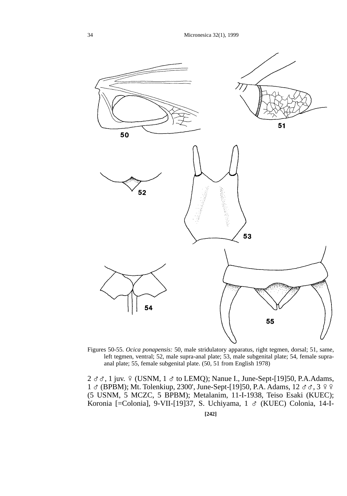

Figures 50-55. *Ocica ponapensis:* 50, male stridulatory apparatus, right tegmen, dorsal; 51, same, left tegmen, ventral; 52, male supra-anal plate; 53, male subgenital plate; 54, female supraanal plate; 55, female subgenital plate. (50, 51 from English 1978)

 $2 \text{ } \sigma \sigma$ , 1 juv.  $9 \text{ (USNM, 1 } \sigma \text{ to LEMQ)}$ ; Nanue I., June-Sept-[19]50, P.A.Adams, 1  $\sigma$  (BPBM); Mt. Tolenkiup, 2300', June-Sept-[19]50, P.A. Adams, 12  $\sigma \sigma$ , 3  $\circ$   $\circ$ (5 USNM, 5 MCZC, 5 BPBM); Metalanim, 11-I-1938, Teiso Esaki (KUEC); Koronia [=Colonia], 9-VII-[19]37, S. Uchiyama, 1 & (KUEC) Colonia, 14-I-

**[242]**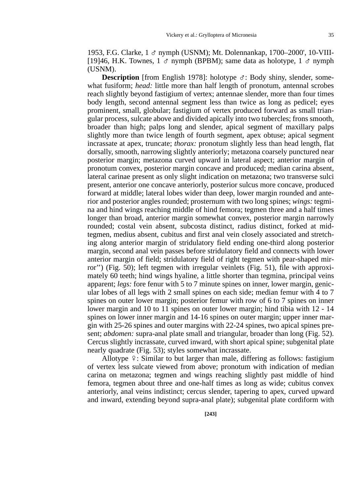1953, F.G. Clarke, 1 G nymph (USNM); Mt. Dolennankap, 1700–2000', 10-VIII- [19]46, H.K. Townes, 1  $\sigma$  nymph (BPBM); same data as holotype, 1  $\sigma$  nymph (USNM).

**Description** [from English 1978]: holotype  $\sigma$ : Body shiny, slender, somewhat fusiform; *head:* little more than half length of pronotum, antennal scrobes reach slightly beyond fastigium of vertex; antennae slender, more than four times body length, second antennal segment less than twice as long as pedicel; eyes prominent, small, globular; fastigium of vertex produced forward as small triangular process, sulcate above and divided apically into two tubercles; frons smooth, broader than high; palps long and slender, apical segment of maxillary palps slightly more than twice length of fourth segment, apex obtuse; apical segment incrassate at apex, truncate; *thorax:* pronotum slightly less than head length, flat dorsally, smooth, narrowing slightly anteriorly; metazona coarsely punctured near posterior margin; metazona curved upward in lateral aspect; anterior margin of pronotum convex, posterior margin concave and produced; median carina absent, lateral carinae present as only slight indication on metazona; two transverse sulci present, anterior one concave anteriorly, posterior sulcus more concave, produced forward at middle; lateral lobes wider than deep, lower margin rounded and anterior and posterior angles rounded; prosternum with two long spines; *wings:* tegmina and hind wings reaching middle of hind femora; tegmen three and a half times longer than broad, anterior margin somewhat convex, posterior margin narrowly rounded; costal vein absent, subcosta distinct, radius distinct, forked at midtegmen, medius absent, cubitus and first anal vein closely associated and stretching along anterior margin of stridulatory field ending one-third along posterior margin, second anal vein passes before stridulatory field and connects with lower anterior margin of field; stridulatory field of right tegmen with pear-shaped mirror'') (Fig. 50); left tegmen with irregular veinlets (Fig. 51), file with approximately 60 teeth; hind wings hyaline, a little shorter than tegmina, principal veins apparent; *legs:* fore fenur with 5 to 7 minute spines on inner, lower margin, genicular lobes of all legs with 2 small spines on each side; median femur with 4 to 7 spines on outer lower margin; posterior femur with row of 6 to 7 spines on inner lower margin and 10 to 11 spines on outer lower margin; hind tibia with 12 - 14 spines on lower inner margin and 14-16 spines on outer margin; upper inner margin with 25-26 spines and outer margins with 22-24 spines, two apical spines present; *abdomen:* supra-anal plate small and triangular, broader than long (Fig. 52). Cercus slightly incrassate, curved inward, with short apical spine; subgenital plate nearly quadrate (Fig. 53); styles somewhat incrassate.

Allotype  $\frac{1}{2}$ : Similar to but larger than male, differing as follows: fastigium of vertex less sulcate viewed from above; pronotum with indication of median carina on metazona; tegmen and wings reaching slightly past middle of hind femora, tegmen about three and one-half times as long as wide; cubitus convex anteriorly, anal veins indistinct; cercus slender, tapering to apex, curved upward and inward, extending beyond supra-anal plate); subgenital plate cordiform with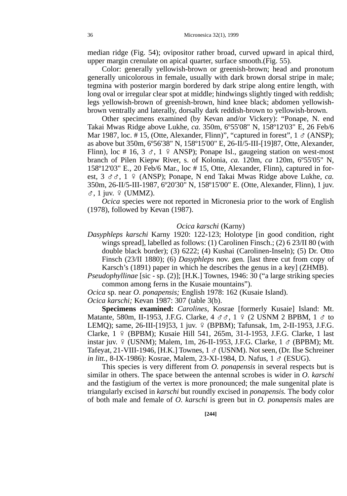median ridge (Fig. 54); ovipositor rather broad, curved upward in apical third, upper margin crenulate on apical quarter, surface smooth.(Fig. 55).

Color: generally yellowish-brown or greenish-brown; head and pronotum generally unicolorous in female, usually with dark brown dorsal stripe in male; tegmina with posterior margin bordered by dark stripe along entire length, with long oval or irregular clear spot at middle; hindwings slightly tinged with reddish; legs yellowish-brown of greenish-brown, hind knee black; abdomen yellowishbrown ventrally and laterally, dorsally dark reddish-brown to yellowish-brown.

Other specimens examined (by Kevan and/or Vickery): "Ponape, N. end Takai Mwas Ridge above Lukhe, *ca.* 350m, 6º55'08" N, 158º12'03" E, 26 Feb/6 Mar 1987, loc. # 15, (Otte, Alexander, Flinn)", "captured in forest",  $1 \text{ } \sigma$  (ANSP); as above but 350m, 6º56'38" N, 158º15'00" E, 26-II/5-III-[19]87, Otte, Alexander, Flinn), loc # 16, 3  $\sigma$ , 1  $\varphi$  ANSP); Ponape Isl., gaugeing station on west-most branch of Pilen Kiepw River, s. of Kolonia, *ca.* 120m, *ca* 120m, 6º55'05" N, 158º12'03" E., 20 Feb/6 Mar., loc # 15, Otte, Alexander, Flinn), captured in forest,  $3 \text{ } \sigma \sigma$ ,  $1 \text{ } \rho$  (ANSP); Ponape, N end Takai Mwas Ridge above Lukhe, *ca.* 350m, 26-II/5-III-1987, 6º20'30" N, 158º15'00" E. (Otte, Alexander, Flinn), 1 juv.  $\sigma$ , 1 juv.  $\varphi$  (UMMZ).

*Ocica* species were not reported in Micronesia prior to the work of English (1978), followed by Kevan (1987).

## *Ocica karschi* (Karny)

*Dasyphleps karschi* Karny 1920: 122-123; Holotype [in good condition, right wings spread], labelled as follows: (1) Carolinen Finsch.; (2) 6 23/II 80 (with double black border); (3) 6222; (4) Kushai (Carolinen-Inseln); (5) Dr. Otto Finsch (23/II 1880); (6) *Dasyphleps* nov. gen. [last three cut from copy of Karsch's (1891) paper in which he describes the genus in a key] (ZHMB).

*Pseudophyllinae* [sic - sp. (2)]; [H.K.] Townes, 1946: 30 ("a large striking species common among ferns in the Kusaie mountains").

*Ocica* sp. near *O. ponapensis;* English 1978: 162 (Kusaie Island).

*Ocica karschi;* Kevan 1987: 307 (table 3(b).

**Specimens examined:** *Carolines,* Kosrae [formerly Kusaie] Island: Mt. Matante, 580m, II-1953, J.F.G. Clarke,  $4 \text{ } \sigma \sigma$ ,  $1 \text{ } \frac{\sigma}{2}$  (2 USNM 2 BPBM,  $1 \text{ } \sigma$  to LEMQ); same, 26-III-[19]53, 1 juv. 9 (BPBM); Tafunsak, 1m, 2-II-1953, J.F.G. Clarke, 1 º (BPBM); Kusaie Hill 541, 265m, 31-I-1953, J.F.G. Clarke, 1 last instar juv.  $9$  (USNM); Malem, 1m, 26-II-1953, J.F.G. Clarke, 1  $\sigma$  (BPBM); Mt. Tafeyat, 21-VIII-1946, [H.K.] Townes, 1 & (USNM). Not seen, (Dr. Ilse Schreiner *in litt.*, 8-IX-1986): Kosrae, Malem, 23-XI-1984, D. Nafus, 1  $\sigma$  (ESUG).

This species is very different from *O. ponapensis* in several respects but is similar in others. The space between the antennal scrobes is wider in *O. karschi* and the fastigium of the vertex is more pronounced; the male sungenital plate is triangularly excised in *karschi* but roundly excised in *ponapensis.* The body color of both male and female of *O. karschi* is green but in *O. ponapensis* males are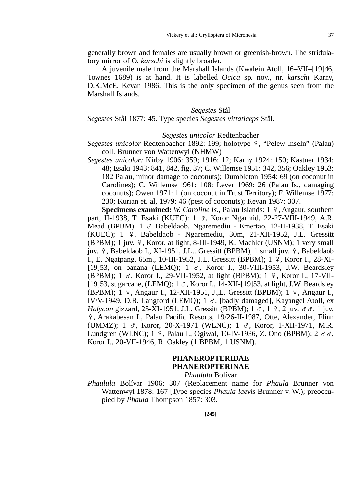generally brown and females are usually brown or greenish-brown. The stridulatory mirror of O*. karschi* is slightly broader.

A juvenile male from the Marshall Islands (Kwalein Atoll, 16–VII–[19]46, Townes 1689) is at hand. It is labelled *Ocica* sp. nov., nr. *karschi* Karny, D.K.McE. Kevan 1986. This is the only specimen of the genus seen from the Marshall Islands.

## *Segestes* Stål

*Segestes* Stål 1877: 45. Type species *Segestes vittaticeps* Stål.

#### *Segestes unicolor* Redtenbacher

- *Segestes unicolor* Redtenbacher 1892: 199; holotype  $\frac{1}{2}$ , "Pelew Inseln" (Palau) coll. Brunner von Wattenwyl (NHMW)
- *Segestes unicolor:* Kirby 1906: 359; 1916: 12; Karny 1924: 150; Kastner 1934: 48; Esaki 1943: 841, 842, fig. 37; C. Willemse 1951: 342, 356; Oakley 1953: 182 Palau, minor damage to coconuts); Dumbleton 1954: 69 (on coconut in Carolines); C. Willemse l961: 108: Lever 1969: 26 (Palau Is., damaging coconuts); Owen 1971: 1 (on coconut in Trust Territory); F. Willemse 1977: 230; Kurian et. al, 1979: 46 (pest of coconuts); Kevan 1987: 307.

**Specimens examined:** *W. Caroline Is.*, Palau Islands: 1 º, Angaur, southern part, II-1938, T. Esaki (KUEC): 1 &, Koror Ngarmid, 22-27-VIII-1949, A.R. Mead (BPBM): 1  $\sigma$  Babeldaob, Ngaremediu - Emertao, 12-II-1938, T. Esaki (KUEC); 1 E, Babeldaob - Ngaremediu, 30m, 21-XII-1952, J.L. Gressitt (BPBM); 1 juv.  $9$ , Koror, at light, 8-III-1949, K. Maehler (USNM); 1 very small juv.  $9$ , Babeldaob I., XI-1951, J.L.. Gressitt (BPBM); 1 small juv.  $9$ , Babeldaob I., E. Ngatpang, 65m., 10-III-1952, J.L. Gressitt (BPBM); 1 º, Koror I., 28-XI-[19]53, on banana (LEMQ);  $1 \text{ } \sigma$ , Koror I., 30-VIII-1953, J.W. Beardsley (BPBM);  $1 \text{ } \sigma$ , Koror I., 29-VII-1952, at light (BPBM);  $1 \text{ } \frac{\sigma}{2}$ , Koror I., 17-VII-[19]53, sugarcane, (LEMQ);  $1 \sigma$ , Koror I., 14-XII-[19]53, at light, J.W. Beardsley (BPBM); 1 º, Angaur I., 12-XII-1951, J.,L. Gressitt (BPBM); 1 º, Angaur I., IV/V-1949, D.B. Langford (LEMQ); 1  $\sigma$ , [badly damaged], Kayangel Atoll, ex *Halycon gizzard, 25-XI-1951, J.L. Gressitt (BPBM); 1*  $\sigma$ *, 1*  $\Omega$ *, 2 juv.*  $\sigma \sigma$ *, 1 juv.* E, Arakabesan I., Palau Pacific Resorts, 19/26-II-1987, Otte, Alexander, Flinn (UMMZ); 1 G, Koror, 20-X-1971 (WLNC); 1 G, Koror, 1-XII-1971, M.R. Lundgren (WLNC);  $1 \nvert 9$ , Palau I., Ogiwal, 10-IV-1936, Z. Ono (BPBM);  $2 \nvert 3 \nvert 6$ , Koror I., 20-VII-1946, R. Oakley (1 BPBM, 1 USNM).

# **PHANEROPTERIDAE PHANEROPTERINAE**

*Phaulula* Bolívar

*Phaulula* Bolívar 1906: 307 (Replacement name for *Phaula* Brunner von Wattenwyl 1878: 167 [Type species *Phaula laevis* Brunner v. W.); preoccupied by *Phaula* Thompson 1857: 303.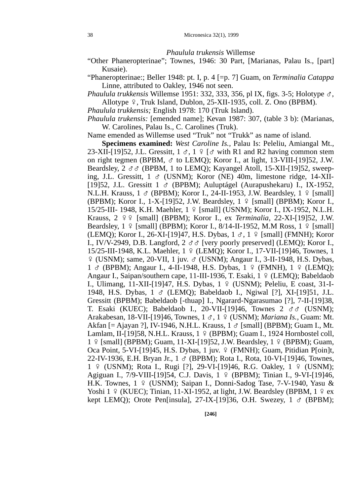### *Phaulula trukensis* Willemse

- "Other Phaneropterinae"; Townes, 1946: 30 Part, [Marianas, Palau Is., [part] Kusaie).
- "Phaneropterinae:; Beller 1948: pt. I, p. 4 [=p. 7] Guam, on *Terminalia Catappa* Linne, attributed to Oakley, 1946 not seen.

*Phaulula trukkensis* Willemse 1951: 332, 333, 356, pl IX, figs. 3-5; Holotype G, Allotype  $9$ , Truk Island, Dublon, 25-XII-1935, coll. Z. Ono (BPBM).

*Phaulula trukkensis;* English 1978: 170 (Truk Island).

*Phaulula trukensis:* [emended name]; Kevan 1987: 307, (table 3 b): (Marianas, W. Carolines, Palau Is., C. Carolines (Truk).

Name emended as Willemse used "Truk" not "Trukk" as name of island.

**Specimens examined:** *West Caroline Is.,* Palau Is: Peleliu, Amiangal Mt., 23-XII-[19]52, J.L. Gressitt,  $1 \text{ } \sigma$ ,  $1 \text{ } \frac{\sigma}{2}$  with R1 and R2 having common stem on right tegmen (BPBM,  $\sigma$  to LEMQ); Koror I., at light, 13-VIII-[19]52, J.W. Beardsley,  $2 \text{ } \sigma \sigma$  (BPBM, 1 to LEMQ); Kayangel Atoll, 15-XII-[19]52, sweeping, J.L. Gressitt,  $1 \text{ } \sigma$  (USNM); Koror (NE) 40m, limestone ridge, 14-XII-[19]52, J.L. Gressitt 1 G (BPBM); Auluptágel (Aurapushekaru) I., IX-1952, N.L.H. Krauss,  $1 \text{ } \circ \text{ }$  (BPBM); Koror I., 24-II-1953, J.W. Beardsley,  $1 \text{ } \circ \text{ }$  [small] (BPBM); Koror I., 1-X-[19]52, J.W. Beardsley,  $1 \sqrt{9}$  [small] (BPBM); Koror I., 15/25-III- 1948, K.H. Maehler, 1 º [small] (USNM); Koror I., IX-1952, N.L.H. Krauss, 2 EE [small] (BPBM); Koror I., ex *Terminalia,* 22-XI-[19]52, J.W. Beardsley,  $1 \nsubseteq [small]$  (BPBM); Koror I., 8/14-II-1952, M.M Ross,  $1 \nsubseteq [small]$ (LEMQ); Koror I., 26-XI-[19]47, H.S. Dybas,  $1 \text{ } \sigma$ ,  $1 \text{ } \frac{\sigma}{2}$  [small] (FMNH); Koror I., IV/V-2949, D.B. Langford,  $2 \text{ } \sigma \sigma$  [very poorly preserved] (LEMQ); Koror I., 15/25-III-1948, K.L. Maehler, 1 E (LEMQ); Koror I., 17-VII-[19]46, Townes, 1  $\frac{1}{2}$  (USNM); same, 20-VII, 1 juv.  $\sigma$  (USNM); Angaur I., 3-II-1948, H.S. Dybas, 1 & (BPBM); Angaur I., 4-II-1948, H.S. Dybas, 1 º (FMNH), 1 º (LEMQ); Angaur I., Saipan/southern cape, 11-III-1936, T. Esaki,  $1 \div (LEMQ)$ ; Babeldaob I., Ulimang, 11-XII-[19]47, H.S. Dybas, 1 º (USNM); Peleliu, E coast, 31-I-1948, H.S. Dybas, 1 & (LEMQ); Babeldaob I., Ngiwal [?], XI-[19]51, J.L. Gressitt (BPBM); Babeldaob [-thuap] I., Ngarard-Ngarasumao [?], 7-II-[19]38, T. Esaki (KUEC); Babeldaob I., 20-VII-[19]46, Townes  $2 \text{ } \sigma \sigma$  (USNM); Arakabesan, 18-VII-[19]46, Townes, 1 &, 1 º (USNM); *Mariana Is.*, Guam: Mt. Akfan [= Ajayan ?], IV-1946, N.H.L. Krauss,  $1 \text{ } \sigma$  [small] (BPBM); Guam I., Mt. Lamlam, II-[19]58, N.H.L. Krauss,  $1 \notin (BPBM)$ ; Guam I., 1924 Hornbostel coll, 1 º [small] (BPBM); Guam, 11-XI-[19]52, J.W. Beardsley, 1 º (BPBM); Guam, Oca Point, 5-VI-[19]45, H.S. Dybas, 1 juv. º (FMNH); Guam, Pitidian P[oin]t, 22-IV-1936, E.H. Bryan Jr., 1 G (BPBM); Rota I., Rota, 10-VI-[19]46, Townes, 1 º (USNM); Rota I., Rugi [?], 29-VI-[19]46, R.G. Oakley, 1 º (USNM); Agiguan I., 7/9-VIII-[19]54, C.J. Davis, 1 º (BPBM); Tinian I., 9-VI-[19]46, H.K. Townes, 1 º (USNM); Saipan I., Donni-Sadog Tase, 7-V-1940, Yasu & Yoshi 1  $\frac{1}{2}$  (KUEC); Tinian, 11-XI-1952, at light, J.W. Beardsley (BPBM, 1  $\frac{1}{2}$  ex kept LEMQ); Orote Pen[insula], 27-IX-[19]36, O.H. Swezey,  $1 \text{ } \sigma$  (BPBM);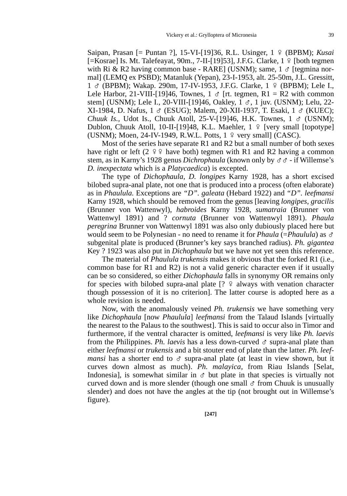Saipan, Prasan [= Puntan ?], 15-VI-[19]36, R.L. Usinger, 1 º (BPBM); *Kusai*  $[=K$ osrae] Is. Mt. Talefeayat, 90m., 7-II-[19]53], J.F.G. Clarke, 1  $\frac{9}{7}$  [both tegmen] with Ri & R2 having common base - RARE] (USNM); same,  $1 \circ$  [tegmina normal] (LEMQ ex PSBD); Matanluk (Yepan), 23-I-1953, alt. 25-50m, J.L. Gressitt,  $1 \text{ } \circ$  (BPBM); Wakap. 290m, 17-IV-1953, J.F.G. Clarke,  $1 \text{ } \circ$  (BPBM); Lele I., Lele Harbor, 21-VIII-[19]46, Townes, 1  $\sigma$  [rt. tegmen, R1 = R2 with common stem] (USNM); Lele I., 20-VIII-[19]46, Oakley, 1  $\sigma$ , 1 juv. (USNM); Lelu, 22-XI-1984, D. Nafus,  $1 \text{ } \circ \text{ } (\text{ESUG})$ ; Malem, 20-XII-1937, T. Esaki,  $1 \text{ } \circ \text{ } (\text{KUEC})$ ; *Chuuk Is., Udot Is., Chuuk Atoll, 25-V-*[19]46, H.K. Townes, 1 ♂ (USNM); Dublon, Chuuk Atoll, 10-II-[19]48, K.L. Maehler,  $1 \oplus$  [very small [topotype] (USNM); Moen, 24-IV-1949, R.W.L. Potts,  $1 \div \text{very small}$  (CASC).

Most of the series have separate R1 and R2 but a small number of both sexes have right or left (2  $99$  have both) tegmen with R1 and R2 having a common stem, as in Karny's 1928 genus *Dichrophaula* (known only by GG - if Willemse's *D. inexpectata* which is a *Platycaedica*) is excepted.

The type of *Dichophaula, D. longipes* Karny 1928, has a short excised bilobed supra-anal plate, not one that is produced into a process (often elaborate) as in *Phaulula.* Exceptions are *"D". galeata* (Hebard 1922) and *"D". leefmansi* Karny 1928, which should be removed from the genus [leaving *longipes, gracilis* (Brunner von Wattenwyl), *habroides* Karny 1928, *sumatraia* (Brunner von Wattenwyl 1891) and ? *cornuta* (Brunner von Wattenwyl 1891). *Phaula peregrina* Brunner von Wattenwyl 1891 was also only dubiously placed here but would seem to be Polynesian - no need to rename it for *Phaula* ( $=$ *Phaulula*) as  $\sigma$ subgenital plate is produced (Brunner's key says branched radius). *Ph. gigantea* Key ? 1923 was also put in *Dichophaula* but we have not yet seen this reference.

The material of *Phaulula trukensis* makes it obvious that the forked R1 (i.e., common base for R1 and R2) is not a valid generic character even if it usually can be so considered, so either *Dichophaula* falls in synonymy OR remains only for species with bilobed supra-anal plate  $[? \t{2}$  always with venation character though possession of it is no criterion]. The latter course is adopted here as a whole revision is needed.

Now, with the anomalously veined *Ph. trukensis* we have something very like *Dichophaula* [now *Phaulula*] *leefmansi* from the Talaud Islands [virtually the nearest to the Palaus to the southwest]. This is said to occur also in Timor and furthermore, if the ventral character is omitted, *leefmansi* is very like *Ph. laevis* from the Philippines. *Ph. laevis* has a less down-curved  $\sigma$  supra-anal plate than either *leefmansi* or *trukensis* and a bit stouter end of plate than the latter. *Ph. leefmansi* has a shorter end to  $\sigma$  supra-anal plate (at least in view shown, but it curves down almost as much). *Ph. malayica,* from Riau Islands [Selat, Indonesia], is somewhat similar in  $\sigma$  but plate in that species is virtually not curved down and is more slender (though one small  $\sigma$  from Chuuk is unusually slender) and does not have the angles at the tip (not brought out in Willemse's figure).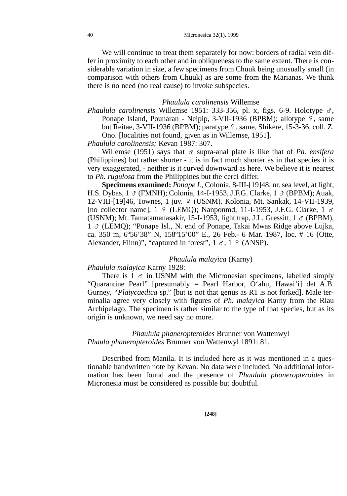We will continue to treat them separately for now: borders of radial vein differ in proximity to each other and in obliqueness to the same extent. There is considerable variation in size, a few specimens from Chuuk being unusually small (in comparison with others from Chuuk) as are some from the Marianas. We think there is no need (no real cause) to invoke subspecies.

### *Phaulula carolinensis* Willemse

*Phaulula carolinensis* Willemse 1951: 333-356, pl. x, figs. 6-9. Holotype G, Ponape Island, Pounaran - Neipip, 3-VII-1936 (BPBM); allotype  $\varphi$ , same but Reitae,  $3$ -VII-1936 (BPBM); paratype  $9$ . same, Shikere, 15-3-36, coll. Z. Ono. [localities not found, given as in Willemse, 1951].

*Phaulula carolinensis;* Kevan 1987: 307.

Willemse (1951) says that  $\sigma$  supra-anal plate is like that of *Ph. ensifera* (Philippines) but rather shorter - it is in fact much shorter as in that species it is very exaggerated, - neither is it curved downward as here. We believe it is nearest to *Ph. rugulosa* from the Philippines but the cerci differ.

**Specimens examined:** *Ponape I.,* Colonia, 8-III-[19]48, nr. sea level, at light, H.S. Dybas, 1 ♂ (FMNH); Colonia, 14-I-1953, J.F.G. Clarke, 1 ♂ (BPBM); Auak, 12-VIII-[19]46, Townes, 1 juv. 9 (USNM). Kolonia, Mt. Sankak, 14-VII-1939, [no collector name],  $1 \notin (LEMQ)$ ; Nanponmd, 11-I-1953, J.F.G. Clarke,  $1 \circ$ (USNM); Mt. Tamatamanasakir, 15-I-1953, light trap, J.L. Gressitt,  $1 \text{ } \sigma$  (BPBM), 1 G (LEMQ); "Ponape Isl., N. end of Ponape, Takai Mwas Ridge above Lujka, ca. 350 m, 6º56'38" N, 158º15'00" E., 26 Feb.- 6 Mar. 1987, loc. # 16 (Otte, Alexander, Flinn)", "captured in forest",  $1 \text{ } \sigma$ ,  $1 \text{ } \frac{\sigma}{2}$  (ANSP).

# *Phaulula malayica* (Karny)

*Phaulula malayica* Karny 1928:

There is  $1 \, \sigma$  in USNM with the Micronesian specimens, labelled simply "Quarantine Pearl" [presumably = Pearl Harbor, O'ahu, Hawai'i] det A.B. Gurney, *"Platycaedica* sp." [but is not that genus as R1 is not forked]. Male terminalia agree very closely with figures of *Ph. malayica* Karny from the Riau Archipelago. The specimen is rather similar to the type of that species, but as its origin is unknown, we need say no more.

*Phaulula phaneropteroides* Brunner von Wattenwyl *Phaula phaneropteroides* Brunner von Wattenwyl 1891: 81.

Described from Manila. It is included here as it was mentioned in a questionable handwritten note by Kevan. No data were included. No additional information has been found and the presence of *Phaulula phaneropteroides* in Micronesia must be considered as possible but doubtful.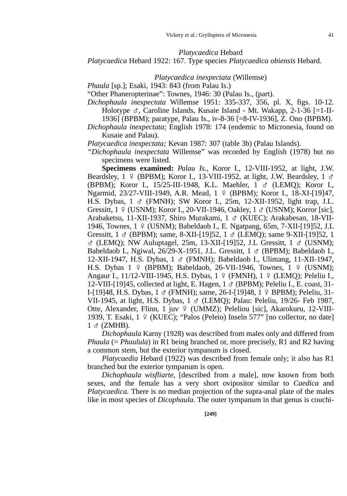#### *Platycaedica* Hebard

*Platycaedica* Hebard 1922: 167. Type species *Platycaedica obiensis* Hebard.

## *Platycaedica inexpectata* (Willemse)

*Phaula* [sp.]; Esaki, 1943: 843 (from Palau Is.)

"Other Phaneropterinae": Townes, 1946: 30 (Palau Is., (part).

*Dichophaula inexpectata* Willemse 1951: 335-337, 356, pl. X, figs. 10-12. Holotype G, Caroline Islands, Kusaie Island - Mt. Wakapp, 2-1-36 [=1-II-

1936] (BPBM); paratype, Palau Is., iv-8-36 [=8-IV-1936], Z. Ono (BPBM).

*Dichophaula inexpectata;* English 1978: 174 (endemic to Micronesia, found on Kusaie and Palau).

*Platycaedica inexpectata;* Kevan 1987: 307 (table 3b) (Palau Islands).

*"Dichophaula inexpectata* Willemse" was recorded by English (1978) but no specimens were listed.

**Specimens examined:** *Palau Is.,* Koror I., 12-VIII-1952, at light, J.W. Beardsley,  $1 \notin (BPBM)$ ; Koror I., 13-VIII-1952, at light, J.W. Beardsley,  $1 \circ$ (BPBM); Koror I., 15/25-III-1948, K.L. Maehler, 1 G (LEMQ); Koror I., Ngarmid, 23/27-VIII-1949, A.R. Mead, 1 º (BPBM); Koror I., 18-XI-[19]47, H.S. Dybas, 1 & (FMNH); SW Koror I., 25m, 12-XII-1952, light trap, J.L. Gressitt,  $1 \notin (USNM)$ ; Koror I., 20-VII-1946, Oakley,  $1 \circ (USNM)$ ; Korror [sic], Arabaketsu, 11-XII-1937, Shiro Murakami, 1 & (KUEC); Arakabesan, 18-VII-1946, Townes, 1 º (USNM); Babeldaob I., E. Ngatpang, 65m, 7-XII-[19]52, J.L Gressitt,  $1 \text{ } \circ$  (BPBM); same, 8-XII-[19]52,  $1 \text{ } \circ$  (LEMQ); same 9-XII-[19]52, 1  $\sigma$  (LEMQ); NW Auluptagel, 25m, 13-XII-[19]52, J.L Gressitt, 1  $\sigma$  (USNM); Babeldaob I., Ngiwal, 26/29-X-1951, J.L. Gressitt,  $1 \text{ } \sigma$  (BPBM); Babeldaob I., 12-XII-1947, H.S. Dybas,  $1 \text{ } \circ \text{ }$  (FMNH); Babeldaob I., Ulimang, 11-XII-1947, H.S. Dybas  $1 \notin (BPBM)$ ; Babeldaob, 26-VII-1946, Townes,  $1 \notin (USNM)$ ; Angaur I., 11/12-VIII-1945, H.S. Dybas,  $1 \notin (FMMH)$ ,  $1 \notin (LEMO)$ ; Peleliu I., 12-VIII-[19]45, collected at light, E. Hagen,  $1 \text{ } \sigma$  (BPBM); Peleliu I., E. coast, 31-I-[19]48, H.S. Dybas, 1 & (FMNH); same, 26-I-[19]48, 1 º BPBM); Peleliu, 31-VII-1945, at light, H.S. Dybas,  $1 \text{ } \sigma$  (LEMQ); Palau: Peleliu, 19/26- Feb 1987, Otte, Alexander, Flinn, 1 juv º (UMMZ); Peleliou [sic], Akarokuru, 12-VIII-1939, T. Esaki,  $1 \sqrt{9}$  (KUEC); "Palos (Peleio) Inseln 577" [no collector, no date]  $1 \text{ } \text{\&}$  (ZMHB).

*Dichophaula* Karny (1928) was described from males only and differed from *Phaula (= Phaulula)* in R1 being branched or, more precisely, R1 and R2 having a common stem, but the exterior tympanum is closed.

*Platycaedia* Hebard (1922) was described from female only; it also has R1 branched but the exterior tympanum is open.

*Dichophaula wisfliarte,* [described from a male], now known from both sexes, and the female has a very short ovipositor similar to *Caedica* and *Platycaedica.* There is no median projection of the supra-anal plate of the males like in most species of *Dicophaula.* The outer tympanum in that genus is couchi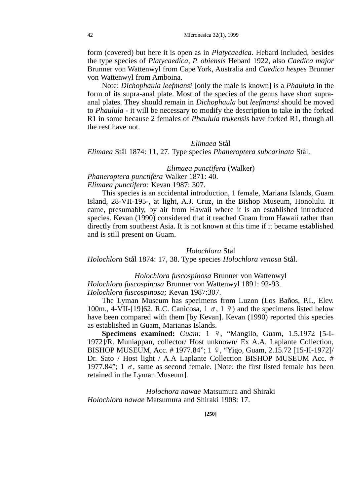form (covered) but here it is open as in *Platycaedica.* Hebard included, besides the type species of *Platycaedica, P. obiensis* Hebard 1922, also *Caedica major* Brunner von Wattenwyl from Cape York, Australia and *Caedica hespes* Brunner von Wattenwyl from Amboina.

Note: *Dichophaula leefmansi* [only the male is known] is a *Phaulula* in the form of its supra-anal plate. Most of the species of the genus have short supraanal plates. They should remain in *Dichophaula* but *leefmansi* should be moved to *Phaulula* - it will be necessary to modify the description to take in the forked R1 in some because 2 females of *Phaulula trukensis* have forked R1, though all the rest have not.

### *Elimaea* Stål

*Elimaea* Stål 1874: 11, 27. Type species *Phaneroptera subcarinata* Stål.

*Elimaea punctifera* (Walker)

*Phaneroptera punctifera* Walker 1871: 40.

*Elimaea punctifera:* Kevan 1987: 307.

This species is an accidental introduction, 1 female, Mariana Islands, Guam Island, 28-VII-195-, at light, A.J. Cruz, in the Bishop Museum, Honolulu. It came, presumably, by air from Hawaii where it is an established introduced species. Kevan (1990) considered that it reached Guam from Hawaii rather than directly from southeast Asia. It is not known at this time if it became established and is still present on Guam.

# *Holochlora* Stål

*Holochlora* Stål 1874: 17, 38. Type species *Holochlora venosa* Stål.

*Holochlora fuscospinosa* Brunner von Wattenwyl

*Holochlora fuscospinosa* Brunner von Wattenwyl 1891: 92-93.

*Holochlora fuscospinosa;* Kevan 1987:307.

The Lyman Museum has specimens from Luzon (Los Baños, P.I., Elev. 100m., 4-VII-[19]62. R.C. Canicosa,  $1 \text{ } \sigma$ ,  $1 \text{ } \varphi$ ) and the specimens listed below have been compared with them [by Kevan]. Kevan (1990) reported this species as established in Guam, Marianas Islands.

**Specimens examined:** *Guam:* 1 º, "Mangilo, Guam, 1.5.1972 [5-I-1972]/R. Muniappan, collector/ Host unknown/ Ex A.A. Laplante Collection, BISHOP MUSEUM, Acc. #1977.84"; 1 º, "Yigo, Guam, 2.15.72 [15-II-1972]/ Dr. Sato / Host light / A.A Laplante Collection BISHOP MUSEUM Acc. # 1977.84";  $1 \text{ } \sigma$ , same as second female. [Note: the first listed female has been retained in the Lyman Museum].

*Holochora nawae* Matsumura and Shiraki *Holochlora nawae* Matsumura and Shiraki 1908: 17.

**[250]**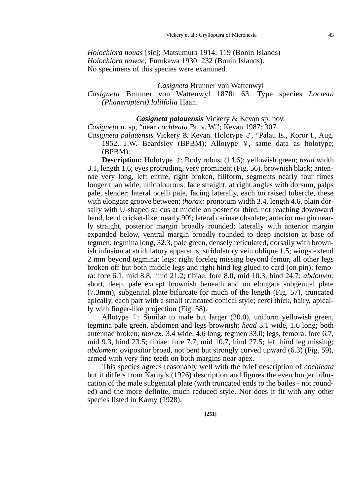*Holochlora nouas* [sic]; Matsumura 1914: 119 (Bonin Islands) *Holochlora nawae;* Furukawa 1930: 232 (Bonin Islands). No specimens of this species were examined.

## *Casigneta* Brunner von Wattenwyl

# *Casigneta* Brunner von Wattenwyl 1878: 63. Type species *Locusta (Phaneroptera) loliifolia* Haan.

# *Casigneta palauensis* Vickery & Kevan sp. nov.

*Casigneta* n. sp, "near *cochleata* Br. v. W."; Kevan 1987: 307.

*Casigneta palauensis* Vickery & Kevan. Holotype G, "Palau Is., Koror I., Aug. 1952. J.W. Beardsley (BPBM); Allotype  $\frac{1}{2}$ , same data as holotype; (BPBM).

**Description:** Holotype ♂: Body robust (14.6); yellowish green; *head* width 3.1, length 1.6; eyes protruding, very prominent (Fig. 56), brownish black; antennae very long, left entire, right broken, filiform, segments nearly four times longer than wide, unicolourous; face straight, at right angles with dorsum, palps pale, slender; lateral ocelli pale, facing laterally, each on raised tubercle, these with elongate groove between; *thorax*: pronotum width 3.4, length 4.6, plain dorsally with U-shaped sulcus at middle on posterior third, not reaching downward bend, bend cricket-like, nearly 90º; lateral carinae obsolete; anterior margin nearly straight, posterior margin broadly rounded; laterally with anterior margin expanded below, ventral margin broadly rounded to deep incision at base of tegmen; tegmina long, 32.3, pale green, densely reticulated, dorsally with brownish infusion at stridulatory apparatus; stridulatory vein oblique 1.5; wings extend 2 mm beyond tegmina; legs: right foreleg missing beyond femur, all other legs broken off but both middle legs and right hind leg glued to card (on pin); femora: fore 6.1, mid 8.8, hind 21.2; tibiae: fore 8.0, mid 10.3, hind 24.7; *abdomen:* short, deep, pale except brownish beneath and on elongate subgenital plate (7.3mm), subgenital plate bifurcate for much of the length (Fig. 57), truncated apically, each part with a small truncated conical style; cerci thick, hairy, apically with finger-like projection (Fig. 58).

Allotype  $\frac{1}{2}$ : Similar to male but larger (20.0), uniform yellowish green, tegmina pale green, abdomen and legs brownish; *head* 3.1 wide, 1.6 long; both antennae broken; *thorax:* 3.4 wide, 4.6 long; tegmen 33.0; legs, femora: fore 6.7, mid 9.3, hind 23.5; tibiae: fore 7.7, mid 10.7, hind 27.5; left hind leg missing; *abdomen:* ovipositor broad, not bent but strongly curved upward (6.3) (Fig. 59), armed with very fine teeth on both margins near apex.

This species agrees reasonably well with the brief description of *cochleata* but it differs from Karny's (1926) description and figures the even longer bifurcation of the male subgenital plate (with truncated ends to the bailes - not rounded) and the more definite, much reduced style. Nor does it fit with any other species listed in Karny (1928).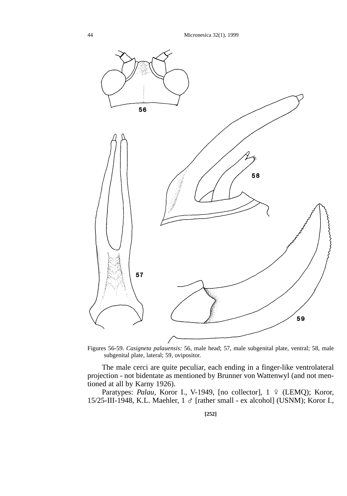

Figures 56-59. *Casigneta palauensis:* 56, male head; 57, male subgenital plate, ventral; 58, male subgenital plate, lateral; 59, ovipositor.

The male cerci are quite peculiar, each ending in a finger-like ventrolateral projection - not bidentate as mentioned by Brunner von Wattenwyl (and not mentioned at all by Karny 1926).

Paratypes: Palau, Koror I., V-1949, [no collector], 1 º (LEMQ); Koror, 15/25-III-1948, K.L. Maehler, 1 G [rather small - ex alcohol] (USNM); Koror I.,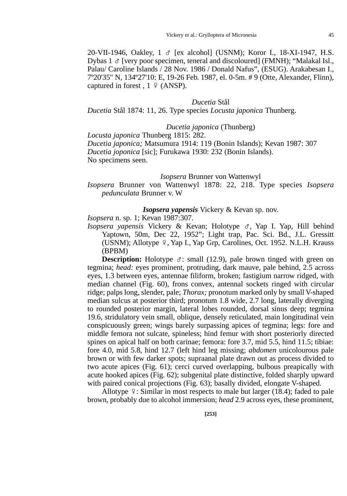20-VII-1946, Oakley,  $1 \text{ } \text{\ensuremath{\mathcal{S}}}$  [ex alcohol] (USNM); Koror I., 18-XI-1947, H.S. Dybas  $1 \text{ }\sigma$  [very poor specimen, teneral and discoloured] (FMNH); "Malakal Isl., Palau/ Caroline Islands / 28 Nov. 1986 / Donald Nafus", (ESUG). Arakabesan I., 7º20'35" N, 134º27'10: E, 19-26 Feb. 1987, el. 0-5m. # 9 (Otte, Alexander, Flinn), captured in forest,  $1 \sqrt{9}$  (ANSP).

#### *Ducetia* Stål

*Ducetia* Stål 1874: 11, 26. Type species *Locusta japonica* Thunberg.

*Ducetia japonica* (Thunberg)

*Locusta japonica* Thunberg 1815: 282. *Ducetia japonica;* Matsumura 1914: 119 (Bonin Islands); Kevan 1987: 307 *Ducetia joponica* [sic]; Furukawa 1930: 232 (Bonin Islands). No specimens seen.

## *Isopsera* Brunner von Wattenwyl

*Isopsera* Brunner von Wattenwyl 1878: 22, 218. Type species *Isopsera pedunculata* Brunner v. W

### *Isopsera yapensis* Vickery & Kevan sp. nov.

*Isopsera* n. sp. 1; Kevan 1987:307.

*Isopsera yapensis* Vickery & Kevan; Holotype G, Yap I. Yap, Hill behind Yaptown, 50m, Dec 22, 1952"; Light trap, Pac. Sci. Bd., J.L. Gressitt (USNM); Allotype  $9$ , Yap I., Yap Grp, Carolines, Oct. 1952. N.L.H. Krauss (BPBM)

**Description:** Holotype  $\sigma$ : small (12.9), pale brown tinged with green on tegmina; *head:* eyes prominent, protruding, dark mauve, pale behind, 2.5 across eyes, 1.3 between eyes, antennae filiform, broken; fastigium narrow ridged, with median channel (Fig. 60), frons convex, antennal sockets ringed with circular ridge; palps long, slender, pale; *Thorax;* pronotum marked only by small V-shaped median sulcus at posterior third; pronotum 1.8 wide, 2.7 long, laterally diverging to rounded posterior margin, lateral lobes rounded, dorsal sinus deep; tegmina 19.6, stridulatory vein small, oblique, densely reticulated, main longitudinal vein conspicuously green; wings barely surpassing apices of tegmina; legs: fore and middle femora not sulcate, spineless; hind femur with short posteriorly directed spines on apical half on both carinae; femora: fore 3.7, mid 5.5, hind 11.5; tibiae: fore 4.0, mid 5.8, hind 12.7 (left hind leg missing; *abdomen* unicolourous pale brown or with few darker spots; supraanal plate drawn out as process divided to two acute apices (Fig. 61); cerci curved overlapping, bulbous preapically with acute hooked apices (Fig. 62); subgenital plate distinctive, folded sharply upward with paired conical projections (Fig. 63); basally divided, elongate V-shaped.

Allotype  $\frac{1}{2}$ : Similar in most respects to male but larger (18.4); faded to pale brown, probably due to alcohol immersion; *head* 2.9 across eyes, these prominent,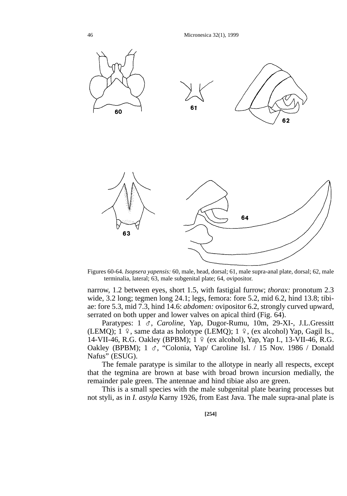46 Micronesica 32(1), 1999



Figures 60-64. *Isopsera yapensis:* 60, male, head, dorsal; 61, male supra-anal plate, dorsal; 62, male terminalia, lateral; 63, male subgenital plate; 64, ovipositor.

narrow, 1.2 between eyes, short 1.5, with fastigial furrow; *thorax:* pronotum 2.3 wide, 3.2 long; tegmen long 24.1; legs, femora: fore 5.2, mid 6.2, hind 13.8; tibiae: fore 5.3, mid 7.3, hind 14.6: *abdomen:* ovipositor 6.2, strongly curved upward, serrated on both upper and lower valves on apical third (Fig. 64).

Paratypes: 1 &, *Caroline*, Yap, Dugor-Rumu, 10m, 29-XI-, J.L.Gressitt (LEMQ);  $1 \div$ , same data as holotype (LEMQ);  $1 \div$ , (ex alcohol) Yap, Gagil Is., 14-VII-46, R.G. Oakley (BPBM); 1 º (ex alcohol), Yap, Yap I., 13-VII-46, R.G. Oakley (BPBM); 1  $\sigma$ , "Colonia, Yap/ Caroline Isl.  $\bar{1}$  15 Nov. 1986 / Donald Nafus" (ESUG).

The female paratype is similar to the allotype in nearly all respects, except that the tegmina are brown at base with broad brown incursion medially, the remainder pale green. The antennae and hind tibiae also are green.

This is a small species with the male subgenital plate bearing processes but not styli, as in *I. astyla* Karny 1926, from East Java. The male supra-anal plate is

**[254]**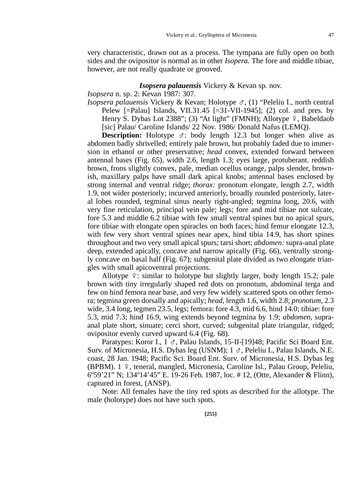very characteristic, drawn out as a process. The tympana are fully open on both sides and the ovipositor is normal as in other *Isopera.* The fore and middle tibiae, however, are not really quadrate or grooved.

### *Isopsera palauensis* Vickery & Kevan sp. nov.

## *Isopsera* n. sp. 2: Kevan 1987: 307.

*Isopsera palauensis* Vickery & Kevan; Holotype G, (1) "Peleliu I., north central Pelew  $\lceil =$ Palau] Islands, VII.31.45  $\lceil = 31 - \text{VII} - 1945 \rceil$ ; (2) col. and pres. by Henry S. Dybas Lot 2388"; (3) "At light" (FMNH); Allotype  $9$ , Babeldaob [sic] Palau/ Caroline Islands/ 22 Nov. 1986/ Donald Nafus (LEMQ).

**Description:** Holotype  $\sigma$ : body length 12.3 but longer when alive as abdomen badly shrivelled; entirely pale brown, but probably faded due to immersion in ethanol or other preservative; *head* convex, extended forward between antennal bases (Fig. 65), width 2.6, length 1.3; eyes large, protuberant. reddish brown, frons slightly convex, pale, median ocellus orange, palps slender, brownish, maxillary palps have small dark apical knobs; antennal bases enclosed by strong internal and ventral ridge; *thorax:* pronotum elongate, length 2.7, width 1.9, not wider posteriorly; incurved anteriorly, broadly rounded posteriorly, lateral lobes rounded, tegminal sinus nearly right-angled; tegmina long, 20.6, with very fine reticulation, principal vein pale; legs; fore and mid tibiae not sulcate, fore 5.3 and middle 6.2 tibiae with few small ventral spines but no apical spurs, fore tibiae with elongate open spiracles on both faces; hind femur elongate 12.3, with few very short ventral spines near apex, hind tibia 14.9, has short spines throughout and two very small apical spurs; tarsi short; *abdomen:* supra-anal plate deep, extended apically, concave and narrow apically (Fig. 66), ventrally strongly concave on basal half (Fig. 67); subgenital plate divided as two elongate triangles with small apicoventral projections.

Allotype  $\hat{P}$ : similar to holotype but slightly larger, body length 15.2; pale brown with tiny irregularly shaped red dots on pronotum, abdominal terga and few on hind femora near base, and very few widely scattered spots on other femora; tegmina green dorsally and apically; *head,* length 1.6, width 2.8; *pronotum,* 2.3 wide, 3.4 long, tegmen 23.5, legs; femora: fore 4.3, mid 6.6, hind 14.0; tibiae: fore 5.3, mid 7.3; hind 16.9, wing extends beyond tegmina by 1.9; *abdomen,* supraanal plate short, sinuate; cerci short, curved; subgenital plate triangular, ridged; ovipositor evenly curved upward 6.4 (Fig. 68).

Paratypes: Koror I.,  $1 \, \sigma$ , Palau Islands, 15-II-[19]48; Pacific Sci Board Ent. Surv. of Micronesia, H.S. Dybas leg (USNM);  $1 \sigma$ , Peleliu I., Palau Islands, N.E. coast, 28 Jan. 1948; Pacific Sci. Board Ent. Surv. of Micronesia, H.S. Dybas leg (BPBM). 1 º, teneral, mangled, Micronesia, Caroline Isl., Palau Group, Peleliu, 6º59'21" N; 134º14'45" E. 19-26 Feb. 1987, loc. # 12, (Otte, Alexander & Flinn), captured in forest, (ANSP).

Note: All females have the tiny red spots as described for the allotype. The male (holotype) does not have such spots.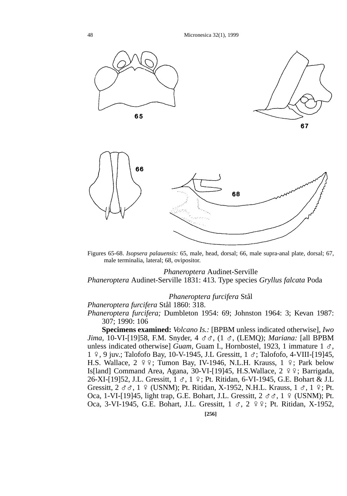48 Micronesica 32(1), 1999





Figures 65-68. *Isopsera palauensis:* 65, male, head, dorsal; 66, male supra-anal plate, dorsal; 67, male terminalia, lateral; 68, ovipositor.

## *Phaneroptera* Audinet-Serville

*Phaneroptera* Audinet-Serville 1831: 413. Type species *Gryllus falcata* Poda

## *Phaneroptera furcifera* Stål

## *Phaneroptera furcifera* Stål 1860: 318.

*Phaneroptera furcifera;* Dumbleton 1954: 69; Johnston 1964: 3; Kevan 1987: 307; 1990: 106

**Specimens examined:** *Volcano Is.:* [BPBM unless indicated otherwise], *Iwo Jima,* 10-VI-[19]58, F.M. Snyder, 4 GG, (1 G, (LEMQ); *Mariana:* [all BPBM unless indicated otherwise] *Guam*, Guam I., Hornbostel, 1923, 1 immature 1  $\sigma$ , 1  $9$ , 9 juv.; Talofofo Bay, 10-V-1945, J.L Gressitt, 1  $\sigma$ ; Talofofo, 4-VIII-[19]45, H.S. Wallace,  $2 \times 2$ ; Tumon Bay, IV-1946, N.L.H. Krauss, 1  $\div$ ; Park below Is[land] Command Area, Agana, 30-VI-[19]45, H.S. Wallace,  $2 \frac{9}{5}$ ; Barrigada, 26-XI-[19]52, J.L. Gressitt,  $1 \text{ } \sigma$ ,  $1 \text{ } \frac{\sigma}{2}$ ; Pt. Ritidan, 6-VI-1945, G.E. Bohart & J.L Gressitt,  $2 \text{ } \sigma \sigma$ ,  $1 \text{ } \frac{\sigma}{2}$  (USNM); Pt. Ritidan, X-1952, N.H.L. Krauss,  $1 \text{ } \sigma$ ,  $1 \text{ } \frac{\sigma}{2}$ ; Pt. Oca, 1-VI-[19]45, light trap, G.E. Bohart, J.L. Gressitt,  $2 \sigma \sigma$ , 1 º (USNM); Pt. Oca, 3-VI-1945, G.E. Bohart, J.L. Gressitt,  $1 \text{ } \sigma$ ,  $2 \text{ } \frac{\sigma}{2}$ ; Pt. Ritidan, X-1952,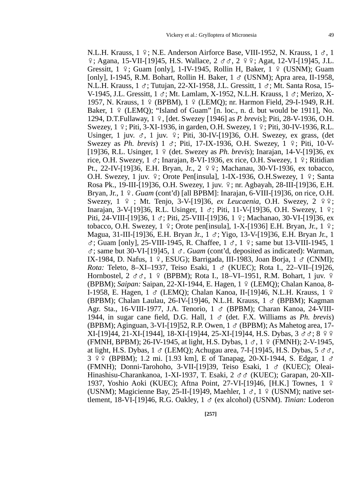N.L.H. Krauss,  $1 \, \text{S}$ ; N.E. Anderson Airforce Base, VIII-1952, N. Krauss,  $1 \, \sigma$ , 1  $\frac{1}{2}$ ; Agana, 15-VII-[19]45, H.S. Wallace, 2  $\sigma \sigma$ , 2  $\frac{1}{2}$   $\frac{1}{2}$ , Agat, 12-VI-[19]45, J.L. Gressitt,  $1 \div$ ; Guam [only], 1-IV-1945, Rollin H, Baker,  $1 \div$  (USNM); Guam [only], I-1945, R.M. Bohart, Rollin H. Baker,  $1 \text{ } \sigma$  (USNM); Apra area, II-1958, N.L.H. Krauss,  $1 \text{ } \sigma$ ; Tutujan, 22-XI-1958, J.L. Gressitt,  $1 \text{ } \sigma$ ; Mt. Santa Rosa, 15-V-1945, J.L. Gressitt, 1  $\sigma$ : Mt. Lamlam, X-1952, N.L.H. Krauss, 1  $\sigma$ : Merizo, X-1957, N. Krauss, 1 º (BPBM), 1 º (LEMO); nr. Harmon Field, 29-I-1949, R.H. Baker,  $1 \nsubseteq$  (LEMO); "Island of Guam" [n. loc., n. d. but would be 1911], No. 1294, D.T.Fullaway, 1 E, [det. Swezey [1946] as *P. brevis*]; Piti, 28-V-1936, O.H. Swezey,  $1 \n9$ ; Piti,  $3-XI-1936$ , in garden, O.H. Swezey,  $1 \n9$ ; Piti,  $30-IV-1936$ , R.L. Usinger, 1 juv.  $\sigma$ , 1 juv.  $\varphi$ ; Piti, 30-IV-[19]36, O.H. Swezey, ex grass, (det Swezey as *Ph. brevis*)  $1 \leq$ ; Piti, 17-IX-1936, O.H. Swezey,  $1 \leq$ ; Piti, 10-V-[19]36, R.L. Usinger, 1 E (det. Swezey as *Ph. brevis*); Inarajan, 14-V-[19]36, ex rice, O.H. Swezey,  $1 \sigma$ ; Inarajan, 8-VI-1936, ex rice, O.H. Swezey,  $1 \gamma$ ; Ritidian Pt., 22-IV-[19]36, E.H. Bryan, Jr., 2  $99$ ; Machanau, 30-VI-1936, ex tobacco, O.H. Swezey, 1 juv.  $\frac{1}{7}$ ; Orote Pen[insula], 1-IX-1936, O.H.Swezey, 1  $\frac{1}{7}$ ; Santa Rosa Pk., 19-III-[19]36, O.H. Swezey, 1 juv. E; nr. Agbayah, 28-III-[19]36, E.H. Bryan, Jr., 1 º. *Guam* (cont'd) [all BPBM]: Inarajan, 6-VIII-[19]36, on rice, O.H. Swezey, 1 <del>?</del> ; Mt. Tenjo, 3-V-[19]36, *ex Leucaenia*, O.H. Swezey, 2 <del>?</del> ?; Inarajan, 3-V-[19]36, R.L. Usinger,  $1 \text{ } \sigma$ ; Piti, 11-V-[19]36, O.H. Swezey,  $1 \text{ } \frac{\sigma}{2}$ ; Piti, 24-VIII-[19]36, 1  $\sigma$ ; Piti, 25-VIII-[19]36, 1  $\varphi$ ; Machanao, 30-VI-[19]36, ex tobacco, O.H. Swezey,  $1 \nvert 2$ ; Orote pen[insula], 1-X-[1936] E.H. Bryan, Jr.,  $1 \nvert 2$ ; Magua, 31-III-[19]36, E.H. Bryan Jr.,  $1 \text{ } \sigma$ ; Yigo, 13-V-[19]36, E.H. Bryan Jr., 1  $\sigma$ ; Guam [only], 25-VIII-1945, R. Chaffee, 1  $\sigma$ , 1  $\gamma$ ; same but 13-VIII-1945, 1  $\sigma$ ; same but 30-VI-[19]45, 1  $\sigma$ . *Guam* (cont'd, deposited as indicated): Warman, IX-1984, D. Nafus, 1  $\varphi$ , ESUG); Barrigada, III-1983, Joan Borja, 1  $\varphi$  (CNMI); *Rota:* Teleto, 8–XI–1937, Teiso Esaki, 1  $\sigma$  (KUEC); Rota I., 22–VII–[19]26, Hornbostel,  $2 \sigma \sigma$ ,  $1 \circ (BPBM)$ ; Rota I., 18–VI–1951, R.M. Bohart, 1 juv.  $9$ (BPBM); *Saipan: Saipan, 22-XI-1944, E. Hagen, 1 º (LEMQ)*; Chalan Kanoa, 8-I-1958, E. Hagen,  $1 \text{ } \sigma$  (LEMQ); Chalan Kanoa, II-[19]46, N.L.H. Krauss,  $1 \text{ } \circ$ (BPBM); Chalan Laulau, 26-IV-[19]46, N.L.H. Krauss,  $1 \text{ } \sigma$  (BPBM); Kagman Agr. Sta., 16-VIII-1977, J.A. Tenorio, 1 ♂ (BPBM); Charan Kanoa, 24-VIII-1944, in sugar cane field, D.G. Hall, 1 G (det. F.X. Williams as *Ph. brevis*) (BPBM); Aginguan, 3-VI-[19]52, R.P. Owen,  $1 \sigma$  (BPBM); As Mahetog area, 17- $XI-[19]44, 21-XI-[1944], 18-XI-[19]44, 25-XI-[19]44, H.S. Dybas, 3 \sigma \sigma; 8 \circ$ (FMNH, BPBM); 26-IV-1945, at light, H.S. Dybas,  $1 \text{ } \sigma$ ,  $1 \text{ } \frac{\sigma}{2}$  (FMNH); 2-V-1945, at light, H.S. Dybas,  $1 \text{ }\sigma$  (LEMQ); Achugau area, 7-I-[19]45, H.S. Dybas,  $5 \text{ }\sigma\sigma$ , 3  $99$  (BPBM); 1.2 mi. [1.93 km], E of Tanapag, 20-XI-1944, S. Edgar, 1  $\sigma$ (FMNH); Donni-Tarohoho, 3-VII-[19]39, Teiso Esaki, 1 G (KUEC); Oleai-Hinashisu-Charankanoa, 1-XI-1937, T. Esaki, 2  $\sigma \sigma$  (KUEC); Garapan, 20-XII-1937, Yoshio Aoki (KUEC); Aftna Point, 27-VI-[19]46, [H.K.] Townes, 1 E (USNM); Magicienne Bay, 25-II-[19]49, Maehler,  $1 \text{ } \sigma$ ,  $1 \text{ } \frac{\sigma}{2}$  (USNM); native settlement, 18-VI-[19]46, R.G. Oakley, 1 G (ex alcohol) (USNM). *Tinian:* Loderon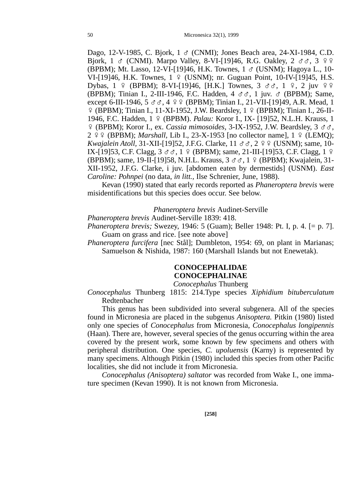Dago, 12-V-1985, C. Bjork, 1  $\sigma$  (CNMI); Jones Beach area, 24-XI-1984, C.D. Bjork, 1  $\sigma$  (CNMI). Marpo Valley, 8-VI-[19]46, R.G. Oakley, 2  $\sigma \sigma$ , 3  $9.9$ (BPBM); Mt. Lasso, 12-VI-[19]46, H.K. Townes,  $1 \text{ } \circ \text{ (USNM)}$ ; Hagoya L., 10-VI-[19]46, H.K. Townes, 1 º (USNM); nr. Guguan Point, 10-IV-[19]45, H.S. Dybas,  $1 \notin (BPBM)$ ; 8-VI-[19]46, [H.K.] Townes,  $3 \text{ d} \text{d}$ ,  $1 \text{ } 9$ ,  $2$  juv  $9 \text{ } 9$ (BPBM); Tinian I., 2-III-1946, F.C. Hadden,  $4 \text{ } \sigma \sigma$ , 1 juv.  $\sigma$  (BPBM); Same, except 6-III-1946,  $5 \text{ } \sigma \sigma$ ,  $4 \text{ } \frac{\varphi \phi}{\varphi}$  (BPBM); Tinian I., 21-VII-[19]49, A.R. Mead, 1 E (BPBM); Tinian I., 11-XI-1952, J.W. Beardsley, 1 E (BPBM); Tinian I., 26-II-1946, F.C. Hadden, 1 E (BPBM). *Palau:* Koror I., IX- [19]52, N.L.H. Krauss, 1 E (BPBM); Koror I., ex. *Cassia mimosoides,* 3-IX-1952, J.W. Beardsley, 3 GG, 2 º º (BPBM); *Marshall*, Lib I., 23-X-1953 [no collector name], 1 º (LEMQ); *Kwajalein Atoll,* 31-XII-[19]52, J.F.G. Clarke, 11  $\sigma \sigma$ , 2  $\sigma$  9 (USNM); same, 10-IX-[19]53, C.F. Clagg,  $3 \text{ } \sigma \sigma$ , 1  $9 \text{ }$  (BPBM); same, 21-III-[19]53, C.F. Clagg, 1  $9 \text{ }$ (BPBM); same, 19-II-[19]58, N.H.L. Krauss, 3 & &, 1 º (BPBM); Kwajalein, 31-XII-1952, J.F.G. Clarke, i juv. [abdomen eaten by dermestids] (USNM). *East Caroline: Pohnpei* (no data, *in litt.,* Ilse Schrenier, June, 1988).

Kevan (1990) stated that early records reported as *Phaneroptera brevis* were misidentifications but this species does occur. See below.

### *Phaneroptera brevis* Audinet-Serville

*Phaneroptera brevis* Audinet-Serville 1839: 418.

*Phaneroptera brevis;* Swezey, 1946: 5 (Guam); Beller 1948: Pt. I, p. 4. [= p. 7]. Guam on grass and rice. [see note above]

*Phaneroptera furcifera* [nec Stål]; Dumbleton, 1954: 69, on plant in Marianas; Samuelson & Nishida, 1987: 160 (Marshall Islands but not Enewetak).

# **CONOCEPHALIDAE CONOCEPHALINAE**

*Conocephalus* Thunberg

*Conocephalus* Thunberg 1815: 214.Type species *Xiphidium bituberculatum* Redtenbacher

This genus has been subdivided into several subgenera. All of the species found in Micronesia are placed in the subgenus *Anisoptera.* Pitkin (1980) listed only one species of *Conocephalus* from Micronesia, *Conocephalus longipennis* (Haan). There are, however, several species of the genus occurring within the area covered by the present work, some known by few specimens and others with peripheral distribution. One species, *C. upoluensis* (Karny) is represented by many specimens. Although Pitkin (1980) included this species from other Pacific localities, she did not include it from Micronesia.

*Conocephalus (Anisoptera) saltator* was recorded from Wake I., one immature specimen (Kevan 1990). It is not known from Micronesia.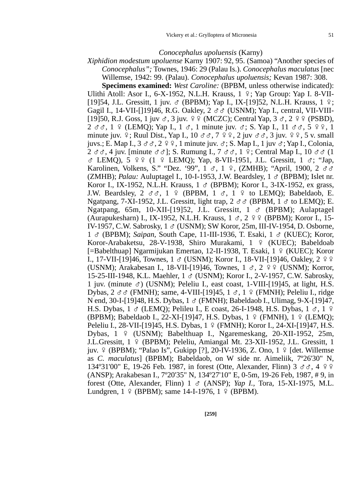#### *Conocephalus upoluensis* (Karny)

*Xiphidion modestum upoluense* Karny 1907: 92, 95. (Samoa) "Another species of *Conocephalus";* Townes, 1946: 29 (Palau Is.). *Conocephalus maculatus* [nec Willemse, 1942: 99. (Palau). *Conocephalus upoluensis;* Kevan 1987: 308.

**Specimens examined:** *West Caroline:* (BPBM, unless otherwise indicated): Ulithi Atoll: Asor I.,  $6-X-1952$ , N.L.H. Krauss,  $1 \tP$ ; Yap Group: Yap I. 8-VII-[19]54, J.L. Gressitt, 1 juv. & (BPBM); Yap I., IX-[19]52, N.L.H. Krauss, 1 º; Gagil I., 14-VII-[119]46, R.G. Oakley,  $2 \sigma \sigma$  (USNM); Yap I., central, VII-VIII-[19]50, R.J. Goss, 1 juv  $\sigma$ , 3 juv.  $99$  (MCZC); Central Yap,  $3 \sigma$ ,  $2 99$  (PSBD),  $2 \text{ } \sigma \sigma$ ,  $1 \text{ } \frac{\sigma}{2}$  (LEMO); Yap I.,  $1 \text{ } \sigma$ , 1 minute juv.  $\sigma$ ; S. Yap I.,  $11 \text{ } \sigma \sigma$ ,  $5 \text{ } \frac{\sigma}{2}$ , 1 minute juv.  $9$ ; Ruul Dist., Yap I., 10  $\sigma\sigma$ ,  $7$   $9$   $9$ ,  $2$  juv  $\sigma\sigma$ ,  $3$  juv.  $9$   $9$ ,  $5$  v. small juvs.; E. Map I.,  $3 \sigma \sigma$ ,  $2 \circ \phi$ , 1 minute juv.  $\sigma$ ; S. Map I., 1 juv  $\sigma$ ; Yap I., Colonia,  $2 \sigma \sigma$ , 4 juv. [minute  $\sigma \sigma$ ]; S. Rumung I.,  $7 \sigma \sigma$ , 1  $\sigma$ ; Central Map I., 10  $\sigma \sigma$  (1)  $\sigma$  LEMO), 5  $99$  (1  $9$  LEMO); Yap, 8-VII-1951, J.L. Gressitt, 1  $\sigma$ ; "Jap, Karolinen, Volkens, S." "Dez. '99", 1  $\sigma$ , 1  $\Omega$ , (ZMHB); "April, 1900, 2  $\sigma \sigma$ (ZMHB); *Palau:* Auluptagel I., 10-I-1953, J.W. Beardsley,  $1 \text{ } \sigma$  (BPBM); Islet nr. Koror I., IX-1952, N.L.H. Krauss, 1 ♂ (BPBM); Koror I., 3-IX-1952, ex grass, J.W. Beardsley,  $2 \sigma \sigma$ ,  $1 \circ (BBBM, 1 \sigma, 1 \circ (B_{12})$  to LEMO); Babeldaob, E. Ngatpang, 7-XI-1952, J.L. Gressitt, light trap,  $2 \text{ } \sigma \sigma$  (BPBM,  $1 \text{ } \sigma$  to LEMO); E. Ngatpang, 65m, 10-XII-[19]52, J.L. Gressitt,  $1 \text{ } \sigma$  (BPBM); Aulaptagel (Aurapukesharn) I., IX-1952, N.L.H. Krauss,  $1 \text{ } \sigma$ ,  $2 \text{ } \frac{\varphi}{\pi}$  (BPBM); Koror I., 15-IV-1957, C.W. Sabrosky,  $1 \text{ } \sigma$  (USNM); SW Koror, 25m, III-IV-1954, D. Osborne, 1 G (BPBM); *Saipan,* South Cape, 11-III-1936, T. Esaki, 1 G (KUEC); Koror, Koror-Arabaketsu, 28-V-1938, Shiro Murakami, 1 º (KUEC); Babeldoab [=Babelthuap] Ngarmijukan Emertao, 12-II-1938, T. Esaki, 1 º (KUEC); Koror I., 17-VII-[19]46, Townes,  $1 \text{ }\sigma$  (USNM); Koror I., 18-VII-[19]46, Oakley,  $2 \text{ }^{\circ}$ (USNM); Arakabesan I., 18-VII-[19]46, Townes,  $1 \text{ } \sigma$ ,  $2 \text{ } \frac{\varphi}{\pi}$  (USNM); Korror, 15-25-III-1948, K.L. Maehler, 1 G (USNM); Koror I., 2-V-1957, C.W. Sabrosky, 1 juv. (minute  $\sigma$ ) (USNM); Peleliu I., east coast, 1-VIII-[19]45, at light, H.S. Dybas,  $2 \sigma \sigma$  (FMNH); same, 4-VIII-[19]45, 1  $\sigma$ , 1  $\sigma$  (FMNH); Peleliu I., ridge N end, 30-I-[19]48, H.S. Dybas,  $1 \circ (FMMH)$ ; Babeldaob I., Ulimag, 9-X-[19]47, H.S. Dybas,  $1 \text{ }\sigma$  (LEMQ); Pelileu I., E coast, 26-I-1948, H.S. Dybas,  $1 \text{ }\sigma$ ,  $1 \text{ }\rho$ (BPBM); Babeldaob I., 22-XI-[19]47, H.S. Dybas, 1 º (FMNH), 1 º (LEMQ); Peleliu I., 28-VII-[19]45, H.S. Dybas, 1 º (FMNH); Koror I., 24-XI-[19]47, H.S. Dybas, 1 º (USNM); Babelthuap I., Ngaremeskang, 20-XII-1952, 25m, J.L.Gressitt, 1 º (BPBM); Peleliu, Amiangal Mt. 23-XII-1952, J.L. Gressitt, 1 juv. º (BPBM); "Palao Is", Gukipp [?], 20-IV-1936, Z. Ono, 1 º [det. Willemse as *C. maculatus*] (BPBM); Babeldaob, on W side nr. Aimeliik, 7º26'30" N, 134°31'00" E, 19-26 Feb. 1987, in forest (Otte, Alexander, Flinn) 3  $\sigma \sigma$ , 4  $\sigma$   $\phi$ (ANSP); Arakabesan I., 7º20'35" N, 134º27'10" E, 0-5m, 19-26 Feb, 1987, # 9, in forest (Otte, Alexander, Flinn) 1 G (ANSP); *Yap I.,* Tora, 15-XI-1975, M.L. Lundgren,  $1 \sqrt{9}$  (BPBM); same 14-I-1976,  $1 \sqrt{9}$  (BPBM).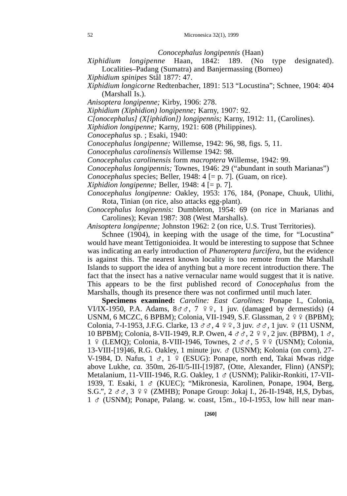*Conocephalus longipennis* (Haan)

*Xiphidium longipenne* Haan, 1842: 189. (No type designated). Localities–Padang (Sumatra) and Banjermassing (Borneo)

*Xiphidium spinipes* Stål 1877: 47.

*Xiphidium longicorne* Redtenbacher, 1891: 513 "Locustina"; Schnee, 1904: 404 (Marshall Is.).

*Anisoptera longipenne;* Kirby, 1906: 278.

*Xiphidium (Xiphidion) longipenne;* Karny, 1907: 92.

*C[onocephalus] (X[iphidion]) longipennis;* Karny, 1912: 11, (Carolines).

*Xiphidion longipenne;* Karny, 1921: 608 (Philippines).

*Conocephalus* sp. ; Esaki, 1940:

*Conocephalus longipenne;* Willemse, 1942: 96, 98, figs. 5, 11.

*Conocephalus carolinensis* Willemse 1942: 98.

*Conocephalus carolinensis* form *macroptera* Willemse, 1942: 99.

*Conocephalus longipennis;* Townes, 1946: 29 ("abundant in south Marianas")

*Conocephalus* species; Beller, 1948: 4 [= p. 7]. (Guam, on rice).

*Xiphidion longipenne;* Beller, 1948: 4 [= p. 7].

*Conocephalus longipenne:* Oakley, 1953: 176, 184, (Ponape, Chuuk, Ulithi, Rota, Tinian (on rice, also attacks egg-plant).

*Conocephalus longipennis:* Dumbleton, 1954: 69 (on rice in Marianas and Carolines); Kevan 1987: 308 (West Marshalls).

*Anisoptera longipenne;* Johnston 1962: 2 (on rice, U.S. Trust Territories).

Schnee (1904), in keeping with the usage of the time, for "Locustina" would have meant Tettigonioidea. It would be interesting to suppose that Schnee was indicating an early introduction of *Phaneroptera furcifera,* but the evidence is against this. The nearest known locality is too remote from the Marshall Islands to support the idea of anything but a more recent introduction there. The fact that the insect has a native vernacular name would suggest that it is native. This appears to be the first published record of *Conocephalus* from the Marshalls, though its presence there was not confirmed until much later.

**Specimens examined:** *Caroline: East Carolines:* Ponape I., Colonia, VI/IX-1950, P.A. Adams,  $8 \sigma \sigma$ ,  $7 \circ 9$ , 1 juv. (damaged by dermestids) (4 USNM, 6 MCZC, 6 BPBM); Colonia, VII-1949, S.F. Glassman, 2 º º (BPBM); Colonia, 7-I-1953, J.F.G. Clarke,  $13 \text{ d } \text{d } \text{d } \varphi$ ,  $4 \varphi$ ,  $3$  juv.  $\varphi$ ,  $6$ ,  $1$  juv.  $\varphi$  (11 USNM, 10 BPBM); Colonia, 8-VII-1949, R.P. Owen, 4  $\sigma \sigma$ , 2  $\gamma$  2 juv. (BPBM), 1  $\sigma$ , 1 º (LEMQ); Colonia, 8-VIII-1946, Townes, 2  $\sigma \sigma$ , 5 º º (USNM); Colonia, 13-VIII-[19]46, R.G. Oakley, 1 minute juv. G (USNM); Kolonia (on corn), 27- V-1984, D. Nafus,  $1 \text{ } \sigma$ ,  $1 \text{ } \varphi$  (ESUG): Ponape, north end, Takai Mwas ridge above Lukhe, *ca.* 350m, 26-II/5-III-[19]87, (Otte, Alexander, Flinn) (ANSP); Metalanium, 11-VIII-1946, R.G. Oakley, 1 ♂ (USNM); Palikir-Ronkiti, 17-VII-1939, T. Esaki, 1 G (KUEC); "Mikronesia, Karolinen, Ponape, 1904, Berg, S.G.",  $2 \sigma \sigma$ ,  $3 \circ \sigma$  (ZMHB); Ponape Group: Jokaj I., 26-II-1948, H,S, Dybas,  $1 \text{ } \sigma$  (USNM); Ponape, Palang. w. coast, 15m., 10-I-1953, low hill near man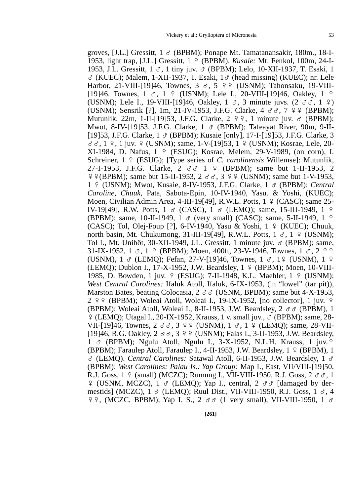groves, [J.L.] Gressitt,  $1 \sigma$  (BPBM); Ponape Mt. Tamatanansakir, 180m., 18-I-1953, light trap, [J.L.] Gressitt, 1 E (BPBM). *Kusaie:* Mt. Fenkol, 100m, 24-I-1953, J.L. Gressitt, 1 G, 1 tiny juv. G (BPBM); Lelo, 10-XII-1937, T. Esaki, 1  $\sigma$  (KUEC); Malem, 1-XII-1937, T. Esaki,  $1\sigma$  (head missing) (KUEC); nr. Lele Harbor, 21-VIII-[19]46, Townes,  $3 \text{ } \sigma$ ,  $5 \text{ } \text{ } \varphi$  (USNM); Tahonsaku, 19-VIII-[19]46. Townes,  $1 \text{ } \text{\&}$ ,  $1 \text{ } \text{\&}$  (USNM); Lele I., 20-VIII-[19]46, Oakley,  $1 \text{ } \text{\&}$ (USNM); Lele I., 19-VIII-[19]46, Oakley, 1  $\sigma$ , 3 minute juvs. (2  $\sigma \sigma$ , 1  $\sigma$ ) (USNM); Sensrik [?], 1m, 21-IV-1953, J.F.G. Clarke,  $4 \text{ } \sigma \sigma$ ,  $7 \text{ } \varphi \varphi$  (BPBM); Mutunlik, 22m, 1-II-[19]53, J.F.G. Clarke,  $2 \sqrt{9}$ , 1 minute juv.  $\sigma$  (BPBM); Mwot, 8-IV-[19]53, J.F.G. Clarke,  $1 \text{ } \sigma$  (BPBM); Tafeayat River, 90m, 9-II-[19]53, J.F.G. Clarke, 1 G (BPBM); Kusaie [only], 17-I-[19]53, J.F.G. Clarke, 3  $\sigma \sigma$ , 1  $\varphi$ , 1 juv.  $\varphi$  (USNM); same, 1-V-[19]53, 1  $\varphi$  (USNM); Kosrae, Lele, 20- $XI-1984$ , D. Nafus,  $1 \oplus (ESUG)$ ; Kosrae, Melem, 29-V-1989, (on corn), I. Schreiner, 1 º (ESUG); [Type series of *C. carolinensis* Willemse]: Mutunlik, 27-I-1953, J.F.G. Clarke, 2  $\sigma \sigma$  1 º (BPBM); same but 1-II-1953. 2  $99$  (BPBM); same but 15-II-1953, 2  $\sigma \sigma$ , 3  $99$  (USNM); same but 1-V-1953, 1 E (USNM); Mwot, Kusaie, 8-IV-1953, J.F.G. Clarke, 1 G (BPBM); *Central Caroline, Chuuk,* Pata, Sabota-Epin, 10-IV-1940, Yasu. & Yoshi, (KUEC); Moen, Civilian Admin Area, 4-III-19[49], R.W.L. Potts,  $1 \div (CASC)$ ; same 25-IV-19[49], R.W. Potts, 1  $\sigma$  (CASC), 1  $\sigma$  (LEMO); same, 15-III-1949, 1  $\circ$ (BPBM); same, 10-II-1949, 1  $\sigma$  (very small) (CASC); same, 5-II-1949, 1  $\circ$ (CASC); Tol, Olej-Foup [?], 6-IV-1940, Yasu & Yoshi,  $1 \notin (KUEC)$ ; Chuuk, north basin, Mt. Chukumong, 31-III-19[49], R.W.L. Potts,  $1 \leq \pi$ , 1 º (USNM); Tol I., Mt. Uniböt, 30-XII-1949, J.L. Gressitt, 1 minute juv.  $\sigma$  (BPBM); same, 31-IX-1952, 1  $\sigma$ , 1  $\sigma$  (BPBM); Moen, 400ft, 23-V-1946, Townes, 1  $\sigma$ , 2  $\sigma$ (USNM),  $1 \text{ } \text{\&}$  (LEMO); Fefan, 27-V-[19]46, Townes,  $1 \text{ } \text{\&}$ , 19 (USNM),  $1 \text{ } \text{\&}$ (LEMQ); Dublon I., 17-X-1952, J.W. Beardsley,  $1 \notin (BPBM)$ ; Moen, 10-VIII-1985, D. Bowden, 1 juv.  $9$  (ESUG); 7-II-1948, K.L. Maehler, 1  $9$  (USNM); *West Central Carolines:* Ifaluk Atoll, Ifaluk, 6-IX-1953, (in "lowel" (tar pit)), Marston Bates, beating Colocasia,  $2 \text{ } \sigma \sigma$  (USNM, BPBM); same but 4-X-1953,  $2 \sqrt{9}$  (BPBM); Woleai Atoll, Woleai I., 19-IX-1952, [no collector], 1 juv.  $\sqrt{9}$ (BPBM); Woleai Atoll, Woleai I., 8-II-1953, J.W. Beardsley,  $2 \text{ } \sigma \sigma$  (BPBM), 1 E (LEMQ); Utagal I., 20-IX-1952, Krauss, 1 v. small juv., G (BPBM); same, 28- VII-[19]46, Townes, 2 GG, 3 EE (USNM), 1 G, 1 E (LEMQ); same, 28-VII- [19]46, R.G. Oakley,  $2 \text{ } \sigma \sigma$ ,  $3 \text{ } 9 \text{ } \sigma$  (USNM); Falas I., 3-II-1953, J.W. Beardsley,  $1 \text{ } \sigma$  (BPBM); Ngulu Atoll, Ngulu I., 3-X-1952, N.L.H. Krauss, 1 juv.  $\circ$ (BPBM); Faraulep Atoll, Faraulep I., 4-II-1953, J.W. Beardsley,  $1 \div (BPBM)$ , 1 G (LEMQ). *Central Carolines:* Satawal Atoll, 6-II-1953, J.W. Beardsley, 1 G (BPBM); *West Carolines: Palau Is.: Yap Group:* Map I., East, VII/VIII-[19]50, R.J. Goss,  $1 \notin (small)$  (MCZC); Rumung I., VII-VIII-1950, R.J. Goss,  $2 \notin \mathcal{S}$ , 1  $\varphi$  (USNM, MCZC), 1  $\sigma$  (LEMO); Yap I., central, 2  $\sigma \sigma$  [damaged by dermestids] (MCZC),  $1 \text{ }\sigma$  (LEMQ); Ruul Dist., VII-VIII-1950, R.J. Goss,  $1 \text{ }\sigma$ , 4  $99, (MCZC, BPBM);$  Yap I. S.,  $2 \text{ of } (1 \text{ very small}),$  VII-VIII-1950,  $1 \text{ of } (1 \text{ very small})$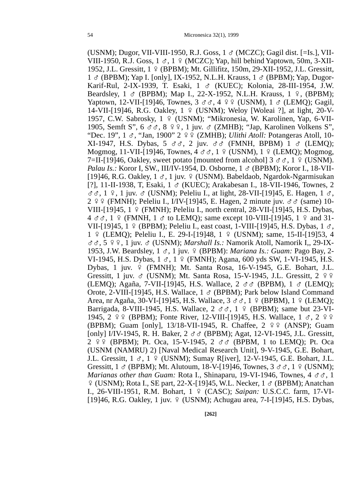(USNM); Dugor, VII-VIII-1950, R.J. Goss,  $1 \text{ } \sigma$  (MCZC); Gagil dist. [=Is.], VII-VIII-1950, R.J. Goss,  $1 \text{ } \sigma$ ,  $1 \text{ } \varphi$  (MCZC); Yap, hill behind Yaptown, 50m, 3-XII-1952, J.L. Gressitt, 1 E (BPBM); Mt. Gillifitz, 150m, 29-XII-1952, J.L. Gressitt,  $1 \text{ } \sigma$  (BPBM); Yap I. [only], IX-1952, N.L.H. Krauss,  $1 \text{ } \sigma$  (BPBM); Yap, Dugor-Karif-Rul, 2-IX-1939, T. Esaki, 1 G (KUEC); Kolonia, 28-III-1954, J.W. Beardsley,  $1 \text{ } \circ \text{ }$  (BPBM); Map I., 22-X-1952, N.L.H. Krauss,  $1 \text{ } \circ \text{ }$ , (BPBM); Yaptown, 12-VII-[19]46, Townes,  $3 \text{ d}$ ,  $4 \text{ }$ ,  $9 \text{ }$  (USNM),  $1 \text{ }$  (LEMO); Gagil, 14-VII-[19]46, R.G. Oakley,  $1 \notin (USNM)$ ; Weloy [Woleai ?], at light, 20-V-1957, C.W. Sabrosky, 1 º (USNM); "Mikronesia, W. Karolinen, Yap, 6-VII-1905, Semft S",  $6 \text{ } \sigma \sigma$ ,  $8 \text{ } 9 \text{ } 9$ , 1 juv.  $\sigma$  (ZMHB); "Jap, Karolinen Volkens S", "Dec. 19", 1  $\sigma$ , "Jan, 1900" 2  $\varphi$  (ZMHB); *Ulithi Atoll:* Potangeras Atoll, 10-XI-1947, H.S. Dybas,  $5 \text{ d} \text{d}$ ,  $2 \text{ iuv. } \text{d} \text{d}$  (FMNH, BPBM)  $1 \text{ d}$  (LEMQ); Mogmog, 11-VII-[19]46, Townes,  $4 \sigma \sigma$ ,  $1 \circ (USNM)$ ,  $1 \circ (LEMQ)$ ; Mogmog, 7=II-[19]46, Oakley, sweet potato [mounted from alcohol]  $3 \sigma \sigma$ , 1  $\gamma$  (USNM). *Palau Is.:* Koror I, SW., III/IV-1954, D. Osborne, 1  $\sigma$  (BPBM); Koror I., 18-VII-[19]46, R.G. Oakley,  $1 \text{ } \sigma$ , 1 juv.  $9 \text{ } (USNM)$ . Babeldaob, Ngardok-Ngarmisukan [?], 11-II-1938, T, Esaki, 1 & (KUEC); Arakabesan I., 18-VII-1946, Townes, 2  $\sigma$  $\sigma$ , 1  $\varphi$ , 1 juv.  $\sigma$  (USNM); Peleliu I., at light, 28-VII-[19]45, E. Hagen, 1  $\sigma$ .  $2 \nsubseteq \nsubseteq \nsubseteq$  (FMNH); Peleliu I., I/IV-[19]45, E. Hagen, 2 minute juv.  $\sigma \sigma$  (same) 10-VIII- $[19]45$ ,  $1 \nsubseteq$  (FMNH); Peleliu I., north central, 28-VII- $[19]45$ , H.S. Dybas,  $4 \text{ } \sigma \sigma$ ,  $1 \text{ } \frac{\sigma}{2}$  (FMNH,  $1 \text{ } \sigma$  to LEMO); same except 10-VIII-[19]45,  $1 \text{ } \frac{\sigma}{2}$  and 31-VII-[19]45, 1 º (BPBM); Peleliu I., east coast, 1-VIII-[19]45, H.S. Dybas, 1  $\sigma$ . 1 E (LEMQ); Peleliu I., E. 29-I-[19]48, 1 E (USNM); same, 15-II-[19]53, 4 GG, 5 EE, 1 juv. G (USNM); *Marshall Is.:* Namorik Atoll, Namorik I,, 29-IX-1953, J.W. Beardsley, 1 G, 1 juv. E (BPBM): *Mariana Is.: Guam:* Pago Bay, 2- VI-1945, H.S. Dybas,  $1 \text{ } \circ$ ,  $1 \text{ } \circ$  (FMNH); Agana, 600 yds SW, 1-VI-1945, H.S. Dybas, 1 juv.  $9$  (FMNH); Mt. Santa Rosa, 16-V-1945, G.E. Bohart, J.L. Gressitt, 1 juv.  $\sigma$  (USNM); Mt. Santa Rosa, 15-V-1945, J.L. Gressitt, 2  $9.9$ (LEMQ); Agaña, 7-VII-[19]45, H.S. Wallace,  $2 \text{ } \sigma \sigma$  (BPBM),  $1 \text{ } \sigma$  (LEMQ); Orote, 2-VIII-[19]45, H.S. Wallace,  $1 \text{ } \sigma$  (BPBM); Park below Island Command Area, nr Agaña, 30-VI-[19]45, H.S. Wallace,  $3 \sigma \sigma$ ,  $1 \circ (BPBM)$ ,  $1 \circ (LEMO)$ ; Barrigada, 8-VIII-1945, H.S. Wallace,  $2 \text{ } \sigma \sigma$ , 1  $\sigma$  (BPBM); same but 23-VI-1945, 2  $99$  (BPBM); Fonte River, 12-VIII-[19]45, H.S. Wallace, 1  $\sigma$ , 2  $99$ (BPBM); Guam [only],  $13/18$ -VII-1945, R. Chaffee,  $2 \div 2 \div (ANSP)$ ; Guam [only]  $I/IV-1945$ , R. H. Baker,  $2 \text{ } \sigma \sigma$  (BPBM); Agat, 12-VI-1945, J.L. Gressitt, 2  $99$  (BPBM); Pt. Oca, 15-V-1945, 2  $\sigma \sigma$  (BPBM, 1 to LEMQ); Pt. Oca (USNM (NAMRU) 2) [Naval Medical Research Unit], 9-V-1945, G.E. Bohart, J.L. Gressitt,  $1 \text{ } \sigma$ ,  $1 \text{ } \frac{\sigma}{2}$  (USNM); Sumay R[iver], 12-V-1945, G.E. Bohart, J.L. Gressitt, 1  $\sigma$  (BPBM); Mt. Alutoum, 18-V-[19]46, Townes, 3  $\sigma \sigma$ , 1  $\circ$  (USNM); *Marianas other than Guam:* Rota I., Shinaparu, 19-VI-1946, Townes,  $4 \text{ } \sigma \sigma$ , 1  $\varphi$  (USNM); Rota I., SE part, 22-X-[19]45, W.L. Necker, 1  $\sigma$  (BPBM); Anatchan I., 26-VIII-1951, R.M. Bohart, 1 E (CASC); *Saipan:* U.S.C.C. farm, 17-VI- [19]46, R.G. Oakley, 1 juv. 9 (USNM); Achugau area, 7-I-[19]45, H.S. Dybas,

**[262]**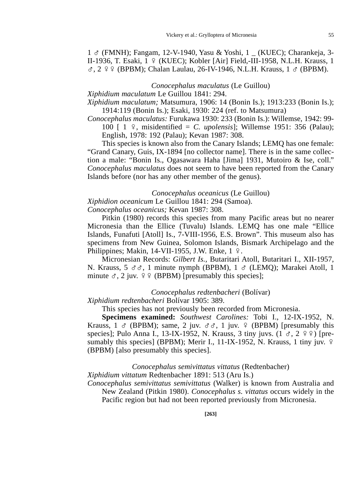# 1 G (FMNH); Fangam, 12-V-1940, Yasu & Yoshi, 1 \_ (KUEC); Charankeja, 3- II-1936, T. Esaki, 1 º (KUEC); Kobler [Air] Field,-III-1958, N.L.H. Krauss, 1  $\sigma$ , 2  $\varphi$  (BPBM); Chalan Laulau, 26-IV-1946, N.L.H. Krauss, 1  $\sigma$  (BPBM).

*Conocephalus maculatus* (Le Guillou)

*Xiphidium maculatum* Le Guillou 1841: 294.

*Xiphidium maculatum;* Matsumura, 1906: 14 (Bonin Is.); 1913:233 (Bonin Is.); 1914:119 (Bonin Is.); Esaki, 1930: 224 (ref. to Matsumura)

*Conocephalus maculatus:* Furukawa 1930: 233 (Bonin Is.): Willemse, 1942: 99- 100  $\lceil 1 \rceil$ , misidentified = *C. upolensis*]; Willemse 1951: 356 (Palau); English, 1978: 192 (Palau); Kevan 1987: 308.

This species is known also from the Canary Islands; LEMQ has one female: "Grand Canary, Guis, IX-1894 [no collector name]. There is in the same collection a male: "Bonin Is., Ogasawara Haha [Jima] 1931, Mutoiro & Ise, coll." *Conocephalus maculatus* does not seem to have been reported from the Canary Islands before (nor has any other member of the genus).

*Conocephalus oceanicus* (Le Guillou)

*Xiphidion oceanicum* Le Guillou 1841: 294 (Samoa).

*Conocephalus oceanicus;* Kevan 1987: 308.

Pitkin (1980) records this species from many Pacific areas but no nearer Micronesia than the Ellice (Tuvalu) Islands. LEMQ has one male "Ellice Islands, Funafuti [Atoll] Is., 7-VIII-1956, E.S. Brown". This museum also has specimens from New Guinea, Solomon Islands, Bismark Archipelago and the Philippines; Makin, 14-VII-1955, J.W. Enke,  $1 \nvert 2$ .

Micronesian Records: *Gilbert Is.,* Butaritari Atoll, Butaritari I., XII-1957, N. Krauss,  $5 \text{ } \sigma \sigma$ , 1 minute nymph (BPBM),  $1 \sigma$  (LEMQ); Marakei Atoll, 1 minute  $\sigma$ , 2 juv.  $99$  (BPBM) [presumably this species];

*Conocephalus redtenbacheri* (Bolívar)

*Xiphidium redtenbacheri* Bolívar 1905: 389.

This species has not previously been recorded from Micronesia.

**Specimens examined:** *Southwest Carolines:* Tobi I., 12-IX-1952, N. Krauss,  $1 \text{ }\sigma$  (BPBM); same,  $2$  juv.  $\sigma \sigma$ ,  $1$  juv.  $9$  (BPBM) [presumably this species]; Pulo Anna I., 13-IX-1952, N. Krauss, 3 tiny juvs.  $(1 \text{ }\sigma, 2 \text{ }\circ\circ)$  [presumably this species] (BPBM); Merir I., 11-IX-1952, N. Krauss, 1 tiny juv.  $9$ (BPBM) [also presumably this species].

*Conocephalus semivittatus vittatus* (Redtenbacher)

*Xiphidium vittatum* Redtenbacher 1891: 513 (Aru Is.)

*Conocephalus semivittatus semivittatus* (Walker) is known from Australia and New Zealand (Pitkin 1980). *Conocephalus s. vittatus* occurs widely in the Pacific region but had not been reported previously from Micronesia.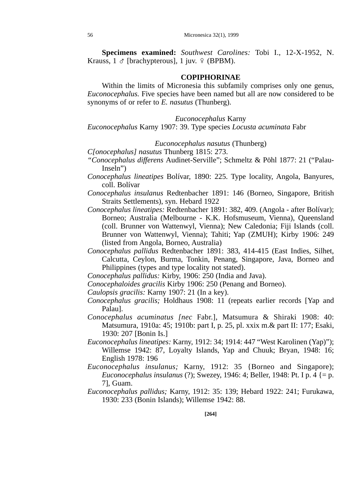**Specimens examined:** *Southwest Carolines:* Tobi I., 12-X-1952, N. Krauss,  $1 \circ$  [brachypterous],  $1$  juv.  $9$  (BPBM).

### **COPIPHORINAE**

Within the limits of Micronesia this subfamily comprises only one genus, *Euconocephalus.* Five species have been named but all are now considered to be synonyms of or refer to *E. nasutus* (Thunberg).

#### *Euconocephalus* Karny

*Euconocephalus* Karny 1907: 39. Type species *Locusta acuminata* Fabr

## *Euconocephalus nasutus* (Thunberg)

*C[onocephalus] nasutus* Thunberg 1815: 273.

- *"Conocephalus differens* Audinet-Serville"; Schmeltz & Pöhl 1877: 21 ("Palau-Inseln")
- *Conocephalus lineatipes* Bolívar, 1890: 225. Type locality, Angola, Banyures, coll. Bolívar
- *Conocephalus insulanus* Redtenbacher 1891: 146 (Borneo, Singapore, British Straits Settlements), syn. Hebard 1922
- *Conocephalus lineatipes:* Redtenbacher 1891: 382, 409. (Angola after Bolívar); Borneo; Australia (Melbourne - K.K. Hofsmuseum, Vienna), Queensland (coll. Brunner von Wattenwyl, Vienna); New Caledonia; Fiji Islands (coll. Brunner von Wattenwyl, Vienna); Tahiti; Yap (ZMUH); Kirby 1906: 249 (listed from Angola, Borneo, Australia)
- *Conocephalus pallidus* Redtenbacher 1891: 383, 414-415 (East Indies, Silhet, Calcutta, Ceylon, Burma, Tonkin, Penang, Singapore, Java, Borneo and Philippines (types and type locality not stated).
- *Conocephalus pallidus:* Kirby, 1906: 250 (India and Java).
- *Conocephaloides gracilis* Kirby 1906: 250 (Penang and Borneo).
- *Caulopsis gracilis:* Karny 1907: 21 (In a key).
- *Conocephalus gracilis;* Holdhaus 1908: 11 (repeats earlier records [Yap and Palau].
- *Conocephalus acuminatus [nec* Fabr.], Matsumura & Shiraki 1908: 40: Matsumura, 1910a: 45; 1910b: part I, p. 25, pl. xxix m.& part II: 177; Esaki, 1930: 207 [Bonin Is.]
- *Euconocephalus lineatipes:* Karny, 1912: 34; 1914: 447 "West Karolinen (Yap)"); Willemse 1942: 87, Loyalty Islands, Yap and Chuuk; Bryan, 1948: 16; English 1978: 196
- *Euconocephalus insulanus;* Karny, 1912: 35 {Borneo and Singapore); *Euconocephalus insulanus* (?); Swezey, 1946: 4; Beller, 1948: Pt. I p. 4 {= p. 7], Guam.
- *Euconocephalus pallidus;* Karny, 1912: 35: 139; Hebard 1922: 241; Furukawa, 1930: 233 (Bonin Islands); Willemse 1942: 88.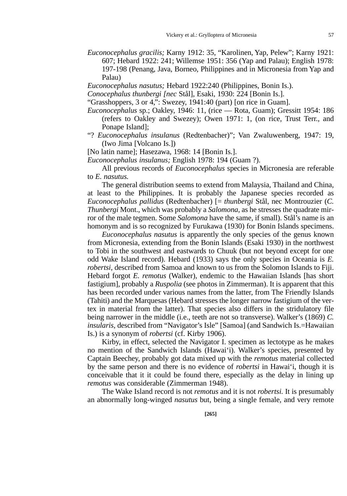- *Euconocephalus gracilis;* Karny 1912: 35, "Karolinen, Yap, Pelew"; Karny 1921: 607; Hebard 1922: 241; Willemse 1951: 356 (Yap and Palau); English 1978: 197-198 (Penang, Java, Borneo, Philippines and in Micronesia from Yap and Palau)
- *Euconocephalus nasutus;* Hebard 1922:240 (Philippines, Bonin Is.).
- *Conocephalus thunbergi [nec* Stål], Esaki, 1930: 224 [Bonin Is.].
- "Grasshoppers, 3 or 4,": Swezey, 1941:40 (part) [on rice in Guam].
- *Euconocephalus* sp.; Oakley, 1946: 11, (rice Rota, Guam); Gressitt 1954: 186 (refers to Oakley and Swezey); Owen 1971: 1, (on rice, Trust Terr., and Ponape Island];
- "? *Euconocephalus insulanus* (Redtenbacher)"; Van Zwaluwenberg, 1947: 19, (Iwo Jima [Volcano Is.])
- [No latin name]; Hasezawa, 1968: 14 [Bonin Is.].

*Euconocephalus insulanus;* English 1978: 194 (Guam ?).

All previous records of *Euconocephalus* species in Micronesia are referable to *E. nasutus.* 

The general distribution seems to extend from Malaysia, Thailand and China, at least to the Philippines. It is probably the Japanese species recorded as *Euconocephalus pallidus* (Redtenbacher) [= *thunbergi* Stål, nec Montrouzier (*C. Thunbergi* Mont., which was probably a *Salomona,* as he stresses the quadrate mirror of the male tegmen. Some *Salomona* have the same, if small). Stål's name is an homonym and is so recognized by Furukawa (1930) for Bonin Islands specimens.

*Euconocephalus nasutus* is apparently the only species of the genus known from Micronesia, extending from the Bonin Islands (Esaki 1930) in the northwest to Tobi in the southwest and eastwards to Chuuk (but not beyond except for one odd Wake Island record). Hebard (1933) says the only species in Oceania is *E. robertsi,* described from Samoa and known to us from the Solomon Islands to Fiji. Hebard forgot *E. remotus* (Walker), endemic to the Hawaiian Islands [has short fastigium], probably a *Ruspolia* (see photos in Zimmerman). It is apparent that this has been recorded under various names from the latter, from The Friendly Islands (Tahiti) and the Marquesas (Hebard stresses the longer narrow fastigium of the vertex in material from the latter). That species also differs in the stridulatory file being narrower in the middle (i.e., teeth are not so transverse). Walker's (1869) *C. insularis,* described from "Navigator's Isle" [Samoa] (and Sandwich Is.=Hawaiian Is.) is a synonym of *robertsi* (cf. Kirby 1906).

Kirby, in effect, selected the Navigator I. specimen as lectotype as he makes no mention of the Sandwich Islands (Hawai'i). Walker's species, presented by Captain Beechey, probably got data mixed up with the *remotus* material collected by the same person and there is no evidence of *robertsi* in Hawai'i, though it is conceivable that it it could be found there, especially as the delay in lining up *remotus* was considerable (Zimmerman 1948).

The Wake Island record is not *remotus* and it is not *robertsi.* It is presumably an abnormally long-winged *nasutus* but, being a single female, and very remote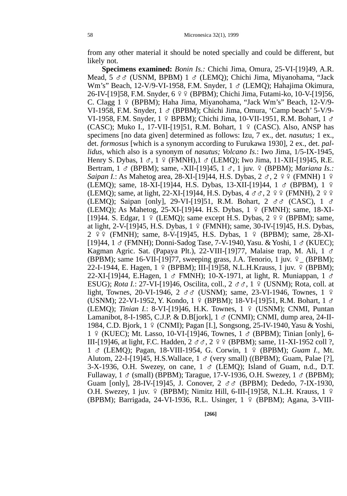from any other material it should be noted specially and could be different, but likely not.

**Specimens examined:** *Bonin Is.:* Chichi Jima, Omura, 25-VI-[19]49, A.R. Mead,  $5 \text{ } \sigma \sigma$  (USNM, BPBM) 1  $\sigma$  (LEMO); Chichi Jima, Miyanohama, "Jack Wm's" Beach, 12-V/9-VI-1958, F.M. Snyder,  $1 \text{ } \sigma$  (LEMO); Hahajima Okimura, 26-IV-[19]58, F.M. Snyder, 6 º º (BPBM); Chichi Jima, Futami-ko, 10-V-[19]56, C. Clagg 1 º (BPBM); Haha Jima, Miyanohama, "Jack Wm's" Beach, 12-V/9-VI-1958, F.M. Snyder,  $1 \text{ } \circ \text{ }$  (BPBM); Chichi Jima, Omura, 'Camp beach' 5-V/9-VI-1958, F.M. Snyder,  $1 \oplus BPBM$ ); Chichi Jima, 10-VII-1951, R.M. Bohart,  $1 \circ$ (CASC); Muko I., 17-VII-[19]51, R.M. Bohart,  $1 \frac{9}{5}$  (CASC). Also, ANSP has specimens [no data given] determined as follows: Izu, 7 ex., det. *nasutus;* 1 ex., det. *formosus* [which is a synonym according to Furukawa 1930], 2 ex., det. *pallidus,* which also is a synonym of *nasutus; Volcano Is.*: Iwo Jima, 1/5-IX-1945, Henry S. Dybas,  $1 \leq \pi$ , 1  $\in \text{FMMH}$ ,  $1 \leq \text{LEMO}$ ; Iwo Jima, 11-XII-[19]45, R.E. Bertram, 1 & (BPBM); same, -XII-[19]45, 1 &, 1 juv. 9 (BPBM); *Mariana Is.: Saipan I.*: As Mahetog area, 28-XI-[19]44, H.S. Dybas,  $2 \text{ } \text{C}$ ,  $2 \text{ } \text{C}$  (FMNH) 1  $\text{C}$ (LEMQ); same, 18-XI-[19]44, H.S. Dybas, 13-XII-[19]44, 1 ♂ (BPBM), 1 º (LEMO); same, at light, 22-XI-[19]44, H.S. Dybas,  $4 \text{ } \sigma \sigma$ ,  $2 \text{ } \frac{\sigma}{2}$  (FMNH),  $2 \text{ } \frac{\sigma}{2}$ (LEMQ); Saipan [only], 29-VI-[19]51, R.M. Bohart, 2  $\sigma \sigma$  (CASC), 1  $\sigma$ (LEMO); As Mahetog, 25-XI-[19]44. H.S. Dybas,  $1 \div$  (FMNH); same, 18-XI-[19]44. S. Edgar,  $1 \circ (LEMQ)$ ; same except H.S. Dybas,  $2 \circ \circ (BPBM)$ ; same, at light, 2-V-[19]45, H.S. Dybas,  $1 \notin (FMMH)$ ; same, 30-IV-[19]45, H.S. Dybas,  $2 \frac{9}{5}$  (FMNH); same, 8-V-[19]45, H.S. Dybas, 1  $\frac{9}{5}$  (BPBM); same, 28-XI-[19]44, 1  $\sigma$  (FMNH); Donni-Sadog Tase, 7-V-1940, Yasu. & Yoshi, 1  $\sigma$  (KUEC); Kagman Agric. Sat. (Papaya Plt.), 22-VIII-[19]77, Malaise trap, M. Ali, 1  $\sigma$ (BPBM); same 16-VII-[19]77, sweeping grass, J.A. Tenorio, 1 juv.  $\varphi$  (BPBM); 22-I-1944, E. Hagen,  $1 \nsubseteq$  (BPBM); III-[19]58, N.L.H.Krauss, 1 juv.  $\varphi$  (BPBM); 22-XI-[19]44, E.Hagen, 1  $\sigma$  FMNH); 10-X-1971, at light, R. Muniappan, 1  $\sigma$ ESUG); *Rota I.*: 27-VI-[19]46, Oscilita, coll., 2 ♂ <sub>5</sub>, 1 º (USNM); Rota, coll. at light, Townes, 20-VI-1946, 2  $\sigma \sigma$  (USNM); same, 23-VI-1946, Townes, 1  $\varphi$ (USNM); 22-VI-1952, Y. Kondo, 1  $\varphi$  (BPBM); 18-VI-[19]51, R.M. Bohart, 1  $\sigma$ (LEMQ); *Tinian I.*: 8-VI-[19]46, H.K. Townes, 1 º (USNM); CNMI, Puntan Lamanibot, 8-I-1985, C.J.P. & D.B[jork], 1 ♂ (CNMI); CNMI, dump area, 24-II-1984, C.D. Bjork, 1 º (CNMI); Pagan [I.], Songsong, 25-IV-1940, Yasu & Yoshi, 1 º (KUEC); Mt. Lasso, 10-VI-[19]46, Townes, 1 & (BPBM); Tinian [only], 6-III-[19]46, at light, F.C. Hadden,  $2 \text{ } \sigma \sigma$ ,  $2 \text{ } \frac{\sigma \sigma}{2}$  (BPBM); same, 11-XI-1952 coll ?, 1 *d* (LEMQ); Pagan, 18-VIII-1954, G. Corwin, 1 º (BPBM); *Guam I.*, Mt. Alutom, 22-I-[19]45, H.S.Wallace,  $1 \text{ } \sigma$  (very small) ((BPBM); Guam, Palae [?],  $3-X-1936$ , O.H. Swezey, on cane,  $1 \text{ } \sigma$  (LEMQ); Island of Guam, n.d., D.T. Fullaway, 1  $\sigma$  (small) (BPBM); Tarague, 17-V-1936, O.H. Swezey, 1  $\sigma$  (BPBM); Guam [only], 28-IV-[19]45, J. Conover,  $2 \text{ } \sigma \sigma$  (BPBM); Dededo, 7-IX-1930, O.H. Swezey, 1 juv.  $9$  (BPBM); Nimitz Hill, 6-III-[19]58, N.L.H. Krauss, 1  $9$ (BPBM); Barrigada, 24-VI-1936, R.L. Usinger, 1 º (BPBM); Agana, 3-VIII-

**[266]**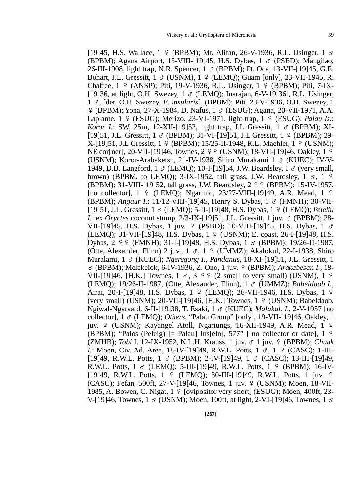[19]45, H.S. Wallace,  $1 \oplus (\text{BPBM})$ ; Mt. Alifan, 26-V-1936, R.L. Usinger,  $1 \circ$ (BPBM); Agana Airport, 15-VIII-[19]45, H.S. Dybas,  $1 \text{ } \sigma$  (PSBD); Mangilao, 26-III-1908, light trap, N.R. Spencer,  $1 \text{ } \sigma$  (BPBM); Pt. Oca, 13-VII-[19]45, G.E. Bohart, J.L. Gressitt,  $1 \text{ } \circ \text{ } (USNM)$ ,  $1 \text{ } \circ \text{ } (LEMO)$ ; Guam [only], 23-VII-1945, R. Chaffee,  $1 \notin (ANSP)$ ; Piti, 19-V-1936, R.L. Usinger,  $1 \notin (BPBM)$ ; Piti, 7-IX-[19]36, at light, O.H. Swezey,  $1 \text{ } \sigma$  (LEMO); Inarajan, 6-V-19[36], R.L. Usinger, 1 G, [det. O.H. Swezey, *E. insularis*], (BPBM); Piti, 23-V-1936, O.H. Swezey, 1  $\frac{1}{2}$  (BPBM); Yona, 27-X-1984, D. Nafus,  $1 \circ$  (ESUG); Agana, 20-VII-1971, A.A. Laplante,  $1 \notin (ESUG)$ ; Merizo,  $23-VI-1971$ , light trap,  $1 \notin (ESUG)$ ; *Palau Is.*: *Koror I.*: SW, 25m, 12-XII-[19]52, light trap, J.L Gressitt,  $1 \text{ } \sigma$  (BPBM); XI-[19]51, J.L. Gressitt,  $1 \text{ } \circ \text{ }$  (BPBM); 31-VI-[19]51, J.L. Gressitt,  $1 \text{ } \circ \text{ }$  (BPBM); 29- $X-[19]51, J.L Gressitt, 1 \rvert P (BPBM); 15/25-II-1948, K.L. Maehler, 1 \rvert P (USNM);$ NE cor[ner], 20-VII-[19]46, Townes,  $2 \frac{9}{5}$  (USNM); 18-VII-[19]46, Oakley, 1  $\frac{9}{5}$ (USNM); Koror-Arabaketsu, 21-IV-1938, Shiro Murakami 1  $\sigma$  (KUEC); IV/V-1949, D.B. Langford,  $1 \text{ } \sigma$  (LEMO); 10-I-[19]54, J.W. Beardsley,  $1 \text{ } \sigma$  (very small, brown) (BPBM, to LEMO); 3-IX-1952, tall grass, J.W. Beardsley,  $1 \text{ } \sigma$ ,  $1 \text{ } \frac{\sigma}{2}$ (BPBM); 31-VIII-[19]52, tall grass, J.W. Beardsley,  $2 \frac{9}{5}$  (BPBM); 15-IV-1957, [no collector],  $1 \oplus (LEMO)$ ; Ngarmid,  $23/27$ -VIII-[19]49, A.R. Mead,  $1 \oplus$ (BPBM); *Angaur I.*: 11/12-VIII-[19]45, Henry S. Dybas, 1 G (FMNH); 30-VII- [19]51, J.L. Gressitt, 1 G (LEMQ); 5-II-[19]48, H.S. Dybas, 1 E (LEMQ); *Peleliu I.*: ex *Oryctes* coconut stump, 2/3-IX-[19]51, J.L. Gressitt, 1 juv.  $\sigma$  (BPBM); 28-VII-[19]45, H.S. Dybas, 1 juv.  $9$  (PSBD); 10-VIII-[19]45, H.S. Dybas, 1  $\sigma$ (LEMQ); 31-VII-[19]48, H.S. Dybas, 1 º (USNM); E. coast, 26-I-[19]48, H.S. Dybas,  $2 \frac{9}{5}$  (FMNH); 31-I-[19]48, H.S. Dybas,  $1 \frac{3}{5}$  (BPBM); 19/26-II-1987, (Otte, Alexander, Flinn) 2 juv.,  $1 \text{ } \sigma$ ,  $1 \text{ } \frac{\sigma}{2}$  (UMMZ); Akalokul, 22-I-1938, Shiro Muralami, 1 G (KUEC); *Ngeregong I., Pandanus,* 18-XI-[19]51, J.L. Gressitt, 1 G (BPBM); Melekeiok, 6-IV-1936, Z. Ono, 1 juv. E (BPBM); *Arakabesan I.,* 18- VII-[19]46, [H.K.] Townes,  $1 \text{ } \sigma$ ,  $3 \text{ } \varphi \varphi$  (2 small to very small) (USNM),  $1 \varphi$ (LEMQ); 19/26-II-1987, (Otte, Alexander, Flinn), 1 G (UMMZ); *Babeldaob I.,* Airai, 20-I-[19]48, H.S. Dybas, 1 º (LEMO); 26-VII-1946, H.S. Dybas, 1 º (very small) (USNM); 20-VII-[19]46, [H.K.] Townes,  $1 \div (USNM)$ ; Babeldaob, Ngiwal-Ngaraard, 6-II-[19]38, T. Esaki, 1 G (KUEC); *Malakal. I.,* 2-V-1957 [no collector], 1 G (LEMQ); *Others,* "Palau Group" [only], 19-VII-[19]46, Oakley, 1 juv.  $\varphi$  (USNM); Kayangel Atoll, Ngariungs, 16-XII-1949, A.R. Mead, 1  $\varphi$ (BPBM); "Palos (Peleig) [= Palau] Ins[eln], 577" [ no collector or date],  $1 \text{ } 9$ (ZMHB); *Tobi* I. 12-IX-1952, N.L.H. Krauss, 1 juv. G 1 juv. E (BPBM); *Chuuk I.*: Moen, Civ. Ad. Area, 18-IV-[19]49, R.W.L. Potts,  $1 \text{ } \sigma$ ,  $1 \text{ } \frac{\sigma}{2}$  (CASC); 1-III-[19] 49, R.W.L. Potts,  $1 \text{ } \text{\ensuremath{\circ}}$  (BPBM); 2-IV-[19] 49,  $1 \text{ } \text{\ensuremath{\circ}}$  (CASC); 13-III-[19] 49, R.W.L. Potts,  $1 \text{ } \sigma$  (LEMQ); 5-III-[19]49, R.W.L. Potts,  $1 \text{ } \frac{\sigma}{2}$  (BPBM); 16-IV-[19] 49, R.W.L. Potts,  $1 \oplus (LEMO)$ ; 30-III-[19] 49, R.W.L. Potts, 1 juv.  $\oplus$ (CASC); Fefan, 500ft, 27-V-[19[46, Townes, 1 juv. 9 (USNM); Moen, 18-VII-1985, A. Bowen, C. Nigat,  $1 \nsubseteq$  [ovipositor very short] (ESUG); Moen, 400ft, 23-V-[19]46, Townes, 1  $\sigma$  (USNM); Moen, 100ft, at light, 2-VI-[19]46, Townes, 1  $\sigma$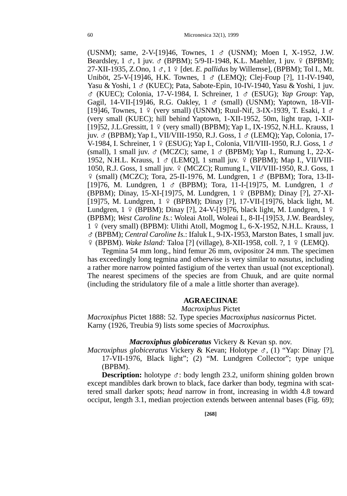(USNM); same, 2-V-[19]46, Townes,  $1 \text{ } \sigma$  (USNM); Moen I, X-1952, J.W. Beardsley,  $1 \text{ }\sigma$ ,  $1 \text{ inv. } \sigma$  (BPBM); 5/9-II-1948, K.L. Maehler,  $1 \text{ inv. } \varphi$  (BPBM);  $27-XII-1935$ , Z.Ono,  $1 \text{ } \sigma$ ,  $1 \text{ } \rho$  [det. *E. pallidus* by Willemse], (BPBM); Tol I., Mt. Uniböt, 25-V-[19]46, H.K. Townes,  $1 \text{ } \text{\&}$  (LEMO); Clej-Foup [?], 11-IV-1940, Yasu & Yoshi,  $1 \text{ } \circ \text{ }$  (KUEC); Pata, Sabote-Epin, 10-IV-1940, Yasu & Yoshi, 1 juv. G (KUEC); Colonia, 17-V-1984, I. Schreiner, 1 G (ESUG); *Yap Group*: Yap, Gagil, 14-VII-[19]46, R.G. Oakley, 1 & (small) (USNM); Yaptown, 18-VII-[19]46, Townes,  $1 \nsubseteq$  (very small) (USNM); Ruul-Nif, 3-IX-1939, T. Esaki,  $1 \nsubseteq$ (very small (KUEC); hill behind Yaptown, 1-XII-1952, 50m, light trap, 1-XII- [19]52, J.L.Gressitt,  $1 \text{ } \frac{\varphi}{\varphi}$  (very small) (BPBM); Yap I., IX-1952, N.H.L. Krauss, 1 juv. G (BPBM); Yap I., VII/VIII-1950, R.J. Goss, 1 G (LEMQ); Yap, Colonia, 17- V-1984, I. Schreiner,  $1 \notin (ESUG)$ ; Yap I., Colonia, VII/VIII-1950, R.J. Goss,  $1 \circ$ (small), 1 small juv.  $\sigma$  (MCZC); same, 1  $\sigma$  (BPBM); Yap I., Rumung I., 22-X-1952, N.H.L. Krauss,  $1 \text{ } \sigma$  (LEMO], 1 small juv.  $9 \text{ } (BPBM)$ ; Map I., VII/VIII-1050, R.J. Goss, 1 small juv. 9 (MCZC); Rumung I., VII/VIII-1950, R.J. Goss, 1  $\frac{1}{2}$  (small) (MCZC); Tora, 25-II-1976, M. Lundgren, 1  $\sigma$  (BPBM); Tora, 13-II-[19]76, M. Lundgren, 1  $\sigma$  (BPBM); Tora, 11-I-[19]75, M. Lundgren, 1  $\sigma$ (BPBM); Dinay, 15-XI-[19]75, M. Lundgren, 1 º (BPBM); Dinay [?], 27-XI-[19]75, M. Lundgren,  $1 \notin (BPBM)$ ; Dinay [?], 17-VII-[19]76, black light, M. Lundgren,  $1 \notin (BPBM)$ ; Dinay [?], 24-V-[19]76, black light, M. Lundgren,  $1 \notin$ (BPBM); *West Caroline Is.*: Woleai Atoll, Woleai I., 8-II-[19]53, J.W. Beardsley,  $1 \div$  (very small) (BPBM): Ulithi Atoll, Mogmog I., 6-X-1952, N.H.L. Krauss, 1 G (BPBM); *Central Caroline Is.*: Ifaluk I., 9-IX-1953, Marston Bates, 1 small juv. E (BPBM). *Wake Island:* Taloa [?] (village), 8-XII-1958, coll. ?, 1 E (LEMQ).

Tegmina 54 mm long., hind femur 26 mm, ovipositor 24 mm. The specimen has exceedingly long tegmina and otherwise is very similar to *nasutus,* including a rather more narrow pointed fastigium of the vertex than usual (not exceptional). The nearest specimens of the species are from Chuuk, and are quite normal (including the stridulatory file of a male a little shorter than average).

### **AGRAECIINAE**

*Macroxiphus* Pictet

*Macroxiphus* Pictet 1888: 52. Type species *Macroxiphus nasicornus* Pictet. Karny (1926, Treubia 9) lists some species of *Macroxiphus.*

#### *Macroxiphus globiceratus* Vickery & Kevan sp. nov.

*Macroxiphus globiceratus Vickery & Kevan; Holotype*  $\sigma$ *, (1) "Yap: Dinay [?],* 17-VII-1976, Black light"; (2) "M. Lundgren Collector"; type unique (BPBM).

**Description:** holotype  $\sigma$ : body length 23.2, uniform shining golden brown except mandibles dark brown to black, face darker than body, tegmina with scattered small darker spots; *head* narrow in front, increasing in width 4.8 toward occiput, length 3.1, median projection extends between antennal bases (Fig. 69);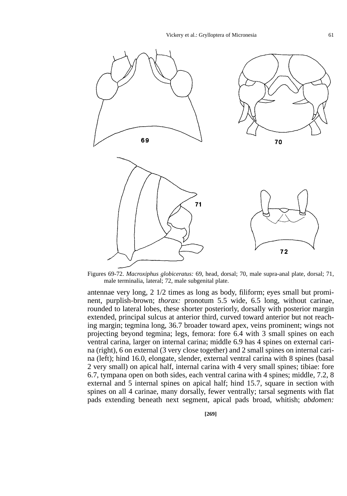

Figures 69-72. *Macroxiphus globiceratus:* 69, head, dorsal; 70, male supra-anal plate, dorsal; 71, male terminalia, lateral; 72, male subgenital plate.

antennae very long, 2 1/2 times as long as body, filiform; eyes small but prominent, purplish-brown; *thorax:* pronotum 5.5 wide, 6.5 long, without carinae, rounded to lateral lobes, these shorter posteriorly, dorsally with posterior margin extended, principal sulcus at anterior third, curved toward anterior but not reaching margin; tegmina long, 36.7 broader toward apex, veins prominent; wings not projecting beyond tegmina; legs, femora: fore 6.4 with 3 small spines on each ventral carina, larger on internal carina; middle 6.9 has 4 spines on external carina (right), 6 on external (3 very close together) and 2 small spines on internal carina (left); hind 16.0, elongate, slender, external ventral carina with 8 spines (basal 2 very small) on apical half, internal carina with 4 very small spines; tibiae: fore 6.7, tympana open on both sides, each ventral carina with 4 spines; middle, 7.2, 8 external and 5 internal spines on apical half; hind 15.7, square in section with spines on all 4 carinae, many dorsally, fewer ventrally; tarsal segments with flat pads extending beneath next segment, apical pads broad, whitish; *abdomen:*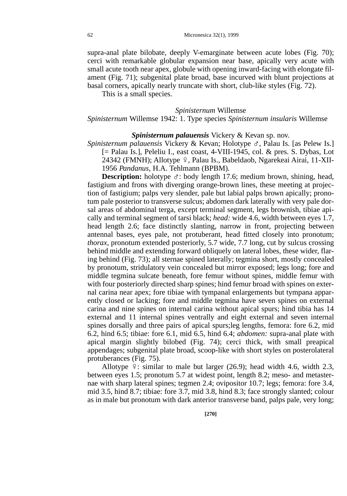supra-anal plate bilobate, deeply V-emarginate between acute lobes (Fig. 70); cerci with remarkable globular expansion near base, apically very acute with small acute tooth near apex, globule with opening inward-facing with elongate filament (Fig. 71); subgenital plate broad, base incurved with blunt projections at basal corners, apically nearly truncate with short, club-like styles (Fig. 72).

This is a small species.

## *Spinisternum* Willemse

## *Spinisternum* Willemse 1942: 1. Type species *Spinisternum insularis* Willemse

#### *Spinisternum palauensis* Vickery & Kevan sp. nov.

*Spinisternum palauensis* Vickery & Kevan; Holotype G, Palau Is. [as Pelew Is.] [= Palau Is.], Peleliu I., east coast, 4-VIII-1945, col. & pres. S. Dybas, Lot 24342 (FMNH); Allotype 9, Palau Is., Babeldaob, Ngarekeai Airai, 11-XII-1956 *Pandanus,* H.A. Tehlmann (BPBM).

**Description:** holotype  $\sigma$ : body length 17.6; medium brown, shining, head, fastigium and frons with diverging orange-brown lines, these meeting at projection of fastigium; palps very slender, pale but labial palps brown apically; pronotum pale posterior to transverse sulcus; abdomen dark laterally with very pale dorsal areas of abdominal terga, except terminal segment, legs brownish, tibiae apically and terminal segment of tarsi black; *head:* wide 4.6, width between eyes 1.7, head length 2.6; face distinctly slanting, narrow in front, projecting between antennal bases, eyes pale, not protuberant, head fitted closely into pronotum; *thorax,* pronotum extended posteriorly, 5.7 wide, 7.7 long, cut by sulcus crossing behind middle and extending forward obliquely on lateral lobes, these wider, flaring behind (Fig. 73); all sternae spined laterally; tegmina short, mostly concealed by pronotum, stridulatory vein concealed but mirror exposed; legs long; fore and middle tegmina sulcate beneath, fore femur without spines, middle femur with with four posteriorly directed sharp spines; hind femur broad with spines on external carina near apex; fore tibiae with tympanal enlargements but tympana apparently closed or lacking; fore and middle tegmina have seven spines on external carina and nine spines on internal carina without apical spurs; hind tibia has 14 external and 11 internal spines ventrally and eight external and seven internal spines dorsally and three pairs of apical spurs;leg lengths, femora: fore 6.2, mid 6.2, hind 6.5; tibiae: fore 6.1, mid 6.5, hind 6.4; *abdomen:* supra-anal plate with apical margin slightly bilobed (Fig. 74); cerci thick, with small preapical appendages; subgenital plate broad, scoop-like with short styles on posterolateral protuberances (Fig. 75).

Allotype  $9:$  similar to male but larger (26.9); head width 4.6, width 2.3, between eyes 1.5; pronotum 5.7 at widest point, length 8.2; meso- and metasternae with sharp lateral spines; tegmen 2.4; ovipositor 10.7; legs; femora: fore 3.4, mid 3.5, hind 8.7; tibiae: fore 3.7, mid 3.8, hind 8.3; face strongly slanted; colour as in male but pronotum with dark anterior transverse band, palps pale, very long;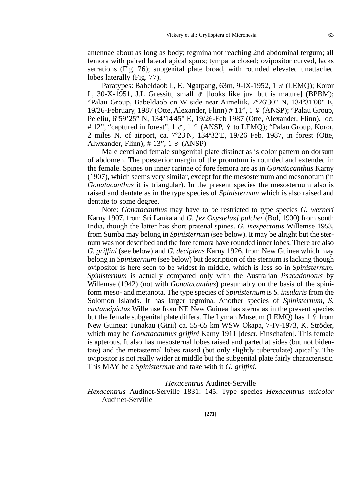antennae about as long as body; tegmina not reaching 2nd abdominal tergum; all femora with paired lateral apical spurs; tympana closed; ovipositor curved, lacks serrations (Fig. 76); subgenital plate broad, with rounded elevated unattached lobes laterally (Fig. 77).

Paratypes: Babeldaob I., E. Ngatpang, 63m, 9-IX-1952, 1  $\sigma$  (LEMO); Koror I., 30-X-1951, J.L Gressitt, small  $\sigma$  [looks like juv. but is mature] (BPBM); "Palau Group, Babeldaob on W side near Aimeliik, 7º26'30" N, 134º31'00" E, 19/26-February, 1987 (Otte, Alexander, Flinn) # 11", 1 E (ANSP); "Palau Group, Peleliu, 6º59'25" N, 134º14'45" E, 19/26-Feb 1987 (Otte, Alexander, Flinn), loc. # 12", "captured in forest",  $1 \text{ } \sigma$ ,  $1 \text{ } \frac{\sigma}{2}$  (ANSP,  $\frac{\sigma}{2}$  to LEMO); "Palau Group, Koror, 2 miles N. of airport, ca. 7º23'N, 134º32'E, 19/26 Feb. 1987, in forest (Otte, Alwxander, Flinn), # 13",  $1 \text{ } \sigma$  (ANSP)

Male cerci and female subgenital plate distinct as is color pattern on dorsum of abdomen. The poesterior margin of the pronutum is rounded and extended in the female. Spines on inner carinae of fore femora are as in *Gonatacanthus* Karny (1907), which seems very similar, except for the mesosternum and mesonotum (in *Gonatacanthus* it is triangular). In the present species the mesosternum also is raised and dentate as in the type species of *Spinisternum* which is also raised and dentate to some degree.

Note: *Gonatacanthus* may have to be restricted to type species *G. werneri* Karny 1907, from Sri Lanka and *G. [ex Oxystelus] pulcher* (Bol, 1900) from south India, though the latter has short pratenal spines. *G. inexpectatus* Willemse 1953, from Sumba may belong in *Spinisternum* (see below). It may be alright but the sternum was not described and the fore femora have rounded inner lobes. There are also *G. griffini* (see below) and *G. decipiens* Karny 1926, from New Guinea which may belong in *Spinisternum* (see below) but description of the sternum is lacking though ovipositor is here seen to be widest in middle, which is less so in *Spinisternum. Spinisternum* is actually compared only with the Australian *Psacadonotus* by Willemse (1942) (not with *Gonatacanthus*) presumably on the basis of the spiniform meso- and metanota. The type species of *Spinisternum* is *S. insularis* from the Solomon Islands. It has larger tegmina. Another species of *Spinisternum, S. castaneipictus* Willemse from NE New Guinea has sterna as in the present species but the female subgenital plate differs. The Lyman Museum (LEMQ) has  $1 \div 1$  from New Guinea: Tunakau (Girii) ca. 55-65 km WSW Okapa, 7-IV-1973, K. Ströder, which may be *Gonatacanthus griffini* Karny 1911 [descr. Finschafen]. This female is apterous. It also has mesosternal lobes raised and parted at sides (but not bidentate) and the metasternal lobes raised (but only slightly tuberculate) apically. The ovipositor is not really wider at middle but the subgenital plate fairly characteristic. This MAY be a *Spinisternum* and take with it *G. griffini.* 

## *Hexacentrus* Audinet-Serville

*Hexacentrus* Audinet-Serville 1831: 145. Type species *Hexacentrus unicolor* Audinet-Serville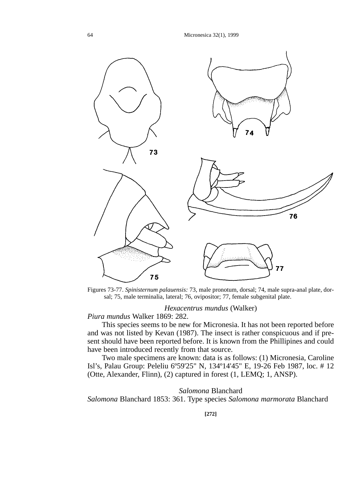64 Micronesica 32(1), 1999



Figures 73-77. *Spinisternum palauensis:* 73, male pronotum, dorsal; 74, male supra-anal plate, dorsal; 75, male terminalia, lateral; 76, ovipositor; 77, female subgenital plate.

*Hexacentrus mundus* (Walker)

*Piura mundus* Walker 1869: 282.

This species seems to be new for Micronesia. It has not been reported before and was not listed by Kevan (1987). The insect is rather conspicuous and if present should have been reported before. It is known from the Phillipines and could have been introduced recently from that source.

Two male specimens are known: data is as follows: (1) Micronesia, Caroline Isl's, Palau Group: Peleliu 6º59'25" N, 134º14'45" E, 19-26 Feb 1987, loc. # 12 (Otte, Alexander, Flinn), (2) captured in forest (1, LEMQ; 1, ANSP).

## *Salomona* Blanchard

*Salomona* Blanchard 1853: 361. Type species *Salomona marmorata* Blanchard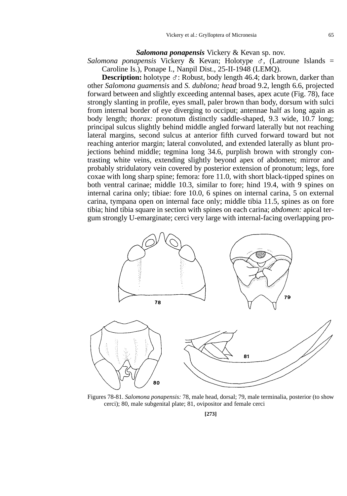### *Salomona ponapensis* Vickery & Kevan sp. nov.

Salomona ponapensis Vickery & Kevan; Holotype  $\sigma$ , (Latroune Islands = Caroline Is.), Ponape I., Nanpil Dist., 25-II-1948 (LEMQ).

**Description:** holotype  $\sigma$ : Robust, body length 46.4; dark brown, darker than other *Salomona guamensis* and *S. dublona; head* broad 9.2, length 6.6, projected forward between and slightly exceeding antennal bases, apex acute (Fig. 78), face strongly slanting in profile, eyes small, paler brown than body, dorsum with sulci from internal border of eye diverging to occiput; antennae half as long again as body length; *thorax:* pronotum distinctly saddle-shaped, 9.3 wide, 10.7 long; principal sulcus slightly behind middle angled forward laterally but not reaching lateral margins, second sulcus at anterior fifth curved forward toward but not reaching anterior margin; lateral convoluted, and extended laterally as blunt projections behind middle; tegmina long 34.6, purplish brown with strongly contrasting white veins, extending slightly beyond apex of abdomen; mirror and probably stridulatory vein covered by posterior extension of pronotum; legs, fore coxae with long sharp spine; femora: fore 11.0, with short black-tipped spines on both ventral carinae; middle 10.3, similar to fore; hind 19.4, with 9 spines on internal carina only; tibiae: fore 10.0, 6 spines on internal carina, 5 on external carina, tympana open on internal face only; middle tibia 11.5, spines as on fore tibia; hind tibia square in section with spines on each carina; *abdomen:* apical tergum strongly U-emarginate; cerci very large with internal-facing overlapping pro-



Figures 78-81. *Salomona ponapensis:* 78, male head, dorsal; 79, male terminalia, posterior (to show cerci); 80, male subgenital plate; 81, ovipositor and female cerci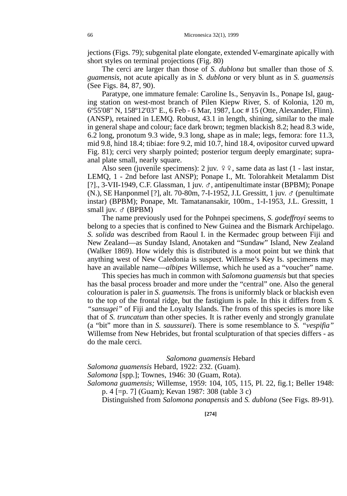jections (Figs. 79); subgenital plate elongate, extended V-emarginate apically with short styles on terminal projections (Fig. 80)

The cerci are larger than those of *S. dublona* but smaller than those of *S. guamensis,* not acute apically as in *S. dublona* or very blunt as in *S. guamensis* (See Figs. 84, 87, 90).

Paratype, one immature female: Caroline Is., Senyavin Is., Ponape Isl, gauging station on west-most branch of Pilen Kiepw River, S. of Kolonia, 120 m, 6º55'08" N, 158º12'03" E., 6 Feb - 6 Mar, 1987, Loc # 15 (Otte, Alexander, Flinn). (ANSP), retained in LEMQ. Robust, 43.1 in length, shining, similar to the male in general shape and colour; face dark brown; tegmen blackish 8.2; head 8.3 wide, 6.2 long, pronotum 9.3 wide, 9.3 long, shape as in male; legs, femora: fore 11.3, mid 9.8, hind 18.4; tibiae: fore 9.2, mid 10.7, hind 18.4, ovipositor curved upward Fig. 81); cerci very sharply pointed; posterior tergum deeply emarginate; supraanal plate small, nearly square.

Also seen (juvenile specimens): 2 juv.  $99$ , same data as last (1 - last instar, LEMQ, 1 - 2nd before last ANSP); Ponape I., Mt. Tolorahkeit Metalamm Dist [?]., 3-VII-1949, C.F. Glassman, 1 juv. G, antipenultimate instar (BPBM); Ponape (N.), SE Hanponmel [?], alt. 70-80m, 7-I-1952, J.L Gressitt, 1 juv.  $\sigma$  (penultimate instar) (BPBM); Ponape, Mt. Tamatanansakir, 100m., 1-I-1953, J.L. Gressitt, 1 small juv.  $\sigma$  (BPBM)

The name previously used for the Pohnpei specimens, *S. godeffroyi* seems to belong to a species that is confined to New Guinea and the Bismark Archipelago. *S. solida* was described from Raoul I. in the Kermadec group between Fiji and New Zealand—as Sunday Island, Anotaken and "Sundaw" Island, New Zealand (Walker 1869). How widely this is distributed is a moot point but we think that anything west of New Caledonia is suspect. Willemse's Key Is. specimens may have an available name—*albipes* Willemse, which he used as a "voucher" name.

This species has much in common with *Salomona guamensis* but that species has the basal process broader and more under the "central" one. Also the general colouration is paler in *S. guamensis.* The frons is uniformly black or blackish even to the top of the frontal ridge, but the fastigium is pale. In this it differs from *S. "sansugei"* of Fiji and the Loyalty Islands. The frons of this species is more like that of *S. truncatum* than other species. It is rather evenly and strongly granulate (a "bit" more than in *S. saussurei*). There is some resemblance to *S. "vespifia"* Willemse from New Hebrides, but frontal sculpturation of that species differs - as do the male cerci.

### *Salomona guamensis* Hebard

*Salomona guamensis* Hebard, 1922: 232. (Guam).

*Salomona* [spp.]; Townes, 1946: 30 (Guam, Rota).

*Salomona guamensis;* Willemse, 1959: 104, 105, 115, Pl. 22, fig.1; Beller 1948: p. 4 [=p. 7] (Guam); Kevan 1987: 308 (table 3 c)

Distinguished from *Salomona ponapensis* and *S. dublona* (See Figs. 89-91).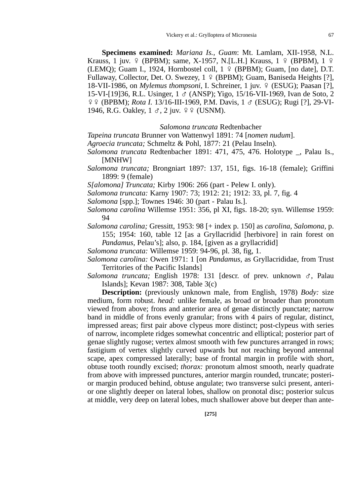**Specimens examined:** *Mariana Is., Guam*: Mt. Lamlam, XII-1958, N.L. Krauss, 1 juv.  $\varphi$  (BPBM); same, X-1957, N.[L.H.] Krauss, 1  $\varphi$  (BPBM), 1  $\varphi$ (LEMQ); Guam I., 1924, Hornbostel coll,  $1 \notin (BPBM)$ ; Guam, [no date], D.T. Fullaway, Collector, Det. O. Swezey,  $1 \notin (BPBM)$ ; Guam, Baniseda Heights [?], 18-VII-1986, on *Mylemus thompsoni*, I. Schreiner, 1 juv. 9 (ESUG); Paasan [?], 15-VI-[19]36, R.L. Usinger, 1 G (ANSP); Yigo, 15/16-VII-1969, Ivan de Soto, 2 EE (BPBM); *Rota I.* 13/16-III-1969, P.M. Davis, 1 G (ESUG); Rugi [?], 29-VI-1946, R.G. Oakley,  $1 \text{ } \sigma$ ,  $2 \text{ } i$ uv.  $9 \text{ } \circ$  (USNM).

### *Salomona truncata* Redtenbacher

*Tapeina truncata* Brunner von Wattenwyl 1891: 74 [*nomen nudum*].

- *Agroecia truncata;* Schmeltz & Pohl, 1877: 21 (Pelau Inseln).
- *Salomona truncata* Redtenbacher 1891: 471, 475, 476. Holotype \_, Palau Is., [MNHW]
- *Salomona truncata;* Brongniart 1897: 137, 151, figs. 16-18 (female); Griffini 1899: 9 (female)
- *S[alomona] Truncata;* Kirby 1906: 266 (part Pelew I. only).
- *Salomona truncata:* Karny 1907: 73; 1912: 21; 1912: 33, pl. 7, fig. 4
- *Salomona* [spp.]; Townes 1946: 30 (part Palau Is.].
- *Salomona carolina* Willemse 1951: 356, pl XI, figs. 18-20; syn. Willemse 1959: 94
- *Salomona carolina;* Gressitt, 1953: 98 [+ index p. 150] as *carolina, Salomona,* p. 155; 1954: 160, table 12 [as a Gryllacridid [herbivore] in rain forest on *Pandamus,* Pelau's]; also, p. 184, [given as a gryllacridid]
- *Salomona truncata:* Willemse 1959: 94-96, pl. 38, fig, 1.
- *Salomona carolina:* Owen 1971: 1 [on *Pandamus,* as Gryllacrididae, from Trust Territories of the Pacific Islands]
- *Salomona truncata;* English 1978: 131 [descr. of prev. unknown  $\sigma$ , Palau Islands]; Kevan 1987: 308, Table 3(c)

**Description:** (previously unknown male, from English, 1978) *Body:* size medium, form robust. *head:* unlike female, as broad or broader than pronotum viewed from above; frons and anterior area of genae distinctly punctate; narrow band in middle of frons evenly granular; frons with 4 pairs of regular, distinct, impressed areas; first pair above clypeus more distinct; post-clypeus with series of narrow, incomplete ridges somewhat concentric and elliptical; posterior part of genae slightly rugose; vertex almost smooth with few punctures arranged in rows; fastigium of vertex slightly curved upwards but not reaching beyond antennal scape, apex compressed laterally; base of frontal margin in profile with short, obtuse tooth roundly excised; *thorax:* pronotum almost smooth, nearly quadrate from above with impressed punctures, anterior margin rounded, truncate; posterior margin produced behind, obtuse angulate; two transverse sulci present, anterior one slightly deeper on lateral lobes, shallow on pronotal disc; posterior sulcus at middle, very deep on lateral lobes, much shallower above but deeper than ante-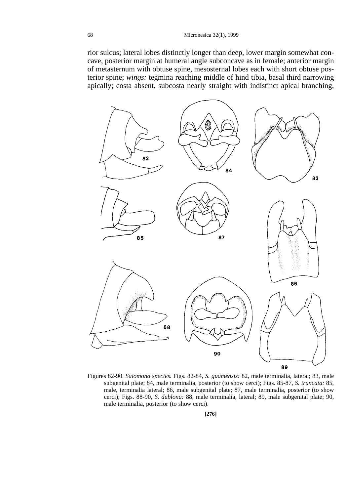rior sulcus; lateral lobes distinctly longer than deep, lower margin somewhat concave, posterior margin at humeral angle subconcave as in female; anterior margin of metasternum with obtuse spine, mesosternal lobes each with short obtuse posterior spine; *wings:* tegmina reaching middle of hind tibia, basal third narrowing apically; costa absent, subcosta nearly straight with indistinct apical branching,



Figures 82-90. *Salomona species.* Figs. 82-84, *S. guamensis:* 82, male terminalia, lateral; 83, male subgenital plate; 84, male terminalia, posterior (to show cerci); Figs. 85-87, *S. truncata:* 85, male, terminalia lateral; 86, male subgenital plate; 87, male terminalia, posterior (to show cerci); Figs. 88-90, *S. dublona:* 88, male terminalia, lateral; 89, male subgenital plate; 90, male terminalia, posterior (to show cerci).

**[276]**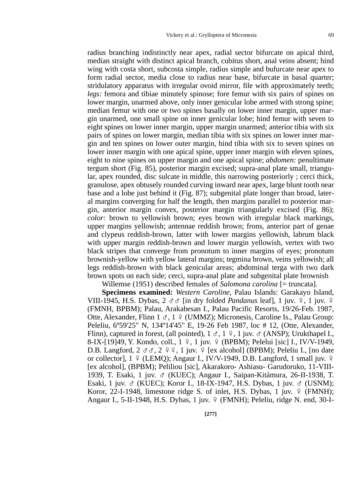radius branching indistinctly near apex, radial sector bifurcate on apical third, median straight with distinct apical branch, cubitus short, anal veins absent; hind wing with costa short, subcosta simple, radius simple and bufurcate near apex to form radial sector, media close to radius near base, bifurcate in basal quarter; stridulatory apparatus with irregular ovoid mirror, file with approximately teeth; *legs:* femora and tibiae minutely spinose; fore femur with six pairs of spines on lower margin, unarmed above, only inner genicular lobe armed with strong spine; median femur with one or two spines basally on lower inner margin, upper margin unarmed, one small spine on inner genicular lobe; hind femur with seven to eight spines on lower inner margin, upper margin unarmed; anterior tibia with six pairs of spines on lower margin, median tibia with six spines on lower inner margin and ten spines on lower outer margin, hind tibia with six to seven spines on lower inner margin with one apical spine, upper inner margin with eleven spines, eight to nine spines on upper margin and one apical spine; *abdomen:* penultimate tergum short (Fig. 85), posterior margin excised; supra-anal plate small, triangular, apex rounded, disc sulcate in middle, this narrowing posteriorly ; cerci thick, granulose, apex obtusely rounded curving inward near apex, large blunt tooth near base and a lobe just behind it (Fig. 87); subgenital plate longer than broad, lateral margins converging for half the length, then margins parallel to posterior margin, anterior margin convex, posterior margin triangularly excised (Fig. 86); *color:* brown to yellowish brown; eyes brown with irregular black markings, upper margins yellowish; antennae reddish brown; frons, anterior part of genae and clypeus reddish-brown, latter with lower margins yellowish, labrum black with upper margin reddish-brown and lower margin yellowish, vertex with two black stripes that converge from pronotum to inner margins of eyes; pronotum brownish-yellow with yellow lateral margins; tegmina brown, veins yellowish; all legs reddish-brown with black genicular areas; abdominal terga with two dark brown spots on each side; cerci, supra-anal plate and subgenital plate brownish

Willemse (1951) described females of *Salomona carolina* [= truncata].

**Specimens examined:** *Western Caroline,* Palau Islands: Garakayo Island, VIII-1945, H.S. Dybas,  $2 \text{ } \sigma \sigma$  [in dry folded *Pandanus* leaf], 1 juv.  $9$ , 1 juv.  $9$ (FMNH, BPBM); Palau, Arakabesan I., Palau Pacific Resorts, 19/26-Feb. 1987, Otte, Alexander, Flinn  $1 \leq 1 \leq$  (UMMZ); Micronesis, Caroline Is., Palau Group: Peleliu, 6º59'25" N, 134º14'45" E, 19-26 Feb 1987, loc # 12, (Otte, Alexander, Flinn), captured in forest, (all pointed),  $1 \text{ } \sigma$ ,  $1 \text{ } \varphi$ ,  $1 \text{ }$  juv.  $\sigma$  (ANSP); Urukthapel I. 8-IX-[19]49, Y. Kondo, coll.,  $1 \,$   $9$ ,  $1$  juv.  $9 \,$  (BPBM); Pelelui [sic] I., IV/V-1949, D.B. Langford,  $2 \text{ } \sigma \sigma$ ,  $2 \text{ } \varphi \varphi$ ,  $1$  juv.  $\varphi$  [ex alcohol] (BPBM); Peleliu I., [no date or collector],  $1 \notin (LEMO)$ ; Angaur I., IV/V-1949, D.B. Langford, 1 small juv.  $\circ$ [ex alcohol], (BPBM); Peliliou [sic], Akarakoro- Ashiasu- Garudoruko, 11-VIII-1939, T. Esaki, 1 juv. G (KUEC); Angaur I., Saipan-Kitámura, 26-II-1938, T. Esaki, 1 juv. G (KUEC); Koror I., 18-IX-1947, H.S. Dybas, 1 juv. G (USNM); Koror, 22-I-1948, limestone ridge S. of inlet, H.S. Dybas, 1 juv.  $9 \times (FMMH)$ ; Angaur I., 5-II-1948, H.S. Dybas, 1 juv. 9 (FMNH); Peleliu, ridge N. end, 30-I-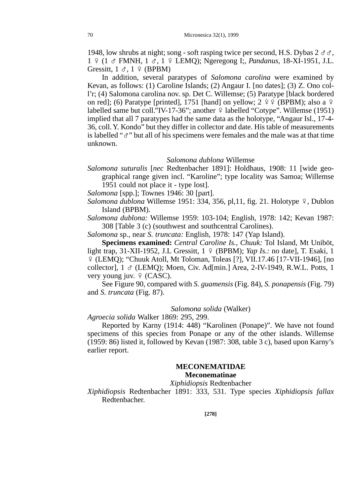1948, low shrubs at night; song - soft rasping twice per second, H.S. Dybas  $2 \sigma \sigma$ , 1 E (1 G FMNH, 1 G, 1 E LEMQ); Ngeregong I;, *Pandanus,* 18-XI-1951, J.L. Gressitt,  $1 \text{ } \sigma$ ,  $1 \text{ } \varphi$  (BPBM)

In addition, several paratypes of *Salomona carolina* were examined by Kevan, as follows: (1) Caroline Islands; (2) Angaur I. [no dates]; (3) Z. Ono coll'r; (4) Salomona carolina nov. sp. Det C. Willemse; (5) Paratype [black bordered on red]; (6) Paratype [printed], 1751 [hand] on yellow;  $2 \frac{9}{5}$  (BPBM); also a  $\frac{9}{5}$ labelled same but coll."IV-17-36"; another  $\frac{1}{2}$  labelled "Cotype". Willemse (1951) implied that all 7 paratypes had the same data as the holotype, "Angaur Isl., 17-4- 36, coll. Y. Kondo" but they differ in collector and date. His table of measurements is labelled " $\sigma$ " but all of his specimens were females and the male was at that time unknown.

#### *Salomona dublona* Willemse

- *Salomona suturalis* [*nec* Redtenbacher 1891]: Holdhaus, 1908: 11 [wide geographical range given incl. "Karoline"; type locality was Samoa; Willemse 1951 could not place it - type lost].
- *Salomona* [spp.]; Townes 1946: 30 [part].
- *Salomona dublona* Willemse 1951: 334, 356, pl,11, fig. 21. Holotype 9, Dublon Island (BPBM).

*Salomona dublona:* Willemse 1959: 103-104; English, 1978: 142; Kevan 1987: 308 [Table 3 (c) (southwest and southcentral Carolines).

*Salomona* sp., near *S. truncata:* English, 1978: 147 (Yap Island).

**Specimens examined:** *Central Caroline Is., Chuuk:* Tol Island, Mt Uniböt, light trap, 31-XII-1952, J.L Gressitt, 1 º (BPBM); *Yap Is.:* no date], T. Esaki, 1  $\frac{1}{2}$  (LEMQ); "Chuuk Atoll, Mt Toloman, Toleas [?], VII.17.46 [17-VII-1946], [no collector], 1 G (LEMQ); Moen, Civ. Ad[min.] Area, 2-IV-1949, R.W.L. Potts, 1 very young juv.  $9$  (CASC).

See Figure 90, compared with *S. guamensis* (Fig. 84), *S. ponapensis* (Fig. 79) and *S. truncata* (Fig. 87).

#### *Salomona solida* (Walker)

## *Agroecia solida* Walker 1869: 295, 299.

Reported by Karny (1914: 448) "Karolinen (Ponape)". We have not found specimens of this species from Ponape or any of the other islands. Willemse (1959: 86) listed it, followed by Kevan (1987: 308, table 3 c), based upon Karny's earlier report.

## **MECONEMATIDAE Meconematinae**

## *Xiphidiopsis* Redtenbacher

*Xiphidiopsis* Redtenbacher 1891: 333, 531. Type species *Xiphidiopsis fallax* Redtenbacher.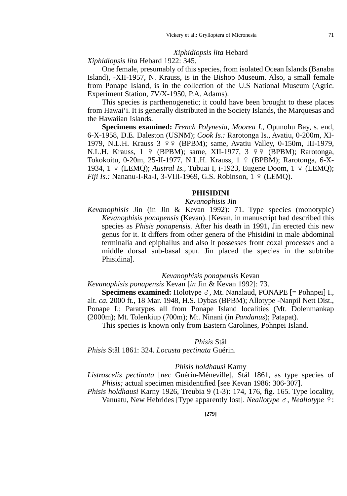## *Xiphidiopsis lita* Hebard

*Xiphidiopsis lita* Hebard 1922: 345.

One female, presumably of this species, from isolated Ocean Islands (Banaba Island), -XII-1957, N. Krauss, is in the Bishop Museum. Also, a small female from Ponape Island, is in the collection of the U.S National Museum (Agric. Experiment Station, 7V/X-1950, P.A. Adams).

This species is parthenogenetic; it could have been brought to these places from Hawai'i. It is generally distributed in the Society Islands, the Marquesas and the Hawaiian Islands.

**Specimens examined:** *French Polynesia, Moorea I.,* Opunohu Bay, s. end, 6-X-1958, D.E. Daleston (USNM); *Cook Is.:* Rarotonga Is., Avatiu, 0-200m, XI-1979, N.L.H. Krauss 3 º º (BPBM); same, Avatiu Valley, 0-150m, III-1979, N.L.H. Krauss, 1 º (BPBM); same, XII-1977, 3 º º (BPBM); Rarotonga, Tokokoitu, 0-20m, 25-II-1977, N.L.H. Krauss, 1 º (BPBM); Rarotonga, 6-X-1934, 1 º (LEMQ); *Austral Is.*, Tubuai I, i-1923, Eugene Doom, 1 º (LEMQ); *Fiji Is.:* Nananu-I-Ra-I, 3-VIII-1969, G.S. Robinson,  $1 \notin (LEMQ)$ .

#### **PHISIDINI**

#### *Kevanophisis* Jin

*Kevanophisis* Jin (in Jin & Kevan 1992): 71. Type species (monotypic) *Kevanophisis ponapensis* (Kevan). [Kevan, in manuscript had described this species as *Phisis ponapensis.* After his death in 1991, Jin erected this new genus for it. It differs from other genera of the Phisidini in male abdominal terminalia and epiphallus and also it possesses front coxal processes and a middle dorsal sub-basal spur. Jin placed the species in the subtribe Phisidina].

#### *Kevanophisis ponapensis* Kevan

*Kevanophisis ponapensis* Kevan [*in* Jin & Kevan 1992]: 73.

**Specimens examined:** Holotype  $\sigma$ , Mt. Nanalaud, PONAPE  $[=$  Pohnpei] I., alt. *ca.* 2000 ft., 18 Mar. 1948, H.S. Dybas (BPBM); Allotype -Nanpil Nett Dist., Ponape I.; Paratypes all from Ponape Island localities (Mt. Dolenmankap (2000m); Mt. Tolenkiup (700m); Mt. Ninani (in *Pandanus*); Patapat).

This species is known only from Eastern Carolines, Pohnpei Island.

#### *Phisis* Stål

*Phisis* Stål 1861: 324. *Locusta pectinata* Guérin.

#### *Phisis holdhausi* Karny

*Listroscelis pectinata* [*nec* Guérin-Méneville], Stål 1861, as type species of *Phisis;* actual specimen misidentified [see Kevan 1986: 306-307].

*Phisis holdhausi* Karny 1926, Treubia 9 (1-3): 174, 176, fig. 165. Type locality, Vanuatu, New Hebrides [Type apparently lost]. *Neallotype*  $\sigma$ , *Neallotype*  $\Omega$ :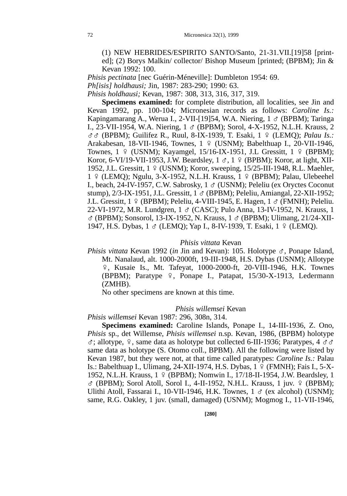(1) NEW HEBRIDES/ESPIRITO SANTO/Santo, 21-31.VII.[19]58 [printed]; (2) Borys Malkin/ collector/ Bishop Museum [printed; (BPBM); Jin & Kevan 1992: 100.

*Phisis pectinata* [nec Guérin-Méneville]: Dumbleton 1954: 69.

*Ph[isis] holdhausi;* Jin, 1987: 283-290; 1990: 63.

*Phisis holdhausi;* Kevan, 1987: 308, 313, 316, 317, 319.

**Specimens examined:** for complete distribution, all localities, see Jin and Kevan 1992, pp. 100-104; Micronesian records as follows: *Caroline Is.:* Kapingamarang A., Werua I., 2-VII-[19]54, W.A. Niering,  $1 \text{ } \sigma$  (BPBM); Taringa I., 23-VII-1954, W.A. Niering, 1 G (BPBM); Sorol, 4-X-1952, N.L.H. Krauss, 2 GG (BPBM); Guilifez R., Ruul, 8-IX-1939, T. Esaki, 1 E (LEMQ); *Palau Is.:* Arakabesan, 18-VII-1946, Townes, 1 º (USNM); Babelthuap I., 20-VII-1946, Townes,  $1 \notin (USNM)$ ; Kayamgel, 15/16-IX-1951, J.L Gressitt,  $1 \notin (BPBM)$ ; Koror, 6-VI/19-VII-1953, J.W. Beardsley,  $1 \text{ } \sigma$ ,  $1 \text{ } \frac{\sigma}{2}$  (BPBM); Koror, at light, XII-1952, J.L. Gressitt,  $1 \frac{9}{5}$  (USNM); Koror, sweeping, 15/25-III-1948, R.L. Maehler, 1 º (LEMQ); Ngulu, 3-X-1952, N.L.H. Krauss, 1 º (BPBM); Palau, Ulebeehel I., beach, 24-IV-1957, C.W. Sabrosky, 1 & (USNM); Peleliu (ex Oryctes Coconut stump),  $2/3$ -IX-1951, J.L. Gressitt,  $1 \text{ } \sigma$  (BPBM); Peleliu, Amiangal,  $22$ -XII-1952; J.L. Gressitt,  $1 \circ (BPBM)$ ; Peleliu, 4-VIII-1945, E. Hagen,  $1 \circ (FMNH)$ ; Peleliu. 22-VI-1972, M.R. Lundgren, 1 ♂ (CASC); Pulo Anna, 13-IV-1952, N. Krauss, 1  $\sigma$  (BPBM); Sonsorol, 13-IX-1952, N. Krauss, 1  $\sigma$  (BPBM); Ulimang, 21/24-XII-1947, H.S. Dybas, 1 & (LEMQ); Yap I., 8-IV-1939, T. Esaki, 1 º (LEMQ).

## *Phisis vittata* Kevan

*Phisis vittata* Kevan 1992 (*in J*in and Kevan): 105. Holotype  $\sigma$ , Ponape Island, Mt. Nanalaud, alt. 1000-2000ft, 19-III-1948, H.S. Dybas (USNM); Allotype E, Kusaie Is., Mt. Tafeyat, 1000-2000-ft, 20-VIII-1946, H.K. Townes (BPBM); Paratype  $9$ , Ponape I., Patapat, 15/30-X-1913, Ledermann (ZMHB).

No other specimens are known at this time.

#### *Phisis willemsei* Kevan

*Phisis willemsei* Kevan 1987: 296, 308n, 314.

**Specimens examined:** Caroline Islands, Ponape I., 14-III-1936, Z. Ono, *Phisis* sp., det Willemse, *Phisis willemsei* n.sp. Kevan, 1986, (BPBM) holotype  $\sigma$ ; allotype,  $\varphi$ , same data as holotype but collected 6-III-1936; Paratypes, 4  $\sigma \sigma$ same data as holotype (S. Otomo coll., BPBM). All the following were listed by Kevan 1987, but they were not, at that time called paratypes: *Caroline Is.:* Palau Is.: Babelthuap I., Ulimang, 24-XII-1974, H.S. Dybas, 1 º (FMNH); Fais I., 5-X-1952, N.L.H. Krauss, 1 º (BPBM); Nomwin I., 17/18-II-1954, J.W. Beardsley, 1  $\sigma$  (BPBM); Sorol Atoll, Sorol I., 4-II-1952, N.H.L. Krauss, 1 juv.  $9$  (BPBM); Ulithi Atoll, Fassarai I., 10-VII-1946, H.K. Townes,  $1 \text{ } \sigma$  (ex alcohol) (USNM); same, R.G. Oakley, 1 juv. (small, damaged) (USNM); Mogmog I., 11-VII-1946,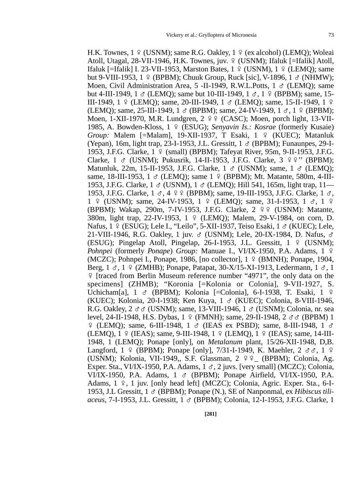H.K. Townes,  $1 \nsubseteq$  (USNM); same R.G. Oakley,  $1 \nsubseteq$  (ex alcohol) (LEMO); Woleai Atoll, Utagal,  $28$ -VII-1946, H.K. Townes, juv.  $9$  (USNM); Ifaluk [=Ifalik] Atoll, Ifaluk [=Ifalik] I. 23-VII-1953, Marston Bates,  $1 \div (USNM)$ ,  $1 \div (LEMO)$ ; same but 9-VIII-1953,  $1 \nsubseteq$  (BPBM); Chuuk Group, Ruck [sic], V-1896,  $1 \nsubseteq$  (NHMW); Moen, Civil Administration Area,  $5$  -II-1949, R.W.L.Potts,  $1 \text{ } \sigma$  (LEMO); same but 4-III-1949, 1  $\sigma$  (LEMO); same but 10-III-1949, 1  $\sigma$ , 1  $\circ$  (BPBM); same, 15-III-1949, 1 º (LEMO); same, 20-III-1949, 1  $\sigma$  (LEMO); same, 15-II-1949, 1 º (LEMO); same, 25-III-1949, 1  $\sigma$  (BPBM); same, 24-IV-1949, 1  $\sigma$ , 1  $\circ$  (BPBM); Moen, 1-XII-1970, M.R. Lundgren,  $2 \frac{9}{5}$  (CASC); Moen, porch light, 13-VII-1985, A. Bowden-Kloss, 1 E (ESUG); *Senyavin Is.: Kosrae* (formerly Kusaie) *Group: Malem [=Malam], 19-XII-1937, T Esaki, 1 º (KUEC); Matanluk* (Yepan), 16m, light trap, 23-I-1953, J.L. Gressitt,  $1 \circ$  (BPBM); Funaunpes, 29-I-1953, J.F.G. Clarke, 1 E (small) (BPBM); Tafeyat River, 95m, 9-II-1953, J.F.G. Clarke,  $1 \text{ } \sigma$  (USNM); Pukusrik, 14-II-1953, J.F.G. Clarke,  $3 \text{ } \frac{9}{5}$   $\frac{9}{5}$  (BPBM); Matunluk, 22m, 15-II-1953, J.F.G. Clarke,  $1 \text{ } \sigma$  (USNM); same,  $1 \text{ } \sigma$  (LEMO); same, 18-III-1953, 1  $\sigma$  (LEMO); same 1  $\circ$  (BPBM); Mt. Matante, 580m, 4-III-1953, J.F.G. Clarke,  $1 \text{ } \sigma$  (USNM),  $1 \text{ } \sigma$  (LEMO); Hill 541, 165m, light trap,  $11$ — 1953, J.F.G. Clarke,  $1 \text{ } \sigma$ ,  $4 \text{ } \frac{\varphi}{\varphi}$  (BPBM); same, 19-III-1953, J.F.G. Clarke,  $1 \text{ } \sigma$ , 1  $\varphi$  (USNM); same, 24-IV-1953, 1  $\varphi$  (LEMO); same, 31-I-1953, 1  $\sigma$ , 1  $\varphi$ (BPBM); Wakap, 290m, 7-IV-1953, J.F.G. Clarke,  $2 \frac{99}{5}$  (USNM): Matante, 380m, light trap, 22-IV-1953, 1 º (LEMO); Malem, 29-V-1984, on corn, D. Nafus,  $1 \overset{\circ}{ }$  (ESUG); Lele I., "Leilo", 5-XII-1937, Teiso Esaki,  $1 \overset{\circ}{ }$  (KUEC); Lele, 21-VIII-1946, R.G. Oakley, 1 juv. & (USNM); Lele, 20-IX-1984, D. Nafus, & (ESUG); Pingelap Atoll, Pingelap, 26-I-1953, J.L. Gressitt,  $1 \notin (USNM)$ ; *Pohnpei* (formerly *Ponape*) *Group:* Manuae I., VI/IX-1950, P.A. Adams, 1 º (MCZC); Pohnpei I., Ponape, 1986, [no collector],  $1 \frac{9}{5}$  (BMNH); Ponape, 1904, Berg,  $1 \text{ } \mathcal{S}$ ,  $1 \text{ } \mathcal{S}$  (ZMHB); Ponape, Patapat, 30-X/15-XI-1913, Ledermann,  $1 \text{ } \mathcal{S}$ , 1 E [traced from Berlin Museum reference number "4971", the only data on the specimens] (ZHMB); "Koronia [=Kolonia or Colonia], 9-VII-1927, S. Uchicham[a],  $1 \text{ } \sigma$  (BPBM); Kolonia [=Colonia], 6-I-1938, T. Esaki,  $1 \text{ } \circ$ (KUEC); Kolonia, 20-I-1938; Ken Kuya, 1  $\sigma$  (KUEC); Colonia, 8-VIII-1946, R.G. Oakley,  $2 \sigma \sigma$  (USNM); same, 13-VIII-1946, 1  $\sigma$  (USNM); Colonia, nr. sea level, 24-II-1948, H.S. Dybas, 1 º (FMNH); same, 29-II-1948, 2  $\sigma \sigma$  (BPBM) 1  $\frac{1}{2}$  (LEMQ); same, 6-III-1948, 1  $\sigma$  (IEAS ex PSBD); same, 8-III-1948, 1  $\sigma$ (LEMQ), 1 º (IEAS); same, 9-III-1948, 1 º (LEMQ), 1 º (IEAS); same, 14-III-1948, 1 (LEMQ); Ponape [only], on *Metalanum* plant, 15/26-XII-1948, D,B. Langford,  $1 \notin (BPBM)$ ; Ponape [only], 7/31-I-1949, K. Maehler,  $2 \sigma \sigma$ ,  $1 \circ$ (USNM); Kolonia, VII-1949,, S.F. Glassman, 2  $9.9$  (BPBM); Colonia, Ag. Exper. Sta., VI/IX-1950, P.A. Adams,  $1 \sigma$ ,  $2$  juvs. [very small] (MCZC); Colonia, VI/IX-1950, P.A. Adams,  $1 \text{ } \sigma$  (BPBM); Ponape Airfield, VI/IX-1950, P.A. Adams,  $1 \div 1$  juv. [only head left] (MCZC); Colonia, Agric. Exper. Sta., 6-I-1953, J.L Gressitt, 1 G (BPBM); Ponape (N.), SE of Nanponmal, ex *Hibiscus tiliaceus,* 7-I-1953, J.L. Gressitt, 1 ♂ (BPBM); Colonia, 12-I-1953, J.F.G. Clarke, 1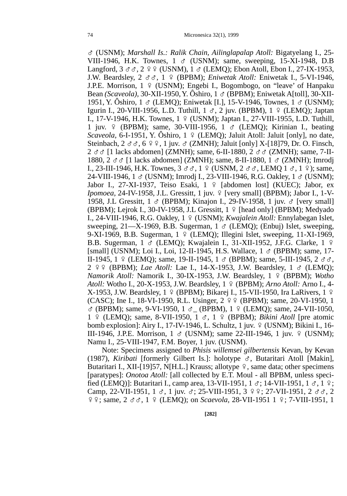G (USNM); *Marshall Is.: Ralik Chain, Ailinglapalap Atoll:* Bigatyelang I., 25- VIII-1946, H.K. Townes,  $1 \text{ } \sigma$  (USNM); same, sweeping, 15-XI-1948, D.B Langford,  $3 \text{ } \sigma \sigma$ ,  $2 \text{ } \frac{\sigma}{2}$  (USNM),  $1 \sigma$  (LEMO); Ebon Atoll, Ebon I., 27-IX-1953, J.W. Beardsley, 2 GG, 1 E (BPBM); *Eniwetak Atoll:* Eniwetak I., 5-VI-1946, J.P.E. Morrison, 1 º (USNM); Engebi I., Bogombogo, on "leave" of Hanpaku Bean *(Scaveola),* 30-XII-1950, Y. Ôshiro, 1 ♂ (BPBM); Eniwetak A[toll], 30-XII-1951, Y. Ôshiro, 1  $\sigma$  (LEMO); Eniwetak [I.], 15-V-1946, Townes, 1  $\sigma$  (USNM); Igurin I., 20-VIII-1956, L.D. Tuthill,  $1 \text{ } \sigma$ , 2 juv. (BPBM),  $1 \text{ } \frac{\sigma}{2}$  (LEMO); Japtan I., 17-V-1946, H.K. Townes, 1 º (USNM); Japtan I., 27-VIII-1955, L.D. Tuthill, 1 juv.  $\varphi$  (BPBM); same, 30-VIII-1956, 1  $\sigma$  (LEMO); Kirinian I., beating *Scaveola,* 6-I-1951, Y. Ôshiro,  $1 \notin (LEMO)$ ; Jaluit Atoll: Jaluit [only], no date, Steinbach,  $2 \sigma \sigma$ ,  $6 \circ \sigma$ , 1 juv.  $\sigma$  (ZMNH); Jaluit [only] X-[18]79, Dr. O. Finsch,  $2 \text{ } \sigma \sigma$  [1 lacks abdomen] (ZMNH); same, 6-II-1880,  $2 \text{ } \sigma \sigma$  (ZMNH); same, 7-II-1880, 2  $\sigma$   $\sigma$  [1 lacks abdomen] (ZMNH); same, 8-II-1880, 1  $\sigma$  (ZMNH); Imrodi I., 23-III-1946, H.K. Townes,  $3 \circ \sigma$ ,  $1 \circ \text{USNM}$ ,  $2 \circ \sigma$ , LEMO  $1 \circ \sigma$ ,  $1 \circ \rho$ ); same, 24-VIII-1946, 1  $\sigma$  (USNM); Imrodj I., 23-VIII-1946, R.G. Oakley, 1  $\sigma$  (USNM); Jabor I., 27-XI-1937, Teiso Esaki, 1 º [abdomen lost] (KUEC); Jabor, ex *Ipomoea*, 24-IV-1958, J.L. Gressitt, 1 juv. 9 [very small] (BPBM); Jabor I., 1-V-1958, J.L Gressitt, 1 & (BPBM); Kinajon I., 29-IV-1958, 1 juv. & [very small] (BPBM); Leirok I., 30-IV-1958, J.L Gressitt,  $1 \nvert$  Fiead only] (BPBM); Medyado I., 24-VIII-1946, R.G. Oakley, 1 º (USNM); *Kwajalein Atoll:* Ennylabegan Islet, sweeping,  $21 - X-1969$ , B.B. Sugerman,  $1 \text{ } \sigma$  (LEMO); (Enbuj) Islet, sweeping, 9-XI-1969, B.B. Sugerman,  $1 \notin (LEMO)$ ; Illegini Islet, sweeping, 11-XI-1969, B.B. Sugerman,  $1 \text{ } \sigma$  (LEMQ); Kwajalein I., 31-XII-1952, J.F.G. Clarke,  $1 \text{ } \circ$ [small] (USNM); Loi I., Loi, 12-II-1945, H.S. Wallace,  $1 \text{ } \sigma$  (BPBM); same, 17-II-1945, 1 º (LEMO); same, 19-II-1945, 1  $\sigma$  (BPBM); same, 5-III-1945, 2  $\sigma \sigma$ . 2 EE (BPBM); *Lae Atoll:* Lae I., 14-X-1953, J.W. Beardsley, 1 G (LEMQ); *Namorik Atoll:* Namorik I., 30-IX-1953, J.W. Beardsley, 1 º (BPBM); *Wotho Atoll:* Wotho I., 20-X-1953, J.W. Beardsley, 1 º (BPBM); *Arno Atoll:* Arno I., 4- $X-1953$ , J.W. Beardsley,  $1 \text{ } \frac{\circ}{2}$  (BPBM); Bikarej I., 15-VII-1950, Ira LaRivers, 1  $\frac{\circ}{2}$ (CASC); Ine I., 18-VI-1950, R.L. Usinger,  $2 \frac{9}{5}$  (BPBM); same, 20-VI-1950, 1  $\sigma$  (BPBM); same, 9-VI-1950, 1  $\sigma$  (BPBM), 1  $\circ$  (LEMQ); same, 24-VII-1050, 1 E (LEMQ); same, 8-VII-1950, 1 G, 1 E (BPBM); *Bikini Atoll* [pre atomic bomb explosion]: Airy I., 17-IV-1946, L. Schultz, 1 juv.  $\varphi$  (USNM); Bikini I., 16-III-1946, J.P.E. Morrison,  $1 \text{ } \sigma$  (USNM); same 22-III-1946, 1 juv.  $9 \text{ } (USNM);$ Namu I., 25-VIII-1947, F.M. Boyer, 1 juv. (USNM).

Note: Specimens assigned to *Phisis willemsei gilbertensis* Kevan, by Kevan (1987), *Kiribati* [formerly Gilbert Is.]: holotype  $\sigma$ , Butaritari Atoll [Makin], Butaritari I., XII-[19]57, N[H.L.] Krauss; allotype  $9$ , same data; other specimens [paratypes]: *Onotoa Atoll:* [all collected by E.T. Moul - all BPBM, unless specified (LEMQ)]: Butaritari I., camp area, 13-VII-1951, 1  $\sigma$ ; 14-VII-1951, 1  $\sigma$ , 1  $\circ$ ; Camp, 22-VII-1951, 1  $\sigma$ , 1 juv.  $\sigma$ ; 25-VIII-1951, 3  $\circ$   $\circ$ ; 27-VII-1951, 2  $\sigma$  $\sigma$ , 2  $99$ ; same,  $2 \text{ } \sigma \sigma$ ,  $1 \text{ } 9$  (LEMQ); on *Scaevola*,  $28$ -VII-1951  $1 \text{ } 9$ ; 7-VIII-1951, 1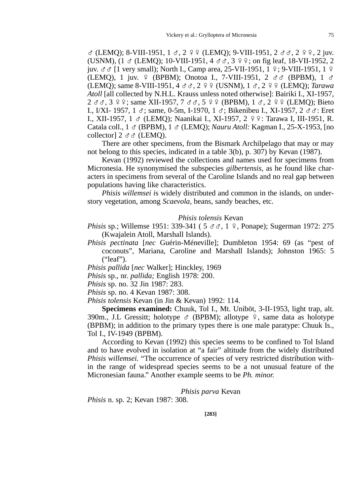$\sigma$  (LEMQ); 8-VIII-1951, 1  $\sigma$ , 2  $\circ$   $\circ$  (LEMQ); 9-VIII-1951, 2  $\sigma$  $\sigma$ , 2  $\circ$   $\circ$ , 2 juv. (USNM),  $(1 \text{ } \sigma \text{ } (LEMQ); 10-VIII-1951, 4 \text{ } \sigma \sigma, 3 \text{ } \phi \phi;$  on fig leaf, 18-VII-1952, 2 juv.  $\sigma \sigma$  [1 very small); North I., Camp area, 25-VII-1951, 1  $\circ$ ; 9-VIII-1951, 1  $\circ$ (LEMO), 1 juv.  $\varphi$  (BPBM); Onotoa I., 7-VIII-1951, 2  $\sigma \sigma$  (BPBM), 1  $\sigma$ (LEMQ); same 8-VIII-1951, 4 GG, 2 EE (USNM), 1 G, 2 EE (LEMQ); *Tarawa Atoll* [all collected by N.H.L. Krauss unless noted otherwise]: Bairiki I., XI-1957,  $2 \text{ } \sigma \sigma$ ,  $3 \text{ } \varphi \varphi$ ; same XII-1957,  $7 \sigma \sigma$ ,  $5 \varphi \varphi$  (BPBM),  $1 \sigma$ ,  $2 \varphi \varphi$  (LEMQ); Bieto I., I/XI- 1957, 1  $\sigma$ ; same, 0-5m, I-1970, 1  $\sigma$ ; Bikenibeu I., XI-1957, 2  $\sigma \sigma$ : Eret I., XII-1957, 1 & (LEMQ); Naanikai I., XI-1957, 2 º º: Tarawa I, III-1951, R. Catala coll., 1 G (BPBM), 1 G (LEMQ); *Nauru Atoll:* Kagman I., 25-X-1953, [no collector]  $2 \sigma \sigma$  (LEMO).

There are other specimens, from the Bismark Archilpelago that may or may not belong to this species, indicated in a table 3(b), p. 307) by Kevan (1987).

Kevan (1992) reviewed the collections and names used for specimens from Micronesia. He synonymised the subspecies *gilbertensis,* as he found like characters in specimens from several of the Caroline Islands and no real gap between populations having like characteristics.

*Phisis willemsei i*s widely distributed and common in the islands, on understory vegetation, among *Scaevola,* beans, sandy beaches, etc.

### *Phisis tolensis* Kevan

- *Phisis sp.*; Willemse 1951: 339-341 ( 5  $\sigma$   $\sigma$ , 1  $\sigma$ , Ponape); Sugerman 1972: 275 (Kwajalein Atoll, Marshall Islands).
- *Phisis pectinata* [*nec* Guérin-Méneville]; Dumbleton 1954: 69 (as "pest of coconuts", Mariana, Caroline and Marshall Islands); Johnston 1965: 5 ("leaf").

*Phisis pallida* [*nec* Walker]; Hinckley, 1969

*Phisis* sp., nr. *pallida;* English 1978: 200.

*Phisis* sp. no. 32 Jin 1987: 283.

*Phisis* sp. no. 4 Kevan 1987: 308.

*Phisis tolensis* Kevan (in Jin & Kevan) 1992: 114.

**Specimens examined:** Chuuk, Tol I., Mt. Uniböt, 3-II-1953, light trap, alt. 390m., J.L Gressitt; holotype  $\sigma$  (BPBM); allotype  $\varphi$ , same data as holotype (BPBM); in addition to the primary types there is one male paratype: Chuuk Is., Tol I., IV-1949 (BPBM).

According to Kevan (1992) this species seems to be confined to Tol Island and to have evolved in isolation at "a fair" altitude from the widely distributed *Phisis willemsei.* "The occurrence of species of very restricted distribution within the range of widespread species seems to be a not unusual feature of the Micronesian fauna." Another example seems to be *Ph. minor.*

## *Phisis parva* Kevan

*Phisis* n. sp. 2; Kevan 1987: 308.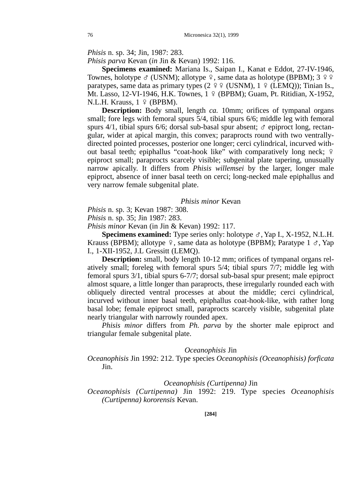*Phisis* n. sp. 34; Jin, 1987: 283.

*Phisis parva* Kevan (*in* Jin & Kevan) 1992: 116.

**Specimens examined:** Mariana Is., Saipan I., Kanat e Eddot, 27-IV-1946, Townes, holotype  $\sigma$  (USNM); allotype  $\varphi$ , same data as holotype (BPBM); 3  $\varphi$ paratypes, same data as primary types  $(2 \rvert 2 \rvert 4 \rvert (USNM))$ ,  $1 \rvert 4 \rvert (LEMQ))$ ; Tinian Is., Mt. Lasso, 12-VI-1946, H.K. Townes, 1 º (BPBM); Guam, Pt. Ritidian, X-1952, N.L.H. Krauss,  $1 \sqrt{9}$  (BPBM).

**Description:** Body small, length *ca.* 10mm; orifices of tympanal organs small; fore legs with femoral spurs  $5/4$ , tibial spurs  $6/6$ ; middle leg with femoral spurs 4/1, tibial spurs 6/6; dorsal sub-basal spur absent;  $\sigma$  epiproct long, rectangular, wider at apical margin, this convex; paraprocts round with two ventrallydirected pointed processes, posterior one longer; cerci cylindrical, incurved without basal teeth; epiphallus "coat-hook like" with comparatively long neck; ? epiproct small; paraprocts scarcely visible; subgenital plate tapering, unusually narrow apically. It differs from *Phisis willemsei* by the larger, longer male epiproct, absence of inner basal teeth on cerci; long-necked male epiphallus and very narrow female subgenital plate.

#### *Phisis minor* Kevan

*Phisis* n. sp. 3; Kevan 1987: 308.

*Phisis* n. sp. 35; Jin 1987: 283.

*Phisis minor* Kevan (in Jin & Kevan) 1992: 117.

**Specimens examined:** Type series only: holotype  $\sigma$ , Yap I., X-1952, N.L.H. Krauss (BPBM); allotype  $\varphi$ , same data as holotype (BPBM); Paratype 1  $\sigma$ , Yap I., 1-XII-1952, J.L Gressitt (LEMQ).

**Description:** small, body length 10-12 mm; orifices of tympanal organs relatively small; foreleg with femoral spurs 5/4; tibial spurs 7/7; middle leg with femoral spurs 3/1, tibial spurs 6-7/7; dorsal sub-basal spur present; male epiproct almost square, a little longer than paraprocts, these irregularly rounded each with obliquely directed ventral processes at about the middle; cerci cylindrical, incurved without inner basal teeth, epiphallus coat-hook-like, with rather long basal lobe; female epiproct small, paraprocts scarcely visible, subgenital plate nearly triangular with narrowly rounded apex.

*Phisis minor* differs from *Ph. parva* by the shorter male epiproct and triangular female subgenital plate.

#### *Oceanophisis* Jin

*Oceanophisis* Jin 1992: 212. Type species *Oceanophisis (Oceanophisis) forficata* Jin.

## *Oceanophisis (Curtipenna)* Jin

*Oceanophisis (Curtipenna)* Jin 1992: 219. Type species *Oceanophisis (Curtipenna) kororensis* Kevan.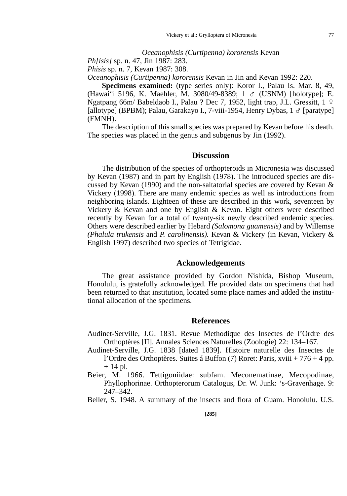## *Oceanophisis (Curtipenna) kororensis* Kevan

*Ph[isis]* sp. n. 47, Jin 1987: 283.

*Phisis* sp. n. 7, Kevan 1987: 308.

*Oceanophisis (Curtipenna) kororensis* Kevan in Jin and Kevan 1992: 220.

**Specimens examined:** (type series only): Koror I., Palau Is. Mar. 8, 49, (Hawai'i 5196, K. Maehler, M. 3080/49-8389; 1 G (USNM) [holotype]; E. Ngatpang 66m/ Babeldaob I., Palau ? Dec 7, 1952, light trap, J.L. Gressitt, 1 º [allotype] (BPBM); Palau, Garakayo I., 7-viii-1954, Henry Dybas,  $1 \circ$  [paratype] (FMNH).

The description of this small species was prepared by Kevan before his death. The species was placed in the genus and subgenus by Jin (1992).

## **Discussion**

The distribution of the species of orthopteroids in Micronesia was discussed by Kevan (1987) and in part by English (1978). The introduced species are discussed by Kevan (1990) and the non-saltatorial species are covered by Kevan & Vickery (1998). There are many endemic species as well as introductions from neighboring islands. Eighteen of these are described in this work, seventeen by Vickery & Kevan and one by English & Kevan. Eight others were described recently by Kevan for a total of twenty-six newly described endemic species. Others were described earlier by Hebard *(Salomona guamensis)* and by Willemse *(Phalula trukensis* and *P. carolinensis).* Kevan & Vickery (in Kevan, Vickery & English 1997) described two species of Tetrigidae.

## **Acknowledgements**

The great assistance provided by Gordon Nishida, Bishop Museum, Honolulu, is gratefully acknowledged. He provided data on specimens that had been returned to that institution, located some place names and added the institutional allocation of the specimens.

# **References**

- Audinet-Serville, J.G. 1831. Revue Methodique des Insectes de l'Ordre des Orthoptères [II]. Annales Sciences Naturelles (Zoologie) 22: 134–167.
- Audinet-Serville, J.G. 1838 [dated 1839]. Histoire naturelle des Insectes de l'Ordre des Orthoptères. Suites á Buffon (7) Roret: Paris, xviii + 776 + 4 pp.  $+ 14$  pl.
- Beier, M. 1966. Tettigoniidae: subfam. Meconematinae, Mecopodinae, Phyllophorinae. Orthopterorum Catalogus, Dr. W. Junk: 's-Gravenhage. 9: 247–342.
- Beller, S. 1948. A summary of the insects and flora of Guam. Honolulu. U.S.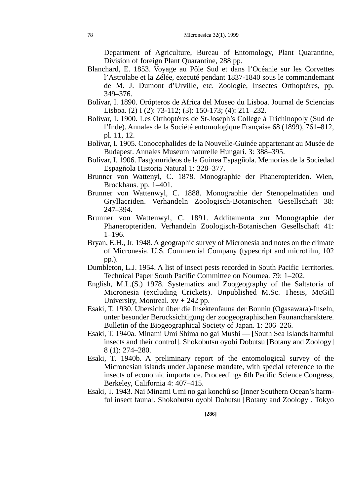Department of Agriculture, Bureau of Entomology, Plant Quarantine, Division of foreign Plant Quarantine, 288 pp.

- Blanchard, E. 1853. Voyage au Pôle Sud et dans l'Océanie sur les Corvettes l'Astrolabe et la Zélée, executé pendant 1837-1840 sous le commandemant de M. J. Dumont d'Urville, etc. Zoologie, Insectes Orthoptères, pp. 349–376.
- Bolívar, I. 1890. Orópteros de Africa del Museo du Lisboa. Journal de Sciencias Lisboa. (2) I (2): 73-112; (3): 150-173; (4): 211–232.
- Bolívar, I. 1900. Les Orthoptères de St-Joseph's College à Trichinopoly (Sud de l'Inde). Annales de la Société entomologique Française 68 (1899), 761–812, pl. 11, 12.
- Bolívar, I. 1905. Conocephalides de la Nouvelle-Guinée appartenant au Musée de Budapest. Annales Museum naturelle Hungari. 3: 388–395.
- Bolívar, I. 1906. Fasgonurideos de la Guinea Espagñola. Memorias de la Sociedad Espagñola Historia Natural 1: 328–377.
- Brunner von Wattenyl, C. 1878. Monographie der Phaneropteriden. Wien, Brockhaus. pp. 1–401.
- Brunner von Wattenwyl, C. 1888. Monographie der Stenopelmatiden und Gryllacriden. Verhandeln Zoologisch-Botanischen Gesellschaft 38: 247–394.
- Brunner von Wattenwyl, C. 1891. Additamenta zur Monographie der Phaneropteriden. Verhandeln Zoologisch-Botanischen Gesellschaft 41: 1–196.
- Bryan, E.H., Jr. 1948. A geographic survey of Micronesia and notes on the climate of Micronesia. U.S. Commercial Company (typescript and microfilm, 102 pp.).
- Dumbleton, L.J. 1954. A list of insect pests recorded in South Pacific Territories. Technical Paper South Pacific Committee on Noumea. 79: 1–202.
- English, M.L.(S.) 1978. Systematics and Zoogeography of the Saltatoria of Micronesia (excluding Crickets). Unpublished M.Sc. Thesis, McGill University, Montreal.  $xy + 242$  pp.
- Esaki, T. 1930. Ubersicht über die Insektenfauna der Bonnin (Ogasawara)-Inseln, unter besonder Berucksichtigung der zoogeographischen Faunancharaktere. Bulletin of the Biogeographical Society of Japan. 1: 206–226.
- Esaki, T. 1940a. Minami Umi Shima no gai Mushi [South Sea Islands harmful insects and their control]. Shokobutsu oyobi Dobutsu [Botany and Zoology] 8 (1): 274–280.
- Esaki, T. 1940b. A preliminary report of the entomological survey of the Micronesian islands under Japanese mandate, with special reference to the insects of economic importance. Proceedings 6th Pacific Science Congress, Berkeley, California 4: 407–415.
- Esaki, T. 1943. Nai Minami Umi no gai konchû so [Inner Southern Ocean's harmful insect fauna]. Shokobutsu oyobi Dobutsu [Botany and Zoology], Tokyo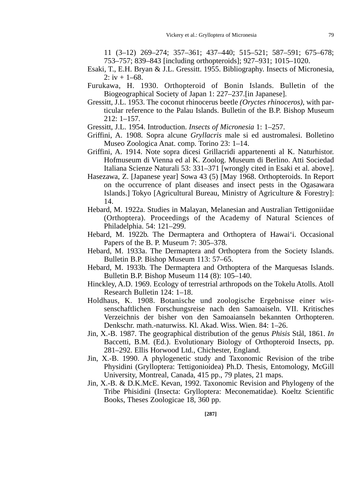11 (3–12) 269–274; 357–361; 437–440; 515–521; 587–591; 675–678; 753–757; 839–843 [including orthopteroids]; 927–931; 1015–1020.

- Esaki, T., E.H. Bryan & J.L. Gressitt. 1955. Bibliography. Insects of Micronesia, 2:  $iv + 1-68$ .
- Furukawa, H. 1930. Orthopteroid of Bonin Islands. Bulletin of the Biogeographical Society of Japan 1: 227–237.[in Japanese].
- Gressitt, J.L. 1953. The coconut rhinocerus beetle *(Oryctes rhinoceros),* with particular reference to the Palau Islands. Bulletin of the B.P. Bishop Museum 212: 1–157.
- Gressitt, J.L. 1954. Introduction. *Insects of Micronesia* 1: 1–257.
- Griffini, A. 1908. Sopra alcune *Gryllacris* male si ed austromalesi. Bolletino Museo Zoologica Anat. comp. Torino 23: 1–14.
- Griffini, A. 1914. Note sopra dicesi Grillacridi appartenenti al K. Naturhistor. Hofmuseum di Vienna ed al K. Zoolog. Museum di Berlino. Atti Sociedad Italiana Scienze Naturali 53: 331–371 [wrongly cited in Esaki et al. above].
- Hasezawa, Z. [Japanese year] Sowa 43 (5) [May 1968. Orthopteroids. In Report on the occurrence of plant diseases and insect pests in the Ogasawara Islands.] Tokyo [Agricultural Bureau, Ministry of Agriculture & Forestry]: 14.
- Hebard, M. 1922a. Studies in Malayan, Melanesian and Australian Tettigoniidae (Orthoptera). Proceedings of the Academy of Natural Sciences of Philadelphia. 54: 121–299.
- Hebard, M. 1922b. The Dermaptera and Orthoptera of Hawai'i. Occasional Papers of the B. P. Museum 7: 305–378.
- Hebard, M. 1933a. The Dermaptera and Orthoptera from the Society Islands. Bulletin B.P. Bishop Museum 113: 57–65.
- Hebard, M. 1933b. The Dermaptera and Orthoptera of the Marquesas Islands. Bulletin B.P. Bishop Museum 114 (8): 105–140.
- Hinckley, A.D. 1969. Ecology of terrestrial arthropods on the Tokelu Atolls. Atoll Research Bulletin 124: 1–18.
- Holdhaus, K. 1908. Botanische und zoologische Ergebnisse einer wissenschaftlichen Forschungsreise nach den Samoaiseln. VII. Kritisches Verzeichnis der bisher von den Samoaianseln bekannten Orthopteren. Denkschr. math.-naturwiss. Kl. Akad. Wiss. Wien. 84: 1–26.
- Jin, X.-B. 1987. The geographical distribution of the genus *Phisis* Stål, 1861. *In* Baccetti, B.M. (Ed.). Evolutionary Biology of Orthopteroid Insects, pp. 281–292. Ellis Horwood Ltd., Chichester, England.
- Jin, X.-B. 1990. A phylogenetic study and Taxonomic Revision of the tribe Physidini (Grylloptera: Tettigonioidea) Ph.D. Thesis, Entomology, McGill University, Montreal, Canada, 415 pp., 79 plates, 21 maps.
- Jin, X.-B. & D.K.McE. Kevan, 1992. Taxonomic Revision and Phylogeny of the Tribe Phisidini (Insecta: Grylloptera: Meconematidae). Koeltz Scientific Books, Theses Zoologicae 18, 360 pp.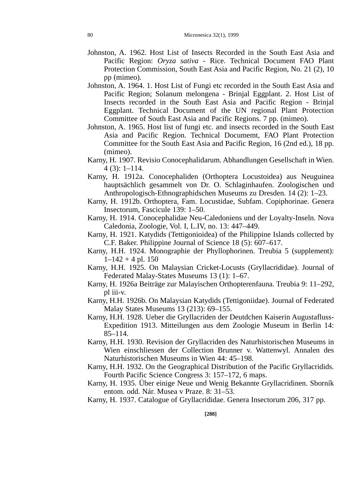- Johnston, A. 1962. Host List of Insects Recorded in the South East Asia and Pacific Region: *Oryza sativa* - Rice. Technical Document FAO Plant Protection Commission, South East Asia and Pacific Region, No. 21 (2), 10 pp (mimeo).
- Johnston, A. 1964. 1. Host List of Fungi etc recorded in the South East Asia and Pacific Region; Solanum melongena - Brinjal Eggplant. 2. Host List of Insects recorded in the South East Asia and Pacific Region - Brinjal Eggplant. Technical Document of the UN regional Plant Protection Committee of South East Asia and Pacific Regions. 7 pp. (mimeo).
- Johnston, A. 1965. Host list of fungi etc. and insects recorded in the South East Asia and Pacific Region. Technical Documemt, FAO Plant Protection Committee for the South East Asia and Pacific Region, 16 (2nd ed.), 18 pp. (mimeo).
- Karny, H. 1907. Revisio Conocephalidarum. Abhandlungen Gesellschaft in Wien. 4 (3): 1–114.
- Karny, H. 1912a. Conocephaliden (Orthoptera Locustoidea) aus Neuguinea hauptsächlich gesammelt von Dr. O. Schlaginhaufen. Zoologischen und Anthropologisch-Ethnographidschen Museums zu Dresden. 14 (2): 1–23.
- Karny, H. 1912b. Orthoptera, Fam. Locustidae, Subfam. Copiphorinae. Genera Insectorum, Fascicule 139: 1–50.
- Karny, H. 1914. Conocephalidae Neu-Caledoniens und der Loyalty-Inseln. Nova Caledonia, Zoologie, Vol. I, L.IV, no. 13: 447–449.
- Karny, H. 1921. Katydids (Tettigonioidea) of the Philippine Islands collected by C.F. Baker. Philippine Journal of Science 18 (5): 607–617.
- Karny, H.H. 1924. Monographie der Phyllophorinen. Treubia 5 (supplement):  $1-142 + 4$  pl. 150
- Karny, H.H. 1925. On Malaysian Cricket-Locusts (Gryllacrididae). Journal of Federated Malay-States Museums 13 (1): 1–67.
- Karny, H. 1926a Beiträge zur Malayischen Orthopterenfauna. Treubia 9: 11–292, pl iii-v.
- Karny, H.H. 1926b. On Malaysian Katydids (Tettigoniidae). Journal of Federated Malay States Museums 13 (213): 69–155.
- Karny, H.H. 1928. Ueber die Gryllacriden der Deutdchen Kaiserin Augustafluss-Expedition 1913. Mitteilungen aus dem Zoologie Museum in Berlin 14: 85–114.
- Karny, H.H. 1930. Revision der Gryllacriden des Naturhistorischen Museums in Wien einschliessen der Collection Brunner v. Wattenwyl. Annalen des Naturhistorischen Museums in Wien 44: 45–198.
- Karny, H.H. 1932. On the Geographical Distribution of the Pacific Gryllacridids. Fourth Pacific Science Congress 3: 157–172, 6 maps.
- Karny, H. 1935. Über einige Neue und Wenig Bekannte Gryllacridinen. Sborník entom. odd. Nár. Musea v Praze. 8: 31–53.
- Karny, H. 1937. Catalogue of Gryllacrididae. Genera Insectorum 206, 317 pp.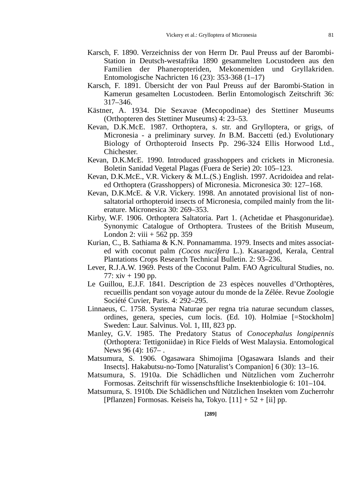- Karsch, F. 1890. Verzeichniss der von Herrn Dr. Paul Preuss auf der Barombi-Station in Deutsch-westafrika 1890 gesammelten Locustodeen aus den Familien der Phaneropteriden, Mekonemiden und Gryllakriden. Entomologische Nachricten 16 (23): 353-368 (1–17)
- Karsch, F. 1891. Übersicht der von Paul Preuss auf der Barombi-Station in Kamerun gesamelten Locustodeen. Berlin Entomologisch Zeitschrift 36: 317–346.
- Kästner, A. 1934. Die Sexavae (Mecopodinae) des Stettiner Museums (Orthopteren des Stettiner Museums) 4: 23–53.
- Kevan, D.K.McE. 1987. Orthoptera, s. str. and Grylloptera, or grigs, of Micronesia - a preliminary survey. *In* B.M. Baccetti (ed.) Evolutionary Biology of Orthopteroid Insects Pp. 296-324 Ellis Horwood Ltd., Chichester.
- Kevan, D.K.McE. 1990. Introduced grasshoppers and crickets in Micronesia. Boletin Sanidad Vegetal Plagas (Fuera de Serie) 20: 105–123.
- Kevan, D.K.McE., V.R. Vickery & M.L.(S.) English. 1997. Acridoidea and related Orthoptera (Grasshoppers) of Micronesia. Micronesica 30: 127–168.
- Kevan, D.K.McE. & V.R. Vickery. 1998. An annotated provisional list of nonsaltatorial orthopteroid insects of Micronesia, compiled mainly from the literature. Micronesica 30: 269–353.
- Kirby, W.F. 1906. Orthoptera Saltatoria. Part 1. (Achetidae et Phasgonuridae). Synonymic Catalogue of Orthoptera. Trustees of the British Museum, London 2: viii  $+ 562$  pp. 359
- Kurian, C., B. Sathiama & K.N. Ponnamamma. 1979. Insects and mites associated with coconut palm *(Cocos nucifera* L.). Kasaragod, Kerala, Central Plantations Crops Research Technical Bulletin. 2: 93–236.
- Lever, R.J.A.W. 1969. Pests of the Coconut Palm. FAO Agricultural Studies, no. 77:  $xiv + 190$  pp.
- Le Guillou, E.J.F. 1841. Description de 23 espèces nouvelles d'Orthoptères, recueillis pendant son voyage autour du monde de la Zélée. Revue Zoologie Société Cuvier, Paris. 4: 292–295.
- Linnaeus, C. 1758. Systema Naturae per regna tria naturae secundum classes, ordines, genera, species, cum locis. (Ed. 10). Holmiae [=Stockholm] Sweden: Laur. Salvinus. Vol. 1, III, 823 pp.
- Manley, G.V. 1985. The Predatory Status of *Conocephalus longipennis* (Orthoptera: Tettigoniidae) in Rice Fields of West Malaysia. Entomological News 96 (4): 167– .
- Matsumura, S. 1906. Ogasawara Shimojima [Ogasawara Islands and their Insects]. Hakabutsu-no-Tomo [Naturalist's Companion] 6 (30): 13–16.
- Matsumura, S. 1910a. Die Schädlichen und Nützlichen vom Zucherrohr Formosas. Zeitschrift für wissenschsftliche Insektenbiologie 6: 101–104.
- Matsumura, S. 1910b. Die Schädlichen und Nützlichen Insekten vom Zucherrohr [Pflanzen] Formosas. Keiseis ha, Tokyo.  $[11] + 52 + [ii]$  pp.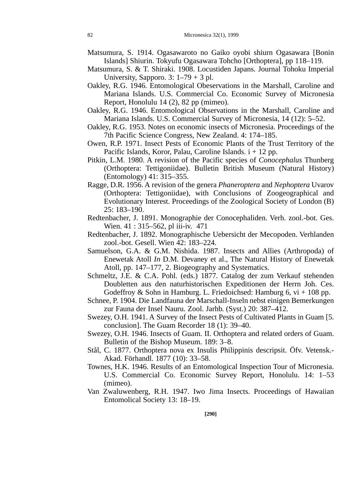- Matsumura, S. 1914. Ogasawaroto no Gaiko oyobi shiurn Ogasawara [Bonin Islands] Shiurin. Tokyufu Ogasawara Tohcho [Orthoptera], pp 118–119.
- Matsumura, S. & T. Shiraki. 1908. Locustiden Japans. Journal Tohoku Imperial University, Sapporo. 3:  $1-79 + 3$  pl.
- Oakley, R.G. 1946. Entomological Obeservations in the Marshall, Caroline and Mariana Islands. U.S. Commercial Co. Economic Survey of Micronesia Report, Honolulu 14 (2), 82 pp (mimeo).
- Oakley, R.G. 1946. Entomological Observations in the Marshall, Caroline and Mariana Islands. U.S. Commercial Survey of Micronesia, 14 (12): 5–52.
- Oakley, R.G. 1953. Notes on economic insects of Micronesia. Proceedings of the 7th Pacific Science Congress, New Zealand. 4: 174–185.
- Owen, R.P. 1971. Insect Pests of Economic Plants of the Trust Territory of the Pacific Islands, Koror, Palau, Caroline Islands.  $i + 12$  pp.
- Pitkin, L.M. 1980. A revision of the Pacific species of *Conocephalus* Thunberg (Orthoptera: Tettigoniidae). Bulletin British Museum (Natural History) (Entomology) 41: 315–355.
- Ragge, D.R. 1956. A revision of the genera *Phaneroptera* and *Nephoptera* Uvarov (Orthoptera: Tettigoniidae), with Conclusions of Zoogeographical and Evolutionary Interest. Proceedings of the Zoological Society of London (B) 25: 183–190.
- Redtenbacher, J. 1891. Monographie der Conocephaliden. Verh. zool.-bot. Ges. Wien. 41 : 315–562, pl iii-iv. 471
- Redtenbacher, J. 1892. Monographische Uebersicht der Mecopoden. Verhlanden zool.-bot. Gesell. Wien 42: 183–224.
- Samuelson, G.A. & G.M. Nishida. 1987. Insects and Allies (Arthropoda) of Enewetak Atoll *In* D.M. Devaney et al., The Natural History of Enewetak Atoll, pp. 147–177, 2. Biogeography and Systematics.
- Schmeltz, J.E. & C.A. Pohl. (eds.) 1877. Catalog der zum Verkauf stehenden Doubletten aus den naturhistorischen Expeditionen der Herrn Joh. Ces. Godeffroy  $\&$  Sohn in Hamburg. L. Friedoichsed: Hamburg 6,  $vi + 108$  pp.
- Schnee, P. 1904. Die Landfauna der Marschall-Inseln nebst einigen Bemerkungen zur Fauna der Insel Nauru. Zool. Jarhb. (Syst.) 20: 387–412.
- Swezey, O.H. 1941. A Survey of the Insect Pests of Cultivated Plants in Guam [5. conclusion]. The Guam Recorder 18 (1): 39–40.
- Swezey, O.H. 1946. Insects of Guam. II. Orthoptera and related orders of Guam. Bulletin of the Bishop Museum. 189: 3–8.
- Stål, C. 1877. Orthoptera nova ex Insulis Philippinis descripsit. Öfv. Vetensk.- Akad. Förhandl. 1877 (10): 33–58.
- Townes, H.K. 1946. Results of an Entomological Inspection Tour of Micronesia. U.S. Commercial Co. Economic Survey Report, Honolulu. 14: 1–53 (mimeo).
- Van Zwaluwenberg, R.H. 1947. Iwo Jima Insects. Proceedings of Hawaiian Entomolical Society 13: 18–19.